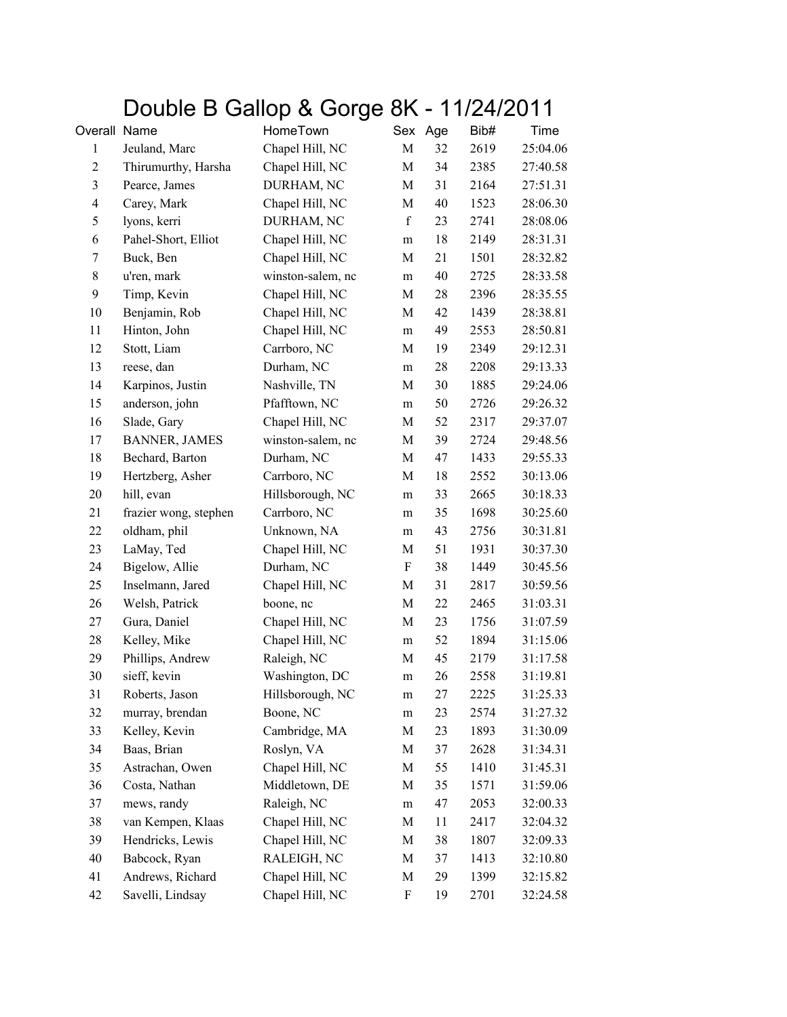## Double B Gallop & Gorge 8K - 11/24/2011

| Overall Name     |                       | HomeTown          | Sex                       | Age | Bib# | Time     |
|------------------|-----------------------|-------------------|---------------------------|-----|------|----------|
| $\mathbf{1}$     | Jeuland, Marc         | Chapel Hill, NC   | M                         | 32  | 2619 | 25:04.06 |
| $\boldsymbol{2}$ | Thirumurthy, Harsha   | Chapel Hill, NC   | M                         | 34  | 2385 | 27:40.58 |
| $\mathfrak{Z}$   | Pearce, James         | DURHAM, NC        | M                         | 31  | 2164 | 27:51.31 |
| $\overline{4}$   | Carey, Mark           | Chapel Hill, NC   | M                         | 40  | 1523 | 28:06.30 |
| 5                | lyons, kerri          | DURHAM, NC        | $\mathbf f$               | 23  | 2741 | 28:08.06 |
| 6                | Pahel-Short, Elliot   | Chapel Hill, NC   | ${\rm m}$                 | 18  | 2149 | 28:31.31 |
| 7                | Buck, Ben             | Chapel Hill, NC   | M                         | 21  | 1501 | 28:32.82 |
| $8\,$            | u'ren, mark           | winston-salem, nc | m                         | 40  | 2725 | 28:33.58 |
| 9                | Timp, Kevin           | Chapel Hill, NC   | M                         | 28  | 2396 | 28:35.55 |
| 10               | Benjamin, Rob         | Chapel Hill, NC   | M                         | 42  | 1439 | 28:38.81 |
| 11               | Hinton, John          | Chapel Hill, NC   | m                         | 49  | 2553 | 28:50.81 |
| 12               | Stott, Liam           | Carrboro, NC      | M                         | 19  | 2349 | 29:12.31 |
| 13               | reese, dan            | Durham, NC        | m                         | 28  | 2208 | 29:13.33 |
| 14               | Karpinos, Justin      | Nashville, TN     | M                         | 30  | 1885 | 29:24.06 |
| 15               | anderson, john        | Pfafftown, NC     | m                         | 50  | 2726 | 29:26.32 |
| 16               | Slade, Gary           | Chapel Hill, NC   | M                         | 52  | 2317 | 29:37.07 |
| 17               | <b>BANNER, JAMES</b>  | winston-salem, nc | M                         | 39  | 2724 | 29:48.56 |
| 18               | Bechard, Barton       | Durham, NC        | M                         | 47  | 1433 | 29:55.33 |
| 19               | Hertzberg, Asher      | Carrboro, NC      | M                         | 18  | 2552 | 30:13.06 |
| 20               | hill, evan            | Hillsborough, NC  | m                         | 33  | 2665 | 30:18.33 |
| 21               | frazier wong, stephen | Carrboro, NC      | m                         | 35  | 1698 | 30:25.60 |
| 22               | oldham, phil          | Unknown, NA       | m                         | 43  | 2756 | 30:31.81 |
| 23               | LaMay, Ted            | Chapel Hill, NC   | M                         | 51  | 1931 | 30:37.30 |
| 24               | Bigelow, Allie        | Durham, NC        | $\boldsymbol{\mathrm{F}}$ | 38  | 1449 | 30:45.56 |
| 25               | Inselmann, Jared      | Chapel Hill, NC   | M                         | 31  | 2817 | 30:59.56 |
| 26               | Welsh, Patrick        | boone, nc         | M                         | 22  | 2465 | 31:03.31 |
| 27               | Gura, Daniel          | Chapel Hill, NC   | M                         | 23  | 1756 | 31:07.59 |
| 28               | Kelley, Mike          | Chapel Hill, NC   | m                         | 52  | 1894 | 31:15.06 |
| 29               | Phillips, Andrew      | Raleigh, NC       | M                         | 45  | 2179 | 31:17.58 |
| 30               | sieff, kevin          | Washington, DC    | ${\bf m}$                 | 26  | 2558 | 31:19.81 |
| 31               | Roberts, Jason        | Hillsborough, NC  | m                         | 27  | 2225 | 31:25.33 |
| 32               | murray, brendan       | Boone, NC         | m                         | 23  | 2574 | 31:27.32 |
| 33               | Kelley, Kevin         | Cambridge, MA     | M                         | 23  | 1893 | 31:30.09 |
| 34               | Baas, Brian           | Roslyn, VA        | M                         | 37  | 2628 | 31:34.31 |
| 35               | Astrachan, Owen       | Chapel Hill, NC   | M                         | 55  | 1410 | 31:45.31 |
| 36               | Costa, Nathan         | Middletown, DE    | M                         | 35  | 1571 | 31:59.06 |
| 37               | mews, randy           | Raleigh, NC       | m                         | 47  | 2053 | 32:00.33 |
| 38               | van Kempen, Klaas     | Chapel Hill, NC   | M                         | 11  | 2417 | 32:04.32 |
| 39               | Hendricks, Lewis      | Chapel Hill, NC   | M                         | 38  | 1807 | 32:09.33 |
| 40               | Babcock, Ryan         | RALEIGH, NC       | M                         | 37  | 1413 | 32:10.80 |
| 41               | Andrews, Richard      | Chapel Hill, NC   | M                         | 29  | 1399 | 32:15.82 |
| 42               | Savelli, Lindsay      | Chapel Hill, NC   | F                         | 19  | 2701 | 32:24.58 |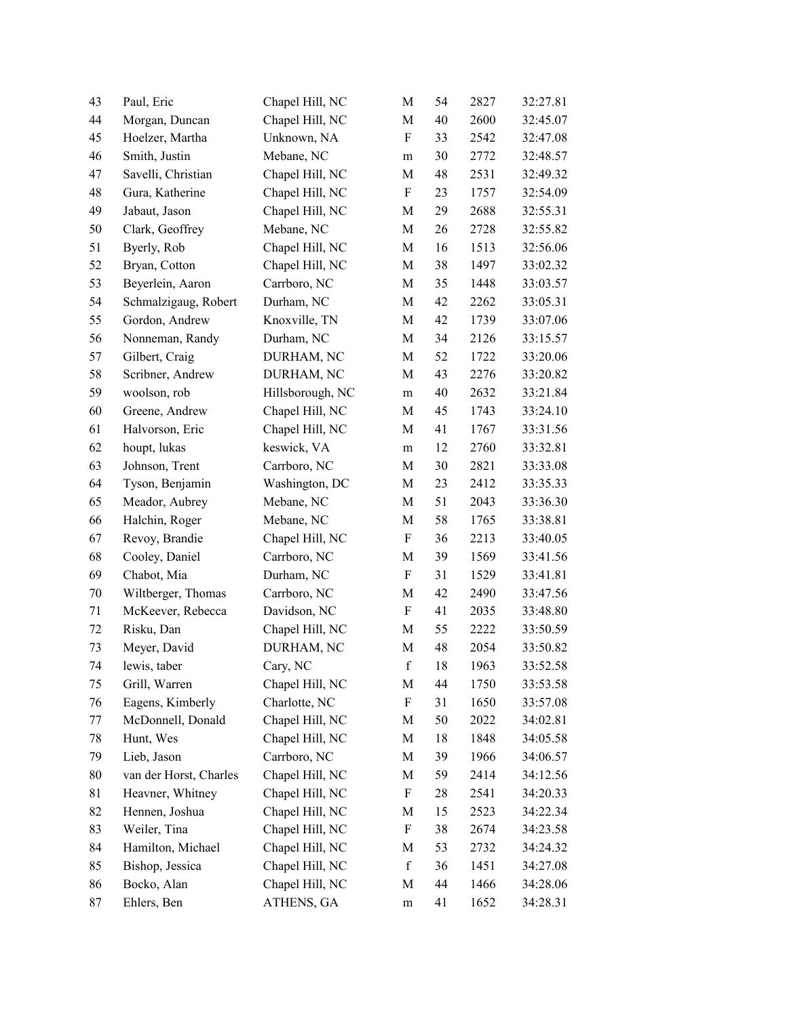| 43 | Paul, Eric             | Chapel Hill, NC  | M                         | 54 | 2827 | 32:27.81 |
|----|------------------------|------------------|---------------------------|----|------|----------|
| 44 | Morgan, Duncan         | Chapel Hill, NC  | M                         | 40 | 2600 | 32:45.07 |
| 45 | Hoelzer, Martha        | Unknown, NA      | $\boldsymbol{\mathrm{F}}$ | 33 | 2542 | 32:47.08 |
| 46 | Smith, Justin          | Mebane, NC       | m                         | 30 | 2772 | 32:48.57 |
| 47 | Savelli, Christian     | Chapel Hill, NC  | M                         | 48 | 2531 | 32:49.32 |
| 48 | Gura, Katherine        | Chapel Hill, NC  | $\boldsymbol{\mathrm{F}}$ | 23 | 1757 | 32:54.09 |
| 49 | Jabaut, Jason          | Chapel Hill, NC  | M                         | 29 | 2688 | 32:55.31 |
| 50 | Clark, Geoffrey        | Mebane, NC       | M                         | 26 | 2728 | 32:55.82 |
| 51 | Byerly, Rob            | Chapel Hill, NC  | M                         | 16 | 1513 | 32:56.06 |
| 52 | Bryan, Cotton          | Chapel Hill, NC  | M                         | 38 | 1497 | 33:02.32 |
| 53 | Beyerlein, Aaron       | Carrboro, NC     | $\mathbf M$               | 35 | 1448 | 33:03.57 |
| 54 | Schmalzigaug, Robert   | Durham, NC       | M                         | 42 | 2262 | 33:05.31 |
| 55 | Gordon, Andrew         | Knoxville, TN    | M                         | 42 | 1739 | 33:07.06 |
| 56 | Nonneman, Randy        | Durham, NC       | M                         | 34 | 2126 | 33:15.57 |
| 57 | Gilbert, Craig         | DURHAM, NC       | M                         | 52 | 1722 | 33:20.06 |
| 58 | Scribner, Andrew       | DURHAM, NC       | M                         | 43 | 2276 | 33:20.82 |
| 59 | woolson, rob           | Hillsborough, NC | ${\rm m}$                 | 40 | 2632 | 33:21.84 |
| 60 | Greene, Andrew         | Chapel Hill, NC  | M                         | 45 | 1743 | 33:24.10 |
| 61 | Halvorson, Eric        | Chapel Hill, NC  | M                         | 41 | 1767 | 33:31.56 |
| 62 | houpt, lukas           | keswick, VA      | m                         | 12 | 2760 | 33:32.81 |
| 63 | Johnson, Trent         | Carrboro, NC     | M                         | 30 | 2821 | 33:33.08 |
| 64 | Tyson, Benjamin        | Washington, DC   | M                         | 23 | 2412 | 33:35.33 |
| 65 | Meador, Aubrey         | Mebane, NC       | M                         | 51 | 2043 | 33:36.30 |
| 66 | Halchin, Roger         | Mebane, NC       | M                         | 58 | 1765 | 33:38.81 |
| 67 | Revoy, Brandie         | Chapel Hill, NC  | $\boldsymbol{\mathrm{F}}$ | 36 | 2213 | 33:40.05 |
| 68 | Cooley, Daniel         | Carrboro, NC     | M                         | 39 | 1569 | 33:41.56 |
| 69 | Chabot, Mia            | Durham, NC       | $\boldsymbol{\mathrm{F}}$ | 31 | 1529 | 33:41.81 |
| 70 | Wiltberger, Thomas     | Carrboro, NC     | M                         | 42 | 2490 | 33:47.56 |
| 71 | McKeever, Rebecca      | Davidson, NC     | F                         | 41 | 2035 | 33:48.80 |
| 72 | Risku, Dan             | Chapel Hill, NC  | M                         | 55 | 2222 | 33:50.59 |
| 73 | Meyer, David           | DURHAM, NC       | M                         | 48 | 2054 | 33:50.82 |
| 74 | lewis, taber           | Cary, NC         | $\mathbf f$               | 18 | 1963 | 33:52.58 |
| 75 | Grill, Warren          | Chapel Hill, NC  | M                         | 44 | 1750 | 33:53.58 |
| 76 | Eagens, Kimberly       | Charlotte, NC    | $\boldsymbol{\mathrm{F}}$ | 31 | 1650 | 33:57.08 |
| 77 | McDonnell, Donald      | Chapel Hill, NC  | M                         | 50 | 2022 | 34:02.81 |
| 78 | Hunt, Wes              | Chapel Hill, NC  | M                         | 18 | 1848 | 34:05.58 |
| 79 | Lieb, Jason            | Carrboro, NC     | M                         | 39 | 1966 | 34:06.57 |
| 80 | van der Horst, Charles | Chapel Hill, NC  | M                         | 59 | 2414 | 34:12.56 |
| 81 | Heavner, Whitney       | Chapel Hill, NC  | F                         | 28 | 2541 | 34:20.33 |
| 82 | Hennen, Joshua         | Chapel Hill, NC  | M                         | 15 | 2523 | 34:22.34 |
| 83 | Weiler, Tina           | Chapel Hill, NC  | F                         | 38 | 2674 | 34:23.58 |
| 84 | Hamilton, Michael      | Chapel Hill, NC  | M                         | 53 | 2732 | 34:24.32 |
| 85 | Bishop, Jessica        | Chapel Hill, NC  | $\mathbf f$               | 36 | 1451 | 34:27.08 |
| 86 | Bocko, Alan            | Chapel Hill, NC  | M                         | 44 | 1466 | 34:28.06 |
| 87 | Ehlers, Ben            | ATHENS, GA       | ${\rm m}$                 | 41 | 1652 | 34:28.31 |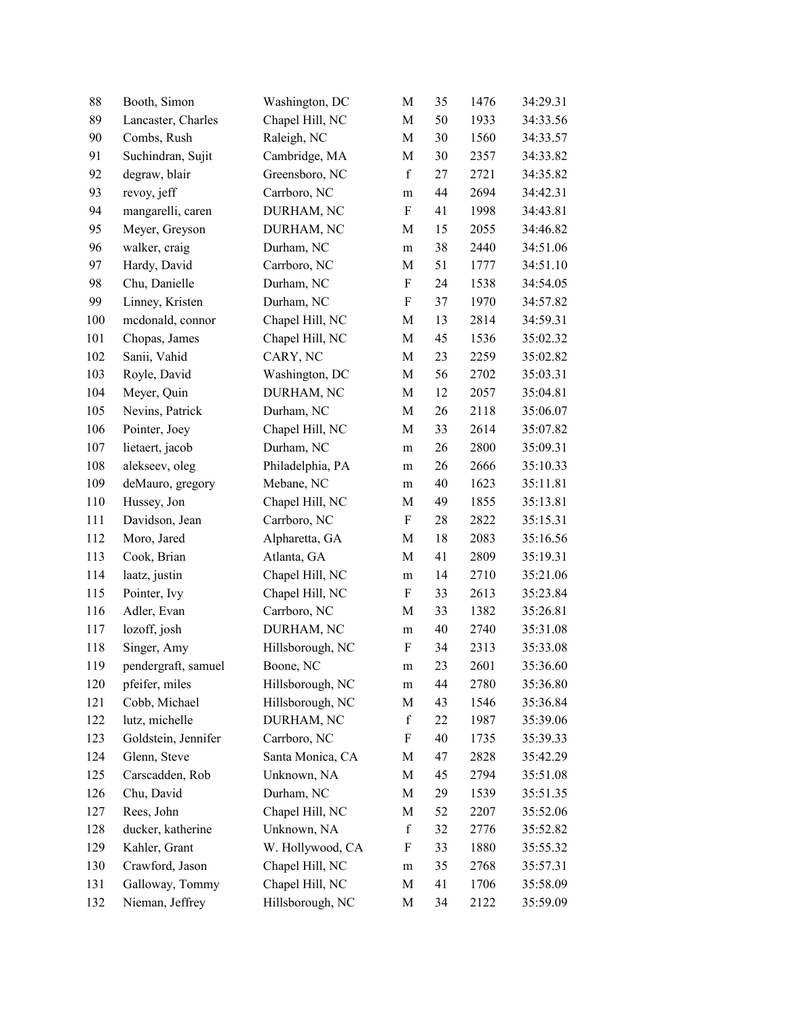| 88  | Booth, Simon        | Washington, DC   | M                         | 35 | 1476 | 34:29.31 |
|-----|---------------------|------------------|---------------------------|----|------|----------|
| 89  | Lancaster, Charles  | Chapel Hill, NC  | M                         | 50 | 1933 | 34:33.56 |
| 90  | Combs, Rush         | Raleigh, NC      | M                         | 30 | 1560 | 34:33.57 |
| 91  | Suchindran, Sujit   | Cambridge, MA    | M                         | 30 | 2357 | 34:33.82 |
| 92  | degraw, blair       | Greensboro, NC   | $\mathbf f$               | 27 | 2721 | 34:35.82 |
| 93  | revoy, jeff         | Carrboro, NC     | ${\rm m}$                 | 44 | 2694 | 34:42.31 |
| 94  | mangarelli, caren   | DURHAM, NC       | $\rm F$                   | 41 | 1998 | 34:43.81 |
| 95  | Meyer, Greyson      | DURHAM, NC       | M                         | 15 | 2055 | 34:46.82 |
| 96  | walker, craig       | Durham, NC       | ${\rm m}$                 | 38 | 2440 | 34:51.06 |
| 97  | Hardy, David        | Carrboro, NC     | M                         | 51 | 1777 | 34:51.10 |
| 98  | Chu, Danielle       | Durham, NC       | $\boldsymbol{\mathrm{F}}$ | 24 | 1538 | 34:54.05 |
| 99  | Linney, Kristen     | Durham, NC       | $\rm F$                   | 37 | 1970 | 34:57.82 |
| 100 | medonald, connor    | Chapel Hill, NC  | M                         | 13 | 2814 | 34:59.31 |
| 101 | Chopas, James       | Chapel Hill, NC  | M                         | 45 | 1536 | 35:02.32 |
| 102 | Sanii, Vahid        | CARY, NC         | M                         | 23 | 2259 | 35:02.82 |
| 103 | Royle, David        | Washington, DC   | M                         | 56 | 2702 | 35:03.31 |
| 104 | Meyer, Quin         | DURHAM, NC       | M                         | 12 | 2057 | 35:04.81 |
| 105 | Nevins, Patrick     | Durham, NC       | M                         | 26 | 2118 | 35:06.07 |
| 106 | Pointer, Joey       | Chapel Hill, NC  | M                         | 33 | 2614 | 35:07.82 |
| 107 | lietaert, jacob     | Durham, NC       | m                         | 26 | 2800 | 35:09.31 |
| 108 | alekseev, oleg      | Philadelphia, PA | m                         | 26 | 2666 | 35:10.33 |
| 109 | deMauro, gregory    | Mebane, NC       | m                         | 40 | 1623 | 35:11.81 |
| 110 | Hussey, Jon         | Chapel Hill, NC  | M                         | 49 | 1855 | 35:13.81 |
| 111 | Davidson, Jean      | Carrboro, NC     | $\boldsymbol{\mathrm{F}}$ | 28 | 2822 | 35:15.31 |
| 112 | Moro, Jared         | Alpharetta, GA   | M                         | 18 | 2083 | 35:16.56 |
| 113 | Cook, Brian         | Atlanta, GA      | M                         | 41 | 2809 | 35:19.31 |
| 114 | laatz, justin       | Chapel Hill, NC  | ${\bf m}$                 | 14 | 2710 | 35:21.06 |
| 115 | Pointer, Ivy        | Chapel Hill, NC  | $\rm F$                   | 33 | 2613 | 35:23.84 |
| 116 | Adler, Evan         | Carrboro, NC     | M                         | 33 | 1382 | 35:26.81 |
| 117 | lozoff, josh        | DURHAM, NC       | m                         | 40 | 2740 | 35:31.08 |
| 118 | Singer, Amy         | Hillsborough, NC | $\boldsymbol{F}$          | 34 | 2313 | 35:33.08 |
| 119 | pendergraft, samuel | Boone, NC        | m                         | 23 | 2601 | 35:36.60 |
| 120 | pfeifer, miles      | Hillsborough, NC | m                         | 44 | 2780 | 35:36.80 |
| 121 | Cobb, Michael       | Hillsborough, NC | M                         | 43 | 1546 | 35:36.84 |
| 122 | lutz, michelle      | DURHAM, NC       | $\mathbf f$               | 22 | 1987 | 35:39.06 |
| 123 | Goldstein, Jennifer | Carrboro, NC     | $\boldsymbol{\mathrm{F}}$ | 40 | 1735 | 35:39.33 |
| 124 | Glenn, Steve        | Santa Monica, CA | М                         | 47 | 2828 | 35:42.29 |
| 125 | Carscadden, Rob     | Unknown, NA      | M                         | 45 | 2794 | 35:51.08 |
| 126 | Chu, David          | Durham, NC       | M                         | 29 | 1539 | 35:51.35 |
| 127 | Rees, John          | Chapel Hill, NC  | M                         | 52 | 2207 | 35:52.06 |
| 128 | ducker, katherine   | Unknown, NA      | $\mathbf f$               | 32 | 2776 | 35:52.82 |
| 129 | Kahler, Grant       | W. Hollywood, CA | F                         | 33 | 1880 | 35:55.32 |
| 130 | Crawford, Jason     | Chapel Hill, NC  | m                         | 35 | 2768 | 35:57.31 |
| 131 | Galloway, Tommy     | Chapel Hill, NC  | M                         | 41 | 1706 | 35:58.09 |
| 132 | Nieman, Jeffrey     | Hillsborough, NC | M                         | 34 | 2122 | 35:59.09 |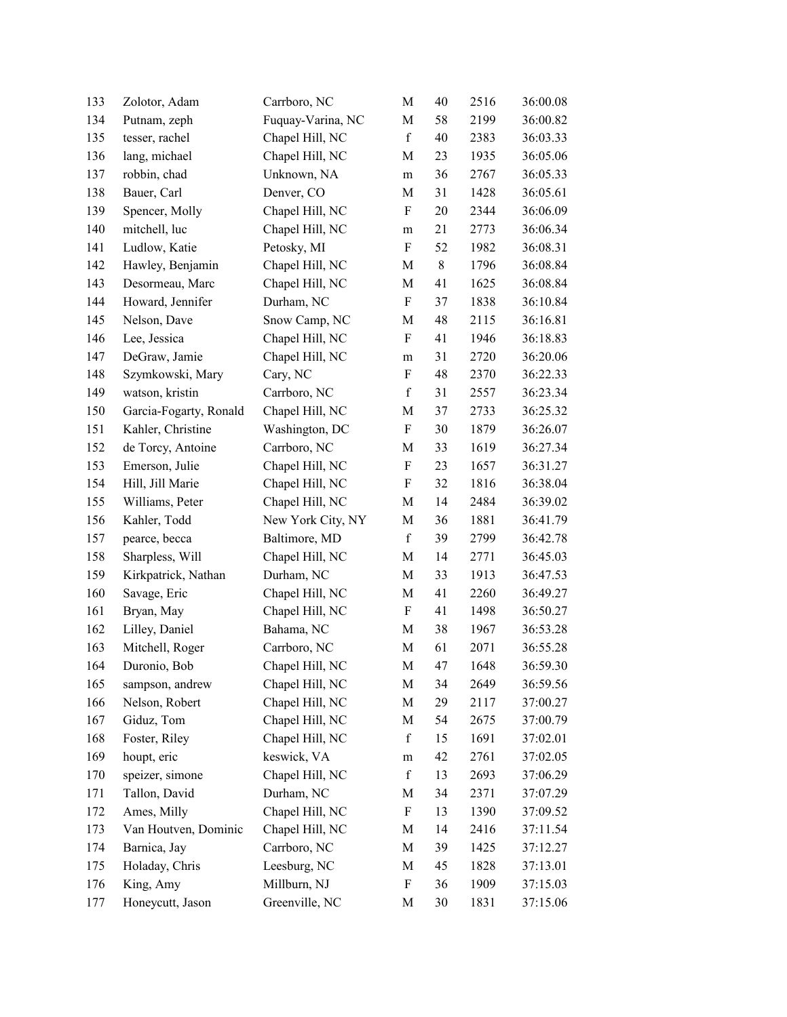| 133 | Zolotor, Adam          | Carrboro, NC      | M                         | 40 | 2516 | 36:00.08 |
|-----|------------------------|-------------------|---------------------------|----|------|----------|
| 134 | Putnam, zeph           | Fuquay-Varina, NC | M                         | 58 | 2199 | 36:00.82 |
| 135 | tesser, rachel         | Chapel Hill, NC   | $\mathbf f$               | 40 | 2383 | 36:03.33 |
| 136 | lang, michael          | Chapel Hill, NC   | M                         | 23 | 1935 | 36:05.06 |
| 137 | robbin, chad           | Unknown, NA       | m                         | 36 | 2767 | 36:05.33 |
| 138 | Bauer, Carl            | Denver, CO        | M                         | 31 | 1428 | 36:05.61 |
| 139 | Spencer, Molly         | Chapel Hill, NC   | F                         | 20 | 2344 | 36:06.09 |
| 140 | mitchell, luc          | Chapel Hill, NC   | ${\rm m}$                 | 21 | 2773 | 36:06.34 |
| 141 | Ludlow, Katie          | Petosky, MI       | $\boldsymbol{\mathrm{F}}$ | 52 | 1982 | 36:08.31 |
| 142 | Hawley, Benjamin       | Chapel Hill, NC   | M                         | 8  | 1796 | 36:08.84 |
| 143 | Desormeau, Marc        | Chapel Hill, NC   | M                         | 41 | 1625 | 36:08.84 |
| 144 | Howard, Jennifer       | Durham, NC        | $\rm F$                   | 37 | 1838 | 36:10.84 |
| 145 | Nelson, Dave           | Snow Camp, NC     | M                         | 48 | 2115 | 36:16.81 |
| 146 | Lee, Jessica           | Chapel Hill, NC   | $\boldsymbol{\mathrm{F}}$ | 41 | 1946 | 36:18.83 |
| 147 | DeGraw, Jamie          | Chapel Hill, NC   | ${\rm m}$                 | 31 | 2720 | 36:20.06 |
| 148 | Szymkowski, Mary       | Cary, NC          | F                         | 48 | 2370 | 36:22.33 |
| 149 | watson, kristin        | Carrboro, NC      | $\mathbf f$               | 31 | 2557 | 36:23.34 |
| 150 | Garcia-Fogarty, Ronald | Chapel Hill, NC   | M                         | 37 | 2733 | 36:25.32 |
| 151 | Kahler, Christine      | Washington, DC    | F                         | 30 | 1879 | 36:26.07 |
| 152 | de Torcy, Antoine      | Carrboro, NC      | M                         | 33 | 1619 | 36:27.34 |
| 153 | Emerson, Julie         | Chapel Hill, NC   | F                         | 23 | 1657 | 36:31.27 |
| 154 | Hill, Jill Marie       | Chapel Hill, NC   | F                         | 32 | 1816 | 36:38.04 |
| 155 | Williams, Peter        | Chapel Hill, NC   | M                         | 14 | 2484 | 36:39.02 |
| 156 | Kahler, Todd           | New York City, NY | M                         | 36 | 1881 | 36:41.79 |
| 157 | pearce, becca          | Baltimore, MD     | $\mathbf f$               | 39 | 2799 | 36:42.78 |
| 158 | Sharpless, Will        | Chapel Hill, NC   | M                         | 14 | 2771 | 36:45.03 |
| 159 | Kirkpatrick, Nathan    | Durham, NC        | M                         | 33 | 1913 | 36:47.53 |
| 160 | Savage, Eric           | Chapel Hill, NC   | M                         | 41 | 2260 | 36:49.27 |
| 161 | Bryan, May             | Chapel Hill, NC   | $\boldsymbol{\mathrm{F}}$ | 41 | 1498 | 36:50.27 |
| 162 | Lilley, Daniel         | Bahama, NC        | M                         | 38 | 1967 | 36:53.28 |
| 163 | Mitchell, Roger        | Carrboro, NC      | $\mathbf M$               | 61 | 2071 | 36:55.28 |
| 164 | Duronio, Bob           | Chapel Hill, NC   | M                         | 47 | 1648 | 36:59.30 |
| 165 | sampson, andrew        | Chapel Hill, NC   | M                         | 34 | 2649 | 36:59.56 |
| 166 | Nelson, Robert         | Chapel Hill, NC   | M                         | 29 | 2117 | 37:00.27 |
| 167 | Giduz, Tom             | Chapel Hill, NC   | M                         | 54 | 2675 | 37:00.79 |
| 168 | Foster, Riley          | Chapel Hill, NC   | $\mathbf f$               | 15 | 1691 | 37:02.01 |
| 169 | houpt, eric            | keswick, VA       | ${\rm m}$                 | 42 | 2761 | 37:02.05 |
| 170 | speizer, simone        | Chapel Hill, NC   | $\mathbf f$               | 13 | 2693 | 37:06.29 |
| 171 | Tallon, David          | Durham, NC        | M                         | 34 | 2371 | 37:07.29 |
| 172 | Ames, Milly            | Chapel Hill, NC   | $\boldsymbol{\mathrm{F}}$ | 13 | 1390 | 37:09.52 |
| 173 | Van Houtven, Dominic   | Chapel Hill, NC   | M                         | 14 | 2416 | 37:11.54 |
| 174 | Barnica, Jay           | Carrboro, NC      | M                         | 39 | 1425 | 37:12.27 |
| 175 | Holaday, Chris         | Leesburg, NC      | M                         | 45 | 1828 | 37:13.01 |
| 176 | King, Amy              | Millburn, NJ      | F                         | 36 | 1909 | 37:15.03 |
| 177 | Honeycutt, Jason       | Greenville, NC    | M                         | 30 | 1831 | 37:15.06 |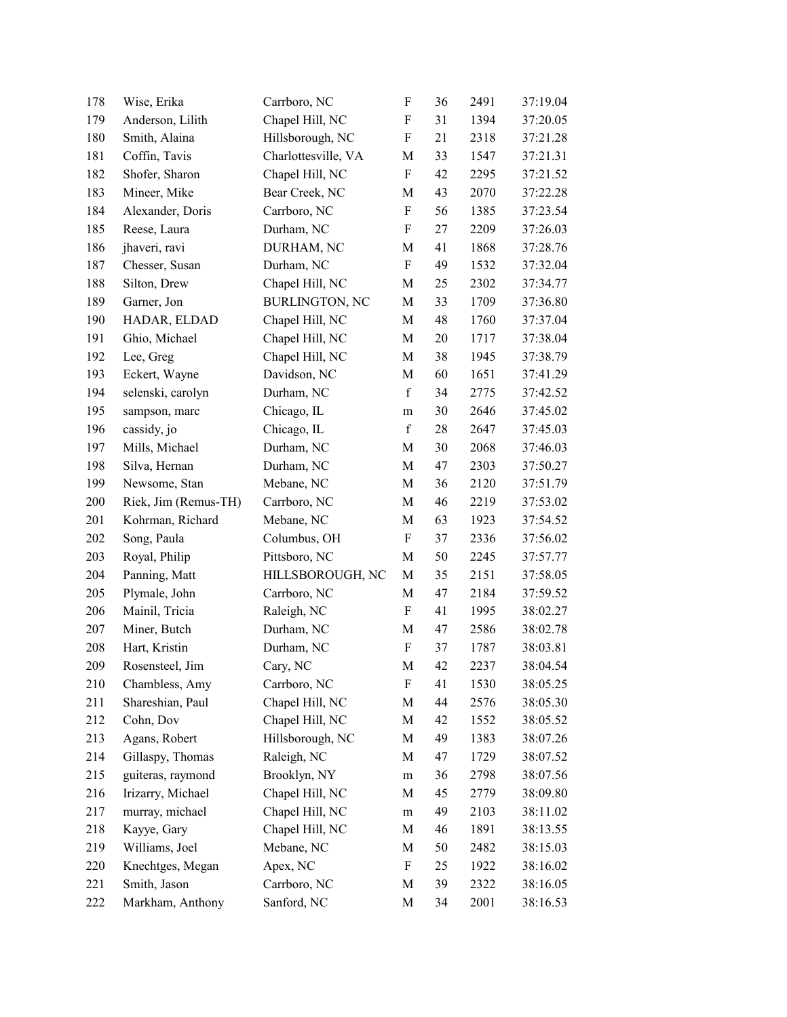| 178 | Wise, Erika          | Carrboro, NC          | $\boldsymbol{\mathrm{F}}$ | 36 | 2491 | 37:19.04 |
|-----|----------------------|-----------------------|---------------------------|----|------|----------|
| 179 | Anderson, Lilith     | Chapel Hill, NC       | $\boldsymbol{\mathrm{F}}$ | 31 | 1394 | 37:20.05 |
| 180 | Smith, Alaina        | Hillsborough, NC      | $\boldsymbol{\mathrm{F}}$ | 21 | 2318 | 37:21.28 |
| 181 | Coffin, Tavis        | Charlottesville, VA   | M                         | 33 | 1547 | 37:21.31 |
| 182 | Shofer, Sharon       | Chapel Hill, NC       | $\rm F$                   | 42 | 2295 | 37:21.52 |
| 183 | Mineer, Mike         | Bear Creek, NC        | M                         | 43 | 2070 | 37:22.28 |
| 184 | Alexander, Doris     | Carrboro, NC          | $\rm F$                   | 56 | 1385 | 37:23.54 |
| 185 | Reese, Laura         | Durham, NC            | $\boldsymbol{\mathrm{F}}$ | 27 | 2209 | 37:26.03 |
| 186 | jhaveri, ravi        | DURHAM, NC            | M                         | 41 | 1868 | 37:28.76 |
| 187 | Chesser, Susan       | Durham, NC            | $\rm F$                   | 49 | 1532 | 37:32.04 |
| 188 | Silton, Drew         | Chapel Hill, NC       | M                         | 25 | 2302 | 37:34.77 |
| 189 | Garner, Jon          | <b>BURLINGTON, NC</b> | M                         | 33 | 1709 | 37:36.80 |
| 190 | HADAR, ELDAD         | Chapel Hill, NC       | M                         | 48 | 1760 | 37:37.04 |
| 191 | Ghio, Michael        | Chapel Hill, NC       | M                         | 20 | 1717 | 37:38.04 |
| 192 | Lee, Greg            | Chapel Hill, NC       | M                         | 38 | 1945 | 37:38.79 |
| 193 | Eckert, Wayne        | Davidson, NC          | M                         | 60 | 1651 | 37:41.29 |
| 194 | selenski, carolyn    | Durham, NC            | $\mathbf f$               | 34 | 2775 | 37:42.52 |
| 195 | sampson, marc        | Chicago, IL           | m                         | 30 | 2646 | 37:45.02 |
| 196 | cassidy, jo          | Chicago, IL           | $\mathbf f$               | 28 | 2647 | 37:45.03 |
| 197 | Mills, Michael       | Durham, NC            | M                         | 30 | 2068 | 37:46.03 |
| 198 | Silva, Hernan        | Durham, NC            | M                         | 47 | 2303 | 37:50.27 |
| 199 | Newsome, Stan        | Mebane, NC            | M                         | 36 | 2120 | 37:51.79 |
| 200 | Riek, Jim (Remus-TH) | Carrboro, NC          | M                         | 46 | 2219 | 37:53.02 |
| 201 | Kohrman, Richard     | Mebane, NC            | M                         | 63 | 1923 | 37:54.52 |
| 202 | Song, Paula          | Columbus, OH          | $\boldsymbol{\mathrm{F}}$ | 37 | 2336 | 37:56.02 |
| 203 | Royal, Philip        | Pittsboro, NC         | M                         | 50 | 2245 | 37:57.77 |
| 204 | Panning, Matt        | HILLSBOROUGH, NC      | M                         | 35 | 2151 | 37:58.05 |
| 205 | Plymale, John        | Carrboro, NC          | M                         | 47 | 2184 | 37:59.52 |
| 206 | Mainil, Tricia       | Raleigh, NC           | F                         | 41 | 1995 | 38:02.27 |
| 207 | Miner, Butch         | Durham, NC            | M                         | 47 | 2586 | 38:02.78 |
| 208 | Hart, Kristin        | Durham, NC            | $\mathbf F$               | 37 | 1787 | 38:03.81 |
| 209 | Rosensteel, Jim      | Cary, NC              | M                         | 42 | 2237 | 38:04.54 |
| 210 | Chambless, Amy       | Carrboro, NC          | F                         | 41 | 1530 | 38:05.25 |
| 211 | Shareshian, Paul     | Chapel Hill, NC       | М                         | 44 | 2576 | 38:05.30 |
| 212 | Cohn, Dov            | Chapel Hill, NC       | М                         | 42 | 1552 | 38:05.52 |
| 213 | Agans, Robert        | Hillsborough, NC      | M                         | 49 | 1383 | 38:07.26 |
| 214 | Gillaspy, Thomas     | Raleigh, NC           | M                         | 47 | 1729 | 38:07.52 |
| 215 | guiteras, raymond    | Brooklyn, NY          | ${\rm m}$                 | 36 | 2798 | 38:07.56 |
| 216 | Irizarry, Michael    | Chapel Hill, NC       | M                         | 45 | 2779 | 38:09.80 |
| 217 | murray, michael      | Chapel Hill, NC       | m                         | 49 | 2103 | 38:11.02 |
| 218 | Kayye, Gary          | Chapel Hill, NC       | M                         | 46 | 1891 | 38:13.55 |
| 219 | Williams, Joel       | Mebane, NC            | M                         | 50 | 2482 | 38:15.03 |
| 220 | Knechtges, Megan     | Apex, NC              | F                         | 25 | 1922 | 38:16.02 |
| 221 | Smith, Jason         | Carrboro, NC          | M                         | 39 | 2322 | 38:16.05 |
| 222 | Markham, Anthony     | Sanford, NC           | M                         | 34 | 2001 | 38:16.53 |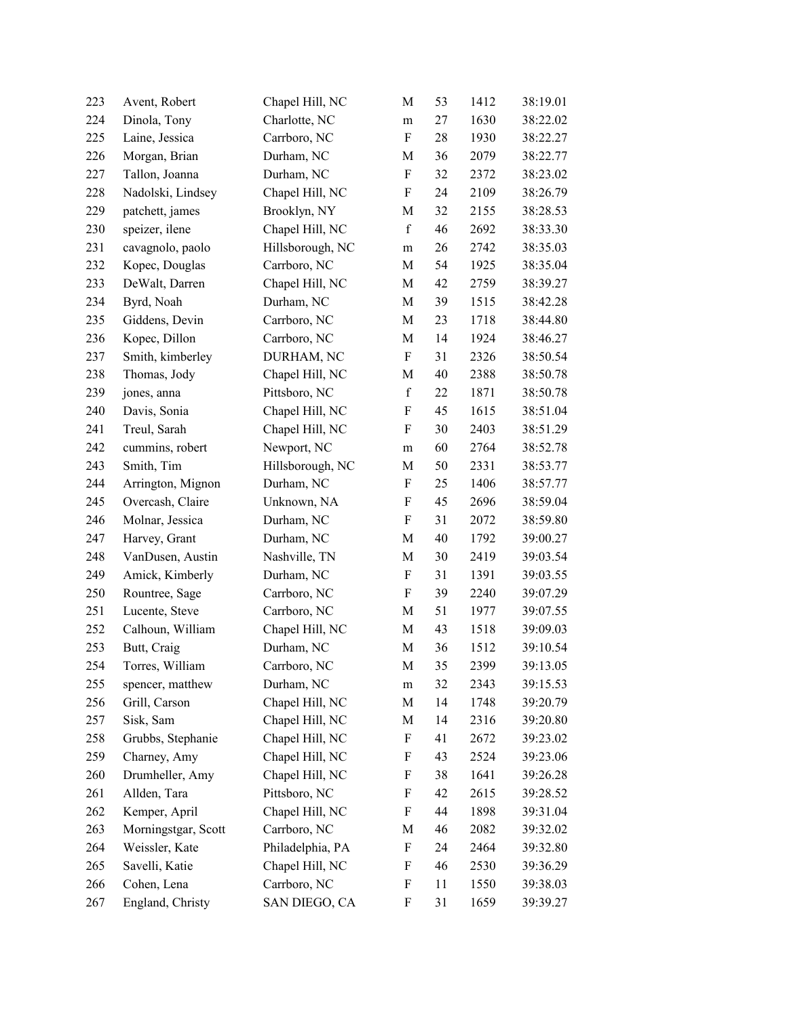| 223 | Avent, Robert       | Chapel Hill, NC  | M                         | 53 | 1412 | 38:19.01 |
|-----|---------------------|------------------|---------------------------|----|------|----------|
| 224 | Dinola, Tony        | Charlotte, NC    | m                         | 27 | 1630 | 38:22.02 |
| 225 | Laine, Jessica      | Carrboro, NC     | $\boldsymbol{\mathrm{F}}$ | 28 | 1930 | 38:22.27 |
| 226 | Morgan, Brian       | Durham, NC       | M                         | 36 | 2079 | 38:22.77 |
| 227 | Tallon, Joanna      | Durham, NC       | F                         | 32 | 2372 | 38:23.02 |
| 228 | Nadolski, Lindsey   | Chapel Hill, NC  | $\boldsymbol{F}$          | 24 | 2109 | 38:26.79 |
| 229 | patchett, james     | Brooklyn, NY     | M                         | 32 | 2155 | 38:28.53 |
| 230 | speizer, ilene      | Chapel Hill, NC  | $\mathbf f$               | 46 | 2692 | 38:33.30 |
| 231 | cavagnolo, paolo    | Hillsborough, NC | ${\rm m}$                 | 26 | 2742 | 38:35.03 |
| 232 | Kopec, Douglas      | Carrboro, NC     | M                         | 54 | 1925 | 38:35.04 |
| 233 | DeWalt, Darren      | Chapel Hill, NC  | M                         | 42 | 2759 | 38:39.27 |
| 234 | Byrd, Noah          | Durham, NC       | M                         | 39 | 1515 | 38:42.28 |
| 235 | Giddens, Devin      | Carrboro, NC     | M                         | 23 | 1718 | 38:44.80 |
| 236 | Kopec, Dillon       | Carrboro, NC     | M                         | 14 | 1924 | 38:46.27 |
| 237 | Smith, kimberley    | DURHAM, NC       | $\boldsymbol{F}$          | 31 | 2326 | 38:50.54 |
| 238 | Thomas, Jody        | Chapel Hill, NC  | M                         | 40 | 2388 | 38:50.78 |
| 239 | jones, anna         | Pittsboro, NC    | $\mathbf f$               | 22 | 1871 | 38:50.78 |
| 240 | Davis, Sonia        | Chapel Hill, NC  | $\boldsymbol{\mathrm{F}}$ | 45 | 1615 | 38:51.04 |
| 241 | Treul, Sarah        | Chapel Hill, NC  | F                         | 30 | 2403 | 38:51.29 |
| 242 | cummins, robert     | Newport, NC      | m                         | 60 | 2764 | 38:52.78 |
| 243 | Smith, Tim          | Hillsborough, NC | M                         | 50 | 2331 | 38:53.77 |
| 244 | Arrington, Mignon   | Durham, NC       | $\boldsymbol{\mathrm{F}}$ | 25 | 1406 | 38:57.77 |
| 245 | Overcash, Claire    | Unknown, NA      | $\boldsymbol{\mathrm{F}}$ | 45 | 2696 | 38:59.04 |
| 246 | Molnar, Jessica     | Durham, NC       | F                         | 31 | 2072 | 38:59.80 |
| 247 | Harvey, Grant       | Durham, NC       | M                         | 40 | 1792 | 39:00.27 |
| 248 | VanDusen, Austin    | Nashville, TN    | M                         | 30 | 2419 | 39:03.54 |
| 249 | Amick, Kimberly     | Durham, NC       | F                         | 31 | 1391 | 39:03.55 |
| 250 | Rountree, Sage      | Carrboro, NC     | $\boldsymbol{F}$          | 39 | 2240 | 39:07.29 |
| 251 | Lucente, Steve      | Carrboro, NC     | M                         | 51 | 1977 | 39:07.55 |
| 252 | Calhoun, William    | Chapel Hill, NC  | M                         | 43 | 1518 | 39:09.03 |
| 253 | Butt, Craig         | Durham, NC       | M                         | 36 | 1512 | 39:10.54 |
| 254 | Torres, William     | Carrboro, NC     | M                         | 35 | 2399 | 39:13.05 |
| 255 | spencer, matthew    | Durham, NC       | ${\rm m}$                 | 32 | 2343 | 39:15.53 |
| 256 | Grill, Carson       | Chapel Hill, NC  | M                         | 14 | 1748 | 39:20.79 |
| 257 | Sisk, Sam           | Chapel Hill, NC  | M                         | 14 | 2316 | 39:20.80 |
| 258 | Grubbs, Stephanie   | Chapel Hill, NC  | $\boldsymbol{\mathrm{F}}$ | 41 | 2672 | 39:23.02 |
| 259 | Charney, Amy        | Chapel Hill, NC  | F                         | 43 | 2524 | 39:23.06 |
| 260 | Drumheller, Amy     | Chapel Hill, NC  | F                         | 38 | 1641 | 39:26.28 |
| 261 | Allden, Tara        | Pittsboro, NC    | F                         | 42 | 2615 | 39:28.52 |
| 262 | Kemper, April       | Chapel Hill, NC  | F                         | 44 | 1898 | 39:31.04 |
| 263 | Morningstgar, Scott | Carrboro, NC     | M                         | 46 | 2082 | 39:32.02 |
| 264 | Weissler, Kate      | Philadelphia, PA | F                         | 24 | 2464 | 39:32.80 |
| 265 | Savelli, Katie      | Chapel Hill, NC  | F                         | 46 | 2530 | 39:36.29 |
| 266 | Cohen, Lena         | Carrboro, NC     | F                         | 11 | 1550 | 39:38.03 |
| 267 | England, Christy    | SAN DIEGO, CA    | F                         | 31 | 1659 | 39:39.27 |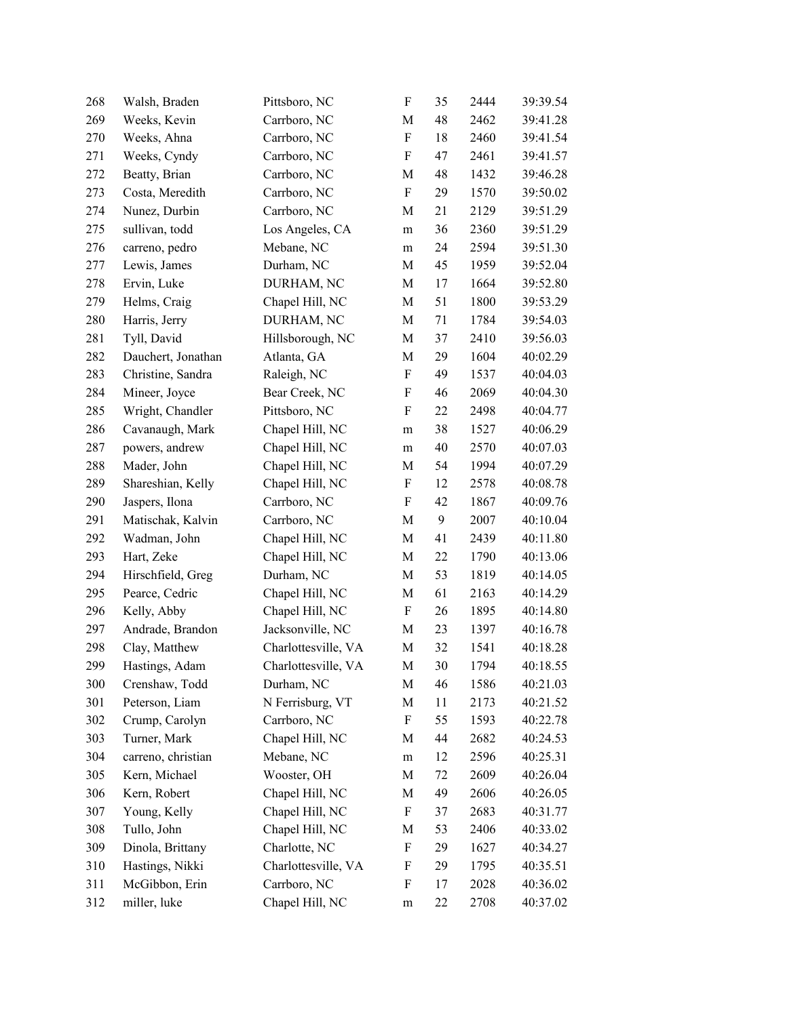| 268 | Walsh, Braden      | Pittsboro, NC       | $\boldsymbol{\mathrm{F}}$ | 35 | 2444 | 39:39.54 |
|-----|--------------------|---------------------|---------------------------|----|------|----------|
| 269 | Weeks, Kevin       | Carrboro, NC        | M                         | 48 | 2462 | 39:41.28 |
| 270 | Weeks, Ahna        | Carrboro, NC        | F                         | 18 | 2460 | 39:41.54 |
| 271 | Weeks, Cyndy       | Carrboro, NC        | $\boldsymbol{\mathrm{F}}$ | 47 | 2461 | 39:41.57 |
| 272 | Beatty, Brian      | Carrboro, NC        | M                         | 48 | 1432 | 39:46.28 |
| 273 | Costa, Meredith    | Carrboro, NC        | $\boldsymbol{\mathrm{F}}$ | 29 | 1570 | 39:50.02 |
| 274 | Nunez, Durbin      | Carrboro, NC        | M                         | 21 | 2129 | 39:51.29 |
| 275 | sullivan, todd     | Los Angeles, CA     | ${\rm m}$                 | 36 | 2360 | 39:51.29 |
| 276 | carreno, pedro     | Mebane, NC          | m                         | 24 | 2594 | 39:51.30 |
| 277 | Lewis, James       | Durham, NC          | M                         | 45 | 1959 | 39:52.04 |
| 278 | Ervin, Luke        | DURHAM, NC          | M                         | 17 | 1664 | 39:52.80 |
| 279 | Helms, Craig       | Chapel Hill, NC     | M                         | 51 | 1800 | 39:53.29 |
| 280 | Harris, Jerry      | DURHAM, NC          | M                         | 71 | 1784 | 39:54.03 |
| 281 | Tyll, David        | Hillsborough, NC    | M                         | 37 | 2410 | 39:56.03 |
| 282 | Dauchert, Jonathan | Atlanta, GA         | M                         | 29 | 1604 | 40:02.29 |
| 283 | Christine, Sandra  | Raleigh, NC         | $\boldsymbol{\mathrm{F}}$ | 49 | 1537 | 40:04.03 |
| 284 | Mineer, Joyce      | Bear Creek, NC      | F                         | 46 | 2069 | 40:04.30 |
| 285 | Wright, Chandler   | Pittsboro, NC       | $\boldsymbol{F}$          | 22 | 2498 | 40:04.77 |
| 286 | Cavanaugh, Mark    | Chapel Hill, NC     | m                         | 38 | 1527 | 40:06.29 |
| 287 | powers, andrew     | Chapel Hill, NC     | m                         | 40 | 2570 | 40:07.03 |
| 288 | Mader, John        | Chapel Hill, NC     | M                         | 54 | 1994 | 40:07.29 |
| 289 | Shareshian, Kelly  | Chapel Hill, NC     | $\boldsymbol{\mathrm{F}}$ | 12 | 2578 | 40:08.78 |
| 290 | Jaspers, Ilona     | Carrboro, NC        | $\boldsymbol{\mathrm{F}}$ | 42 | 1867 | 40:09.76 |
| 291 | Matischak, Kalvin  | Carrboro, NC        | M                         | 9  | 2007 | 40:10.04 |
| 292 | Wadman, John       | Chapel Hill, NC     | M                         | 41 | 2439 | 40:11.80 |
| 293 | Hart, Zeke         | Chapel Hill, NC     | M                         | 22 | 1790 | 40:13.06 |
| 294 | Hirschfield, Greg  | Durham, NC          | M                         | 53 | 1819 | 40:14.05 |
| 295 | Pearce, Cedric     | Chapel Hill, NC     | $\mathbf M$               | 61 | 2163 | 40:14.29 |
| 296 | Kelly, Abby        | Chapel Hill, NC     | $\boldsymbol{\mathrm{F}}$ | 26 | 1895 | 40:14.80 |
| 297 | Andrade, Brandon   | Jacksonville, NC    | M                         | 23 | 1397 | 40:16.78 |
| 298 | Clay, Matthew      | Charlottesville, VA | M                         | 32 | 1541 | 40:18.28 |
| 299 | Hastings, Adam     | Charlottesville, VA | M                         | 30 | 1794 | 40:18.55 |
| 300 | Crenshaw, Todd     | Durham, NC          | M                         | 46 | 1586 | 40:21.03 |
| 301 | Peterson, Liam     | N Ferrisburg, VT    | M                         | 11 | 2173 | 40:21.52 |
| 302 | Crump, Carolyn     | Carrboro, NC        | F                         | 55 | 1593 | 40:22.78 |
| 303 | Turner, Mark       | Chapel Hill, NC     | M                         | 44 | 2682 | 40:24.53 |
| 304 | carreno, christian | Mebane, NC          | m                         | 12 | 2596 | 40:25.31 |
| 305 | Kern, Michael      | Wooster, OH         | M                         | 72 | 2609 | 40:26.04 |
| 306 | Kern, Robert       | Chapel Hill, NC     | M                         | 49 | 2606 | 40:26.05 |
| 307 | Young, Kelly       | Chapel Hill, NC     | F                         | 37 | 2683 | 40:31.77 |
| 308 | Tullo, John        | Chapel Hill, NC     | M                         | 53 | 2406 | 40:33.02 |
| 309 | Dinola, Brittany   | Charlotte, NC       | F                         | 29 | 1627 | 40:34.27 |
| 310 | Hastings, Nikki    | Charlottesville, VA | F                         | 29 | 1795 | 40:35.51 |
| 311 | McGibbon, Erin     | Carrboro, NC        | F                         | 17 | 2028 | 40:36.02 |
| 312 | miller, luke       | Chapel Hill, NC     | m                         | 22 | 2708 | 40:37.02 |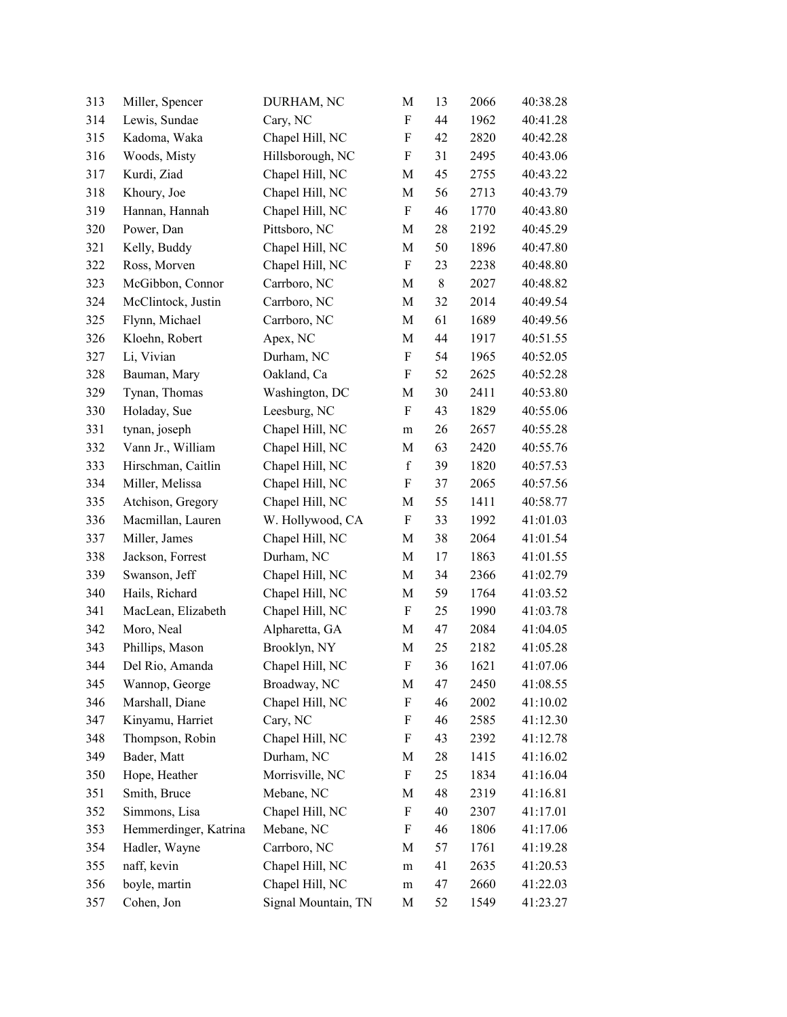| 313 | Miller, Spencer       | DURHAM, NC          | M                         | 13    | 2066 | 40:38.28 |
|-----|-----------------------|---------------------|---------------------------|-------|------|----------|
| 314 | Lewis, Sundae         | Cary, NC            | F                         | 44    | 1962 | 40:41.28 |
| 315 | Kadoma, Waka          | Chapel Hill, NC     | F                         | 42    | 2820 | 40:42.28 |
| 316 | Woods, Misty          | Hillsborough, NC    | F                         | 31    | 2495 | 40:43.06 |
| 317 | Kurdi, Ziad           | Chapel Hill, NC     | M                         | 45    | 2755 | 40:43.22 |
| 318 | Khoury, Joe           | Chapel Hill, NC     | M                         | 56    | 2713 | 40:43.79 |
| 319 | Hannan, Hannah        | Chapel Hill, NC     | F                         | 46    | 1770 | 40:43.80 |
| 320 | Power, Dan            | Pittsboro, NC       | M                         | 28    | 2192 | 40:45.29 |
| 321 | Kelly, Buddy          | Chapel Hill, NC     | M                         | 50    | 1896 | 40:47.80 |
| 322 | Ross, Morven          | Chapel Hill, NC     | $\boldsymbol{\mathrm{F}}$ | 23    | 2238 | 40:48.80 |
| 323 | McGibbon, Connor      | Carrboro, NC        | M                         | $8\,$ | 2027 | 40:48.82 |
| 324 | McClintock, Justin    | Carrboro, NC        | M                         | 32    | 2014 | 40:49.54 |
| 325 | Flynn, Michael        | Carrboro, NC        | M                         | 61    | 1689 | 40:49.56 |
| 326 | Kloehn, Robert        | Apex, NC            | $\mathbf M$               | 44    | 1917 | 40:51.55 |
| 327 | Li, Vivian            | Durham, NC          | F                         | 54    | 1965 | 40:52.05 |
| 328 | Bauman, Mary          | Oakland, Ca         | F                         | 52    | 2625 | 40:52.28 |
| 329 | Tynan, Thomas         | Washington, DC      | M                         | 30    | 2411 | 40:53.80 |
| 330 | Holaday, Sue          | Leesburg, NC        | F                         | 43    | 1829 | 40:55.06 |
| 331 | tynan, joseph         | Chapel Hill, NC     | m                         | 26    | 2657 | 40:55.28 |
| 332 | Vann Jr., William     | Chapel Hill, NC     | M                         | 63    | 2420 | 40:55.76 |
| 333 | Hirschman, Caitlin    | Chapel Hill, NC     | $\mathbf f$               | 39    | 1820 | 40:57.53 |
| 334 | Miller, Melissa       | Chapel Hill, NC     | F                         | 37    | 2065 | 40:57.56 |
| 335 | Atchison, Gregory     | Chapel Hill, NC     | M                         | 55    | 1411 | 40:58.77 |
| 336 | Macmillan, Lauren     | W. Hollywood, CA    | $\boldsymbol{\mathrm{F}}$ | 33    | 1992 | 41:01.03 |
| 337 | Miller, James         | Chapel Hill, NC     | M                         | 38    | 2064 | 41:01.54 |
| 338 | Jackson, Forrest      | Durham, NC          | M                         | 17    | 1863 | 41:01.55 |
| 339 | Swanson, Jeff         | Chapel Hill, NC     | M                         | 34    | 2366 | 41:02.79 |
| 340 | Hails, Richard        | Chapel Hill, NC     | M                         | 59    | 1764 | 41:03.52 |
| 341 | MacLean, Elizabeth    | Chapel Hill, NC     | F                         | 25    | 1990 | 41:03.78 |
| 342 | Moro, Neal            | Alpharetta, GA      | M                         | 47    | 2084 | 41:04.05 |
| 343 | Phillips, Mason       | Brooklyn, NY        | M                         | 25    | 2182 | 41:05.28 |
| 344 | Del Rio, Amanda       | Chapel Hill, NC     | F                         | 36    | 1621 | 41:07.06 |
| 345 | Wannop, George        | Broadway, NC        | M                         | 47    | 2450 | 41:08.55 |
| 346 | Marshall, Diane       | Chapel Hill, NC     | F                         | 46    | 2002 | 41:10.02 |
| 347 | Kinyamu, Harriet      | Cary, NC            | F                         | 46    | 2585 | 41:12.30 |
| 348 | Thompson, Robin       | Chapel Hill, NC     | $\boldsymbol{\mathrm{F}}$ | 43    | 2392 | 41:12.78 |
| 349 | Bader, Matt           | Durham, NC          | M                         | 28    | 1415 | 41:16.02 |
| 350 | Hope, Heather         | Morrisville, NC     | F                         | 25    | 1834 | 41:16.04 |
| 351 | Smith, Bruce          | Mebane, NC          | M                         | 48    | 2319 | 41:16.81 |
| 352 | Simmons, Lisa         | Chapel Hill, NC     | F                         | 40    | 2307 | 41:17.01 |
| 353 | Hemmerdinger, Katrina | Mebane, NC          | F                         | 46    | 1806 | 41:17.06 |
| 354 | Hadler, Wayne         | Carrboro, NC        | M                         | 57    | 1761 | 41:19.28 |
| 355 | naff, kevin           | Chapel Hill, NC     | m                         | 41    | 2635 | 41:20.53 |
| 356 | boyle, martin         | Chapel Hill, NC     | m                         | 47    | 2660 | 41:22.03 |
| 357 | Cohen, Jon            | Signal Mountain, TN | M                         | 52    | 1549 | 41:23.27 |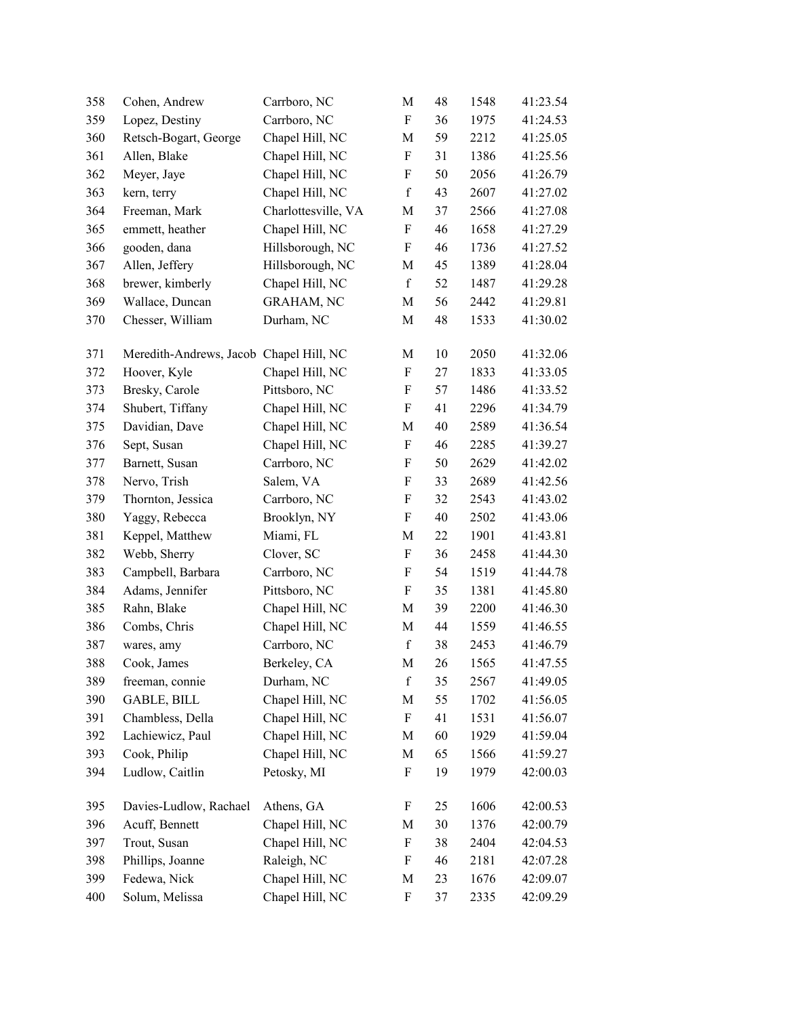| 358 | Cohen, Andrew                           | Carrboro, NC        | M                         | 48 | 1548 | 41:23.54 |
|-----|-----------------------------------------|---------------------|---------------------------|----|------|----------|
| 359 | Lopez, Destiny                          | Carrboro, NC        | $\boldsymbol{\mathrm{F}}$ | 36 | 1975 | 41:24.53 |
| 360 | Retsch-Bogart, George                   | Chapel Hill, NC     | M                         | 59 | 2212 | 41:25.05 |
| 361 | Allen, Blake                            | Chapel Hill, NC     | $\boldsymbol{\mathrm{F}}$ | 31 | 1386 | 41:25.56 |
| 362 | Meyer, Jaye                             | Chapel Hill, NC     | $\boldsymbol{\mathrm{F}}$ | 50 | 2056 | 41:26.79 |
| 363 | kern, terry                             | Chapel Hill, NC     | $\mathbf f$               | 43 | 2607 | 41:27.02 |
| 364 | Freeman, Mark                           | Charlottesville, VA | M                         | 37 | 2566 | 41:27.08 |
| 365 | emmett, heather                         | Chapel Hill, NC     | ${\bf F}$                 | 46 | 1658 | 41:27.29 |
| 366 | gooden, dana                            | Hillsborough, NC    | $\boldsymbol{\mathrm{F}}$ | 46 | 1736 | 41:27.52 |
| 367 | Allen, Jeffery                          | Hillsborough, NC    | M                         | 45 | 1389 | 41:28.04 |
| 368 | brewer, kimberly                        | Chapel Hill, NC     | $\mathbf f$               | 52 | 1487 | 41:29.28 |
| 369 | Wallace, Duncan                         | <b>GRAHAM, NC</b>   | M                         | 56 | 2442 | 41:29.81 |
| 370 | Chesser, William                        | Durham, NC          | M                         | 48 | 1533 | 41:30.02 |
| 371 | Meredith-Andrews, Jacob Chapel Hill, NC |                     | M                         | 10 | 2050 | 41:32.06 |
| 372 | Hoover, Kyle                            | Chapel Hill, NC     | $\boldsymbol{\mathrm{F}}$ | 27 | 1833 | 41:33.05 |
| 373 | Bresky, Carole                          | Pittsboro, NC       | $\boldsymbol{\mathrm{F}}$ | 57 | 1486 | 41:33.52 |
| 374 | Shubert, Tiffany                        | Chapel Hill, NC     | ${\bf F}$                 | 41 | 2296 | 41:34.79 |
| 375 | Davidian, Dave                          | Chapel Hill, NC     | M                         | 40 | 2589 | 41:36.54 |
| 376 | Sept, Susan                             | Chapel Hill, NC     | F                         | 46 | 2285 | 41:39.27 |
| 377 | Barnett, Susan                          | Carrboro, NC        | $\boldsymbol{\mathrm{F}}$ | 50 | 2629 | 41:42.02 |
| 378 | Nervo, Trish                            | Salem, VA           | F                         | 33 | 2689 | 41:42.56 |
| 379 | Thornton, Jessica                       | Carrboro, NC        | $\boldsymbol{\mathrm{F}}$ | 32 | 2543 | 41:43.02 |
| 380 | Yaggy, Rebecca                          | Brooklyn, NY        | $\boldsymbol{\mathrm{F}}$ | 40 | 2502 | 41:43.06 |
| 381 | Keppel, Matthew                         | Miami, FL           | M                         | 22 | 1901 | 41:43.81 |
| 382 | Webb, Sherry                            | Clover, SC          | $\boldsymbol{\mathrm{F}}$ | 36 | 2458 | 41:44.30 |
| 383 | Campbell, Barbara                       | Carrboro, NC        | $\boldsymbol{\mathrm{F}}$ | 54 | 1519 | 41:44.78 |
| 384 | Adams, Jennifer                         | Pittsboro, NC       | $\boldsymbol{\mathrm{F}}$ | 35 | 1381 | 41:45.80 |
| 385 | Rahn, Blake                             | Chapel Hill, NC     | M                         | 39 | 2200 | 41:46.30 |
| 386 | Combs, Chris                            | Chapel Hill, NC     | M                         | 44 | 1559 | 41:46.55 |
| 387 | wares, amy                              | Carrboro, NC        | $\mathbf f$               | 38 | 2453 | 41:46.79 |
| 388 | Cook, James                             | Berkeley, CA        | M                         | 26 | 1565 | 41:47.55 |
| 389 | freeman, connie                         | Durham, NC          | $\mathbf f$               | 35 | 2567 | 41:49.05 |
| 390 | <b>GABLE, BILL</b>                      | Chapel Hill, NC     | M                         | 55 | 1702 | 41:56.05 |
| 391 | Chambless, Della                        | Chapel Hill, NC     | $\boldsymbol{\mathrm{F}}$ | 41 | 1531 | 41:56.07 |
| 392 | Lachiewicz, Paul                        | Chapel Hill, NC     | M                         | 60 | 1929 | 41:59.04 |
| 393 | Cook, Philip                            | Chapel Hill, NC     | M                         | 65 | 1566 | 41:59.27 |
| 394 | Ludlow, Caitlin                         | Petosky, MI         | $\boldsymbol{\mathrm{F}}$ | 19 | 1979 | 42:00.03 |
| 395 | Davies-Ludlow, Rachael                  | Athens, GA          | F                         | 25 | 1606 | 42:00.53 |
| 396 | Acuff, Bennett                          | Chapel Hill, NC     | М                         | 30 | 1376 | 42:00.79 |
| 397 | Trout, Susan                            | Chapel Hill, NC     | F                         | 38 | 2404 | 42:04.53 |
| 398 | Phillips, Joanne                        | Raleigh, NC         | $\boldsymbol{\mathrm{F}}$ | 46 | 2181 | 42:07.28 |
| 399 | Fedewa, Nick                            | Chapel Hill, NC     | M                         | 23 | 1676 | 42:09.07 |
| 400 | Solum, Melissa                          | Chapel Hill, NC     | F                         | 37 | 2335 | 42:09.29 |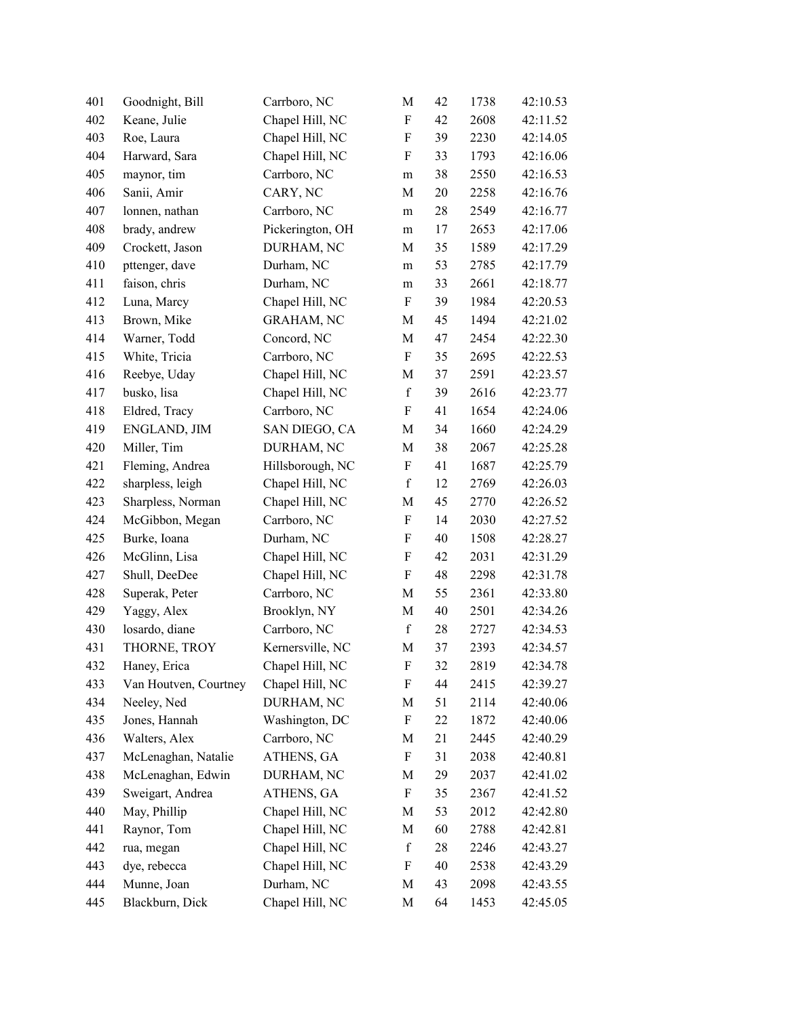| 401 | Goodnight, Bill       | Carrboro, NC      | M                         | 42 | 1738 | 42:10.53 |
|-----|-----------------------|-------------------|---------------------------|----|------|----------|
| 402 | Keane, Julie          | Chapel Hill, NC   | F                         | 42 | 2608 | 42:11.52 |
| 403 | Roe, Laura            | Chapel Hill, NC   | $\boldsymbol{\mathrm{F}}$ | 39 | 2230 | 42:14.05 |
| 404 | Harward, Sara         | Chapel Hill, NC   | $\boldsymbol{\mathrm{F}}$ | 33 | 1793 | 42:16.06 |
| 405 | maynor, tim           | Carrboro, NC      | ${\rm m}$                 | 38 | 2550 | 42:16.53 |
| 406 | Sanii, Amir           | CARY, NC          | M                         | 20 | 2258 | 42:16.76 |
| 407 | lonnen, nathan        | Carrboro, NC      | m                         | 28 | 2549 | 42:16.77 |
| 408 | brady, andrew         | Pickerington, OH  | ${\rm m}$                 | 17 | 2653 | 42:17.06 |
| 409 | Crockett, Jason       | DURHAM, NC        | M                         | 35 | 1589 | 42:17.29 |
| 410 | pttenger, dave        | Durham, NC        | m                         | 53 | 2785 | 42:17.79 |
| 411 | faison, chris         | Durham, NC        | m                         | 33 | 2661 | 42:18.77 |
| 412 | Luna, Marcy           | Chapel Hill, NC   | $\boldsymbol{\mathrm{F}}$ | 39 | 1984 | 42:20.53 |
| 413 | Brown, Mike           | <b>GRAHAM, NC</b> | M                         | 45 | 1494 | 42:21.02 |
| 414 | Warner, Todd          | Concord, NC       | M                         | 47 | 2454 | 42:22.30 |
| 415 | White, Tricia         | Carrboro, NC      | $\boldsymbol{\mathrm{F}}$ | 35 | 2695 | 42:22.53 |
| 416 | Reebye, Uday          | Chapel Hill, NC   | M                         | 37 | 2591 | 42:23.57 |
| 417 | busko, lisa           | Chapel Hill, NC   | $\mathbf f$               | 39 | 2616 | 42:23.77 |
| 418 | Eldred, Tracy         | Carrboro, NC      | $\boldsymbol{\mathrm{F}}$ | 41 | 1654 | 42:24.06 |
| 419 | ENGLAND, JIM          | SAN DIEGO, CA     | M                         | 34 | 1660 | 42:24.29 |
| 420 | Miller, Tim           | DURHAM, NC        | M                         | 38 | 2067 | 42:25.28 |
| 421 | Fleming, Andrea       | Hillsborough, NC  | F                         | 41 | 1687 | 42:25.79 |
| 422 | sharpless, leigh      | Chapel Hill, NC   | $\mathbf f$               | 12 | 2769 | 42:26.03 |
| 423 | Sharpless, Norman     | Chapel Hill, NC   | M                         | 45 | 2770 | 42:26.52 |
| 424 | McGibbon, Megan       | Carrboro, NC      | $\boldsymbol{\mathrm{F}}$ | 14 | 2030 | 42:27.52 |
| 425 | Burke, Ioana          | Durham, NC        | $\boldsymbol{\mathrm{F}}$ | 40 | 1508 | 42:28.27 |
| 426 | McGlinn, Lisa         | Chapel Hill, NC   | $\boldsymbol{\mathrm{F}}$ | 42 | 2031 | 42:31.29 |
| 427 | Shull, DeeDee         | Chapel Hill, NC   | $\boldsymbol{\mathrm{F}}$ | 48 | 2298 | 42:31.78 |
| 428 | Superak, Peter        | Carrboro, NC      | M                         | 55 | 2361 | 42:33.80 |
| 429 | Yaggy, Alex           | Brooklyn, NY      | M                         | 40 | 2501 | 42:34.26 |
| 430 | losardo, diane        | Carrboro, NC      | $\mathbf f$               | 28 | 2727 | 42:34.53 |
| 431 | THORNE, TROY          | Kernersville, NC  | M                         | 37 | 2393 | 42:34.57 |
| 432 | Haney, Erica          | Chapel Hill, NC   | $\boldsymbol{\mathrm{F}}$ | 32 | 2819 | 42:34.78 |
| 433 | Van Houtven, Courtney | Chapel Hill, NC   | F                         | 44 | 2415 | 42:39.27 |
| 434 | Neeley, Ned           | DURHAM, NC        | M                         | 51 | 2114 | 42:40.06 |
| 435 | Jones, Hannah         | Washington, DC    | F                         | 22 | 1872 | 42:40.06 |
| 436 | Walters, Alex         | Carrboro, NC      | M                         | 21 | 2445 | 42:40.29 |
| 437 | McLenaghan, Natalie   | ATHENS, GA        | F                         | 31 | 2038 | 42:40.81 |
| 438 | McLenaghan, Edwin     | DURHAM, NC        | M                         | 29 | 2037 | 42:41.02 |
| 439 | Sweigart, Andrea      | ATHENS, GA        | F                         | 35 | 2367 | 42:41.52 |
| 440 | May, Phillip          | Chapel Hill, NC   | M                         | 53 | 2012 | 42:42.80 |
| 441 | Raynor, Tom           | Chapel Hill, NC   | M                         | 60 | 2788 | 42:42.81 |
| 442 | rua, megan            | Chapel Hill, NC   | $\mathbf f$               | 28 | 2246 | 42:43.27 |
| 443 | dye, rebecca          | Chapel Hill, NC   | F                         | 40 | 2538 | 42:43.29 |
| 444 | Munne, Joan           | Durham, NC        | M                         | 43 | 2098 | 42:43.55 |
| 445 | Blackburn, Dick       | Chapel Hill, NC   | M                         | 64 | 1453 | 42:45.05 |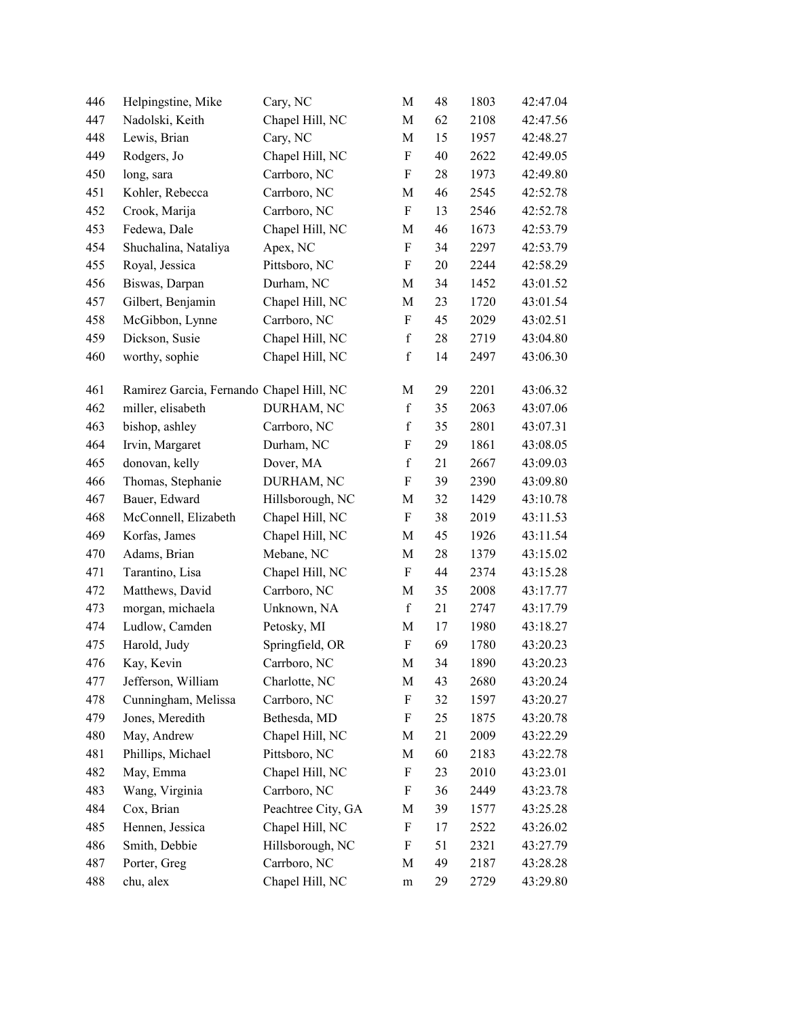| 446 | Helpingstine, Mike                       | Cary, NC           | M                         | 48     | 1803 | 42:47.04 |
|-----|------------------------------------------|--------------------|---------------------------|--------|------|----------|
| 447 | Nadolski, Keith                          | Chapel Hill, NC    | M                         | 62     | 2108 | 42:47.56 |
| 448 | Lewis, Brian                             | Cary, NC           | $\mathbf M$               | 15     | 1957 | 42:48.27 |
| 449 | Rodgers, Jo                              | Chapel Hill, NC    | $\boldsymbol{\mathrm{F}}$ | 40     | 2622 | 42:49.05 |
| 450 | long, sara                               | Carrboro, NC       | $\boldsymbol{\mathrm{F}}$ | 28     | 1973 | 42:49.80 |
| 451 | Kohler, Rebecca                          | Carrboro, NC       | M                         | 46     | 2545 | 42:52.78 |
| 452 | Crook, Marija                            | Carrboro, NC       | $\boldsymbol{\mathrm{F}}$ | 13     | 2546 | 42:52.78 |
| 453 | Fedewa, Dale                             | Chapel Hill, NC    | M                         | 46     | 1673 | 42:53.79 |
| 454 | Shuchalina, Nataliya                     | Apex, NC           | $\boldsymbol{\mathrm{F}}$ | 34     | 2297 | 42:53.79 |
| 455 | Royal, Jessica                           | Pittsboro, NC      | $\boldsymbol{\mathrm{F}}$ | 20     | 2244 | 42:58.29 |
| 456 | Biswas, Darpan                           | Durham, NC         | $\mathbf M$               | 34     | 1452 | 43:01.52 |
| 457 | Gilbert, Benjamin                        | Chapel Hill, NC    | M                         | 23     | 1720 | 43:01.54 |
| 458 | McGibbon, Lynne                          | Carrboro, NC       | $\boldsymbol{\mathrm{F}}$ | 45     | 2029 | 43:02.51 |
| 459 | Dickson, Susie                           | Chapel Hill, NC    | $\mathbf f$               | 28     | 2719 | 43:04.80 |
| 460 | worthy, sophie                           | Chapel Hill, NC    | $\mathbf f$               | 14     | 2497 | 43:06.30 |
| 461 | Ramirez Garcia, Fernando Chapel Hill, NC |                    | M                         | 29     | 2201 | 43:06.32 |
| 462 | miller, elisabeth                        | DURHAM, NC         | $\mathbf f$               | 35     | 2063 | 43:07.06 |
| 463 | bishop, ashley                           | Carrboro, NC       | $\mathbf f$               | 35     | 2801 | 43:07.31 |
| 464 | Irvin, Margaret                          | Durham, NC         | ${\bf F}$                 | 29     | 1861 | 43:08.05 |
| 465 | donovan, kelly                           | Dover, MA          | $\mathbf f$               | 21     | 2667 | 43:09.03 |
| 466 | Thomas, Stephanie                        | DURHAM, NC         | $\boldsymbol{\mathrm{F}}$ | 39     | 2390 | 43:09.80 |
| 467 | Bauer, Edward                            | Hillsborough, NC   | $\mathbf M$               | 32     | 1429 | 43:10.78 |
| 468 | McConnell, Elizabeth                     | Chapel Hill, NC    | $\boldsymbol{\mathrm{F}}$ | 38     | 2019 | 43:11.53 |
| 469 | Korfas, James                            | Chapel Hill, NC    | M                         | 45     | 1926 | 43:11.54 |
| 470 | Adams, Brian                             | Mebane, NC         | $\mathbf M$               | $28\,$ | 1379 | 43:15.02 |
| 471 | Tarantino, Lisa                          | Chapel Hill, NC    | $\boldsymbol{\mathrm{F}}$ | 44     | 2374 | 43:15.28 |
| 472 | Matthews, David                          | Carrboro, NC       | M                         | 35     | 2008 | 43:17.77 |
| 473 | morgan, michaela                         | Unknown, NA        | $\mathbf f$               | 21     | 2747 | 43:17.79 |
| 474 | Ludlow, Camden                           | Petosky, MI        | M                         | 17     | 1980 | 43:18.27 |
| 475 | Harold, Judy                             | Springfield, OR    | $\boldsymbol{\mathrm{F}}$ | 69     | 1780 | 43:20.23 |
| 476 | Kay, Kevin                               | Carrboro, NC       | M                         | 34     | 1890 | 43:20.23 |
| 477 | Jefferson, William                       | Charlotte, NC      | M                         | 43     | 2680 | 43:20.24 |
| 478 | Cunningham, Melissa                      | Carrboro, NC       | F                         | 32     | 1597 | 43:20.27 |
| 479 | Jones, Meredith                          | Bethesda, MD       | F                         | 25     | 1875 | 43:20.78 |
| 480 | May, Andrew                              | Chapel Hill, NC    | M                         | 21     | 2009 | 43:22.29 |
| 481 | Phillips, Michael                        | Pittsboro, NC      | M                         | 60     | 2183 | 43:22.78 |
| 482 | May, Emma                                | Chapel Hill, NC    | F                         | 23     | 2010 | 43:23.01 |
| 483 | Wang, Virginia                           | Carrboro, NC       | F                         | 36     | 2449 | 43:23.78 |
| 484 | Cox, Brian                               | Peachtree City, GA | M                         | 39     | 1577 | 43:25.28 |
| 485 | Hennen, Jessica                          | Chapel Hill, NC    | F                         | 17     | 2522 | 43:26.02 |
| 486 | Smith, Debbie                            | Hillsborough, NC   | F                         | 51     | 2321 | 43:27.79 |
| 487 | Porter, Greg                             | Carrboro, NC       | M                         | 49     | 2187 | 43:28.28 |
| 488 | chu, alex                                | Chapel Hill, NC    | m                         | 29     | 2729 | 43:29.80 |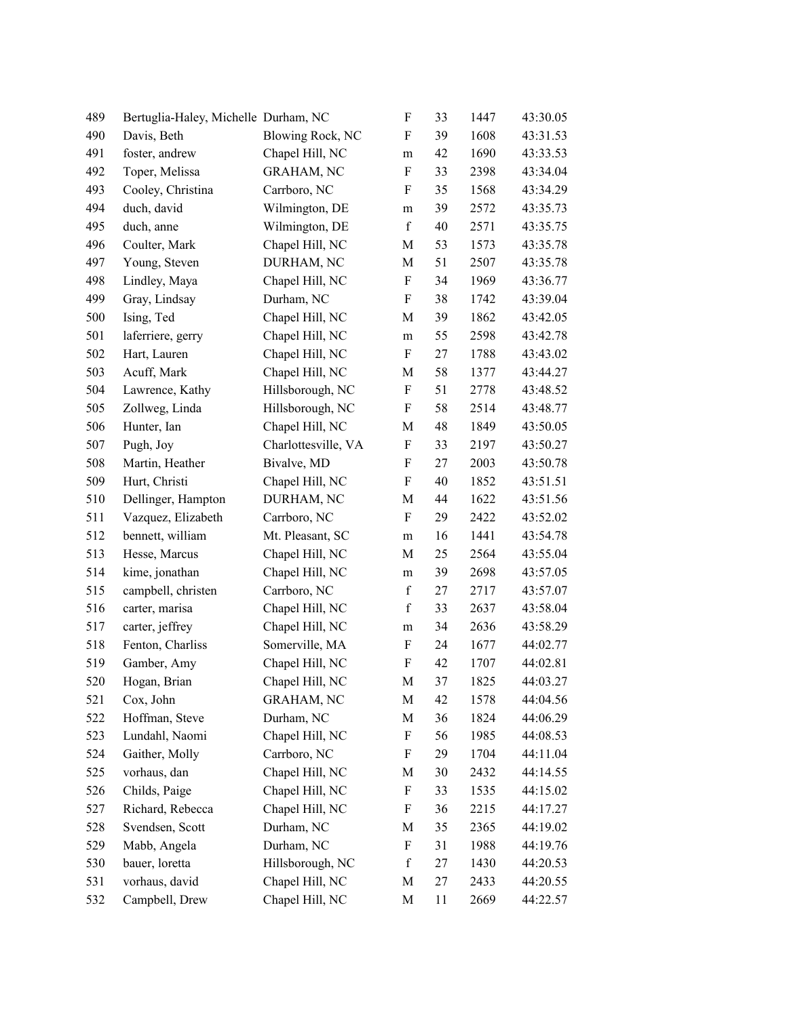| 489 | Bertuglia-Haley, Michelle Durham, NC |                         | F                         | 33 | 1447 | 43:30.05 |
|-----|--------------------------------------|-------------------------|---------------------------|----|------|----------|
| 490 | Davis, Beth                          | <b>Blowing Rock, NC</b> | $\boldsymbol{\mathrm{F}}$ | 39 | 1608 | 43:31.53 |
| 491 | foster, andrew                       | Chapel Hill, NC         | m                         | 42 | 1690 | 43:33.53 |
| 492 | Toper, Melissa                       | <b>GRAHAM, NC</b>       | F                         | 33 | 2398 | 43:34.04 |
| 493 | Cooley, Christina                    | Carrboro, NC            | $\boldsymbol{\mathrm{F}}$ | 35 | 1568 | 43:34.29 |
| 494 | duch, david                          | Wilmington, DE          | m                         | 39 | 2572 | 43:35.73 |
| 495 | duch, anne                           | Wilmington, DE          | $\mathbf f$               | 40 | 2571 | 43:35.75 |
| 496 | Coulter, Mark                        | Chapel Hill, NC         | M                         | 53 | 1573 | 43:35.78 |
| 497 | Young, Steven                        | DURHAM, NC              | M                         | 51 | 2507 | 43:35.78 |
| 498 | Lindley, Maya                        | Chapel Hill, NC         | $\boldsymbol{\mathrm{F}}$ | 34 | 1969 | 43:36.77 |
| 499 | Gray, Lindsay                        | Durham, NC              | $\boldsymbol{\mathrm{F}}$ | 38 | 1742 | 43:39.04 |
| 500 | Ising, Ted                           | Chapel Hill, NC         | M                         | 39 | 1862 | 43:42.05 |
| 501 | laferriere, gerry                    | Chapel Hill, NC         | ${\rm m}$                 | 55 | 2598 | 43:42.78 |
| 502 | Hart, Lauren                         | Chapel Hill, NC         | $\boldsymbol{\mathrm{F}}$ | 27 | 1788 | 43:43.02 |
| 503 | Acuff, Mark                          | Chapel Hill, NC         | M                         | 58 | 1377 | 43:44.27 |
| 504 | Lawrence, Kathy                      | Hillsborough, NC        | $\boldsymbol{\mathrm{F}}$ | 51 | 2778 | 43:48.52 |
| 505 | Zollweg, Linda                       | Hillsborough, NC        | ${\bf F}$                 | 58 | 2514 | 43:48.77 |
| 506 | Hunter, Ian                          | Chapel Hill, NC         | M                         | 48 | 1849 | 43:50.05 |
| 507 | Pugh, Joy                            | Charlottesville, VA     | F                         | 33 | 2197 | 43:50.27 |
| 508 | Martin, Heather                      | Bivalve, MD             | $\boldsymbol{\mathrm{F}}$ | 27 | 2003 | 43:50.78 |
| 509 | Hurt, Christi                        | Chapel Hill, NC         | $\boldsymbol{F}$          | 40 | 1852 | 43:51.51 |
| 510 | Dellinger, Hampton                   | DURHAM, NC              | $\mathbf M$               | 44 | 1622 | 43:51.56 |
| 511 | Vazquez, Elizabeth                   | Carrboro, NC            | F                         | 29 | 2422 | 43:52.02 |
| 512 | bennett, william                     | Mt. Pleasant, SC        | m                         | 16 | 1441 | 43:54.78 |
| 513 | Hesse, Marcus                        | Chapel Hill, NC         | M                         | 25 | 2564 | 43:55.04 |
| 514 | kime, jonathan                       | Chapel Hill, NC         | m                         | 39 | 2698 | 43:57.05 |
| 515 | campbell, christen                   | Carrboro, NC            | $\mathbf f$               | 27 | 2717 | 43:57.07 |
| 516 | carter, marisa                       | Chapel Hill, NC         | $\mathbf f$               | 33 | 2637 | 43:58.04 |
| 517 | carter, jeffrey                      | Chapel Hill, NC         | m                         | 34 | 2636 | 43:58.29 |
| 518 | Fenton, Charliss                     | Somerville, MA          | F                         | 24 | 1677 | 44:02.77 |
| 519 | Gamber, Amy                          | Chapel Hill, NC         | ${\bf F}$                 | 42 | 1707 | 44:02.81 |
| 520 | Hogan, Brian                         | Chapel Hill, NC         | M                         | 37 | 1825 | 44:03.27 |
| 521 | Cox, John                            | <b>GRAHAM, NC</b>       | M                         | 42 | 1578 | 44:04.56 |
| 522 | Hoffman, Steve                       | Durham, NC              | M                         | 36 | 1824 | 44:06.29 |
| 523 | Lundahl, Naomi                       | Chapel Hill, NC         | F                         | 56 | 1985 | 44:08.53 |
| 524 | Gaither, Molly                       | Carrboro, NC            | F                         | 29 | 1704 | 44:11.04 |
| 525 | vorhaus, dan                         | Chapel Hill, NC         | M                         | 30 | 2432 | 44:14.55 |
| 526 | Childs, Paige                        | Chapel Hill, NC         | F                         | 33 | 1535 | 44:15.02 |
| 527 | Richard, Rebecca                     | Chapel Hill, NC         | $\boldsymbol{\mathrm{F}}$ | 36 | 2215 | 44:17.27 |
| 528 | Svendsen, Scott                      | Durham, NC              | M                         | 35 | 2365 | 44:19.02 |
| 529 | Mabb, Angela                         | Durham, NC              | F                         | 31 | 1988 | 44:19.76 |
| 530 | bauer, loretta                       | Hillsborough, NC        | $\mathbf f$               | 27 | 1430 | 44:20.53 |
| 531 | vorhaus, david                       | Chapel Hill, NC         | M                         | 27 | 2433 | 44:20.55 |
| 532 | Campbell, Drew                       | Chapel Hill, NC         | $\mathbf M$               | 11 | 2669 | 44:22.57 |
|     |                                      |                         |                           |    |      |          |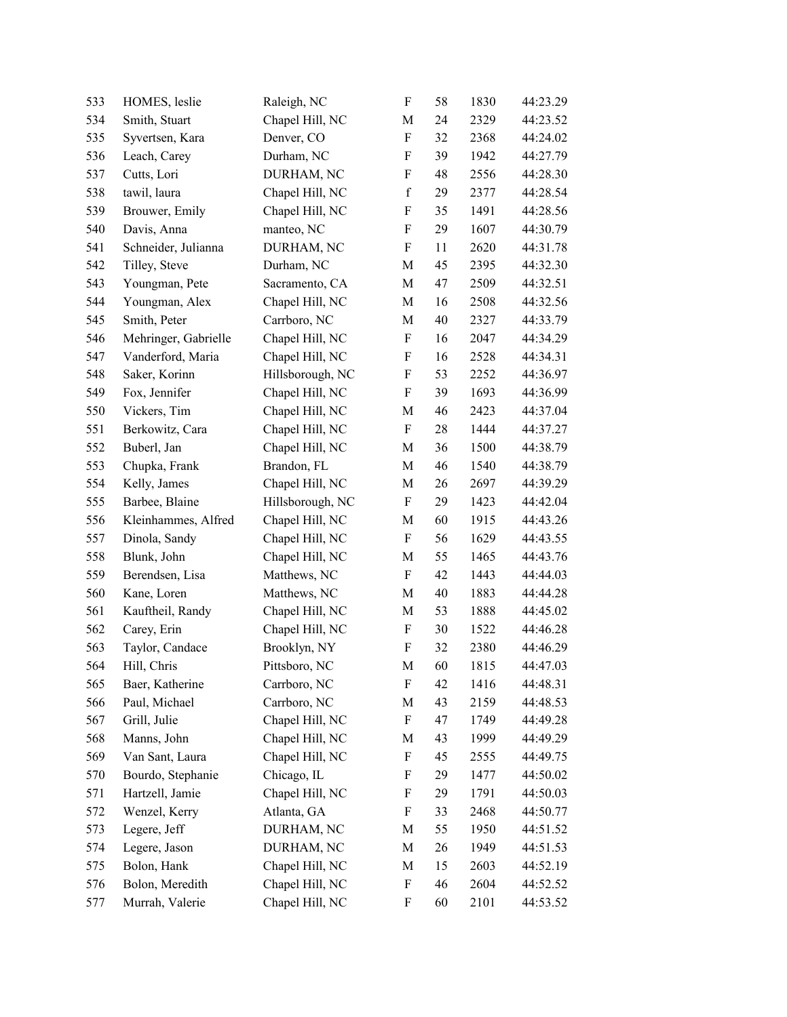| 533 | HOMES, leslie        | Raleigh, NC      | $\boldsymbol{\mathrm{F}}$ | 58 | 1830 | 44:23.29 |
|-----|----------------------|------------------|---------------------------|----|------|----------|
| 534 | Smith, Stuart        | Chapel Hill, NC  | M                         | 24 | 2329 | 44:23.52 |
| 535 | Syvertsen, Kara      | Denver, CO       | $\boldsymbol{\mathrm{F}}$ | 32 | 2368 | 44:24.02 |
| 536 | Leach, Carey         | Durham, NC       | F                         | 39 | 1942 | 44:27.79 |
| 537 | Cutts, Lori          | DURHAM, NC       | F                         | 48 | 2556 | 44:28.30 |
| 538 | tawil, laura         | Chapel Hill, NC  | $\mathbf f$               | 29 | 2377 | 44:28.54 |
| 539 | Brouwer, Emily       | Chapel Hill, NC  | F                         | 35 | 1491 | 44:28.56 |
| 540 | Davis, Anna          | manteo, NC       | $\boldsymbol{F}$          | 29 | 1607 | 44:30.79 |
| 541 | Schneider, Julianna  | DURHAM, NC       | $\boldsymbol{\mathrm{F}}$ | 11 | 2620 | 44:31.78 |
| 542 | Tilley, Steve        | Durham, NC       | M                         | 45 | 2395 | 44:32.30 |
| 543 | Youngman, Pete       | Sacramento, CA   | M                         | 47 | 2509 | 44:32.51 |
| 544 | Youngman, Alex       | Chapel Hill, NC  | M                         | 16 | 2508 | 44:32.56 |
| 545 | Smith, Peter         | Carrboro, NC     | $\mathbf M$               | 40 | 2327 | 44:33.79 |
| 546 | Mehringer, Gabrielle | Chapel Hill, NC  | $\boldsymbol{\mathrm{F}}$ | 16 | 2047 | 44:34.29 |
| 547 | Vanderford, Maria    | Chapel Hill, NC  | F                         | 16 | 2528 | 44:34.31 |
| 548 | Saker, Korinn        | Hillsborough, NC | F                         | 53 | 2252 | 44:36.97 |
| 549 | Fox, Jennifer        | Chapel Hill, NC  | $\boldsymbol{F}$          | 39 | 1693 | 44:36.99 |
| 550 | Vickers, Tim         | Chapel Hill, NC  | M                         | 46 | 2423 | 44:37.04 |
| 551 | Berkowitz, Cara      | Chapel Hill, NC  | $\boldsymbol{\mathrm{F}}$ | 28 | 1444 | 44:37.27 |
| 552 | Buberl, Jan          | Chapel Hill, NC  | M                         | 36 | 1500 | 44:38.79 |
| 553 | Chupka, Frank        | Brandon, FL      | M                         | 46 | 1540 | 44:38.79 |
| 554 | Kelly, James         | Chapel Hill, NC  | M                         | 26 | 2697 | 44:39.29 |
| 555 | Barbee, Blaine       | Hillsborough, NC | $\boldsymbol{\mathrm{F}}$ | 29 | 1423 | 44:42.04 |
| 556 | Kleinhammes, Alfred  | Chapel Hill, NC  | M                         | 60 | 1915 | 44:43.26 |
| 557 | Dinola, Sandy        | Chapel Hill, NC  | $\boldsymbol{\mathrm{F}}$ | 56 | 1629 | 44:43.55 |
| 558 | Blunk, John          | Chapel Hill, NC  | M                         | 55 | 1465 | 44:43.76 |
| 559 | Berendsen, Lisa      | Matthews, NC     | $\boldsymbol{F}$          | 42 | 1443 | 44:44.03 |
| 560 | Kane, Loren          | Matthews, NC     | M                         | 40 | 1883 | 44:44.28 |
| 561 | Kauftheil, Randy     | Chapel Hill, NC  | M                         | 53 | 1888 | 44:45.02 |
| 562 | Carey, Erin          | Chapel Hill, NC  | F                         | 30 | 1522 | 44:46.28 |
| 563 | Taylor, Candace      | Brooklyn, NY     | $\mathbf F$               | 32 | 2380 | 44:46.29 |
| 564 | Hill, Chris          | Pittsboro, NC    | M                         | 60 | 1815 | 44:47.03 |
| 565 | Baer, Katherine      | Carrboro, NC     | F                         | 42 | 1416 | 44:48.31 |
| 566 | Paul, Michael        | Carrboro, NC     | M                         | 43 | 2159 | 44:48.53 |
| 567 | Grill, Julie         | Chapel Hill, NC  | F                         | 47 | 1749 | 44:49.28 |
| 568 | Manns, John          | Chapel Hill, NC  | M                         | 43 | 1999 | 44:49.29 |
| 569 | Van Sant, Laura      | Chapel Hill, NC  | F                         | 45 | 2555 | 44:49.75 |
| 570 | Bourdo, Stephanie    | Chicago, IL      | F                         | 29 | 1477 | 44:50.02 |
| 571 | Hartzell, Jamie      | Chapel Hill, NC  | F                         | 29 | 1791 | 44:50.03 |
| 572 | Wenzel, Kerry        | Atlanta, GA      | F                         | 33 | 2468 | 44:50.77 |
| 573 | Legere, Jeff         | DURHAM, NC       | M                         | 55 | 1950 | 44:51.52 |
| 574 | Legere, Jason        | DURHAM, NC       | M                         | 26 | 1949 | 44:51.53 |
| 575 | Bolon, Hank          | Chapel Hill, NC  | M                         | 15 | 2603 | 44:52.19 |
| 576 | Bolon, Meredith      | Chapel Hill, NC  | $\boldsymbol{\mathrm{F}}$ | 46 | 2604 | 44:52.52 |
| 577 | Murrah, Valerie      | Chapel Hill, NC  | F                         | 60 | 2101 | 44:53.52 |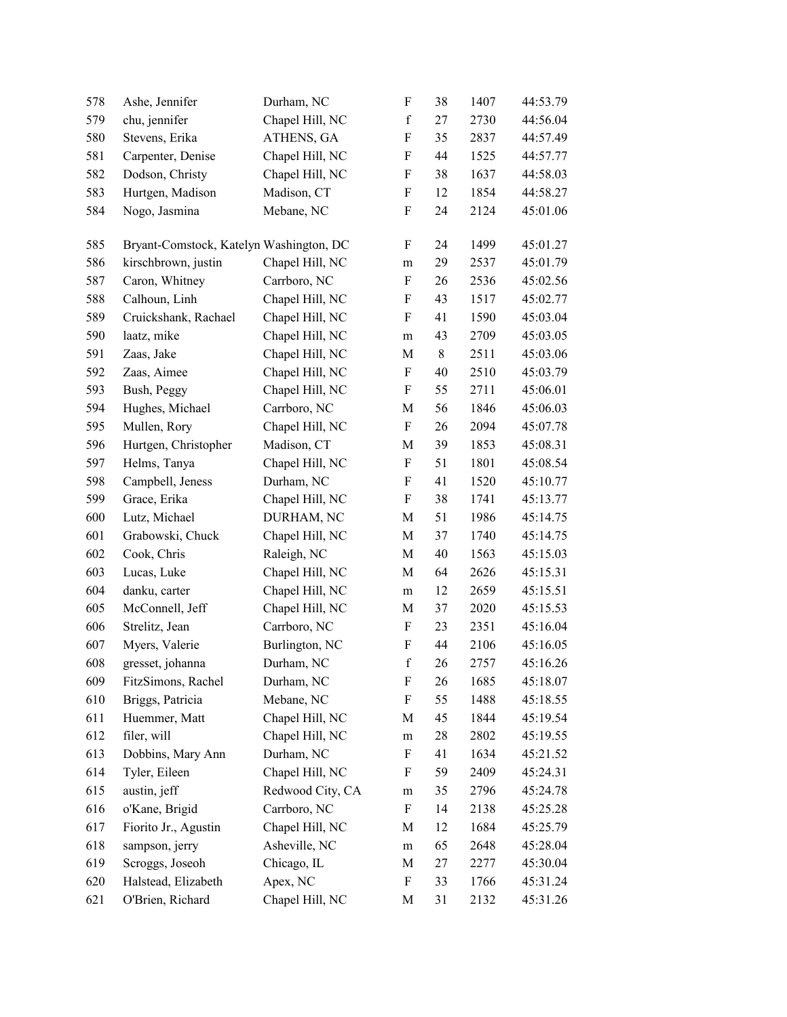| 579<br>580 | chu, jennifer<br>Stevens, Erika         | Chapel Hill, NC  | $\mathbf f$               | 27    | 2730 | 44:56.04 |
|------------|-----------------------------------------|------------------|---------------------------|-------|------|----------|
|            |                                         |                  |                           |       |      |          |
|            |                                         | ATHENS, GA       | F                         | 35    | 2837 | 44:57.49 |
| 581        | Carpenter, Denise                       | Chapel Hill, NC  | F                         | 44    | 1525 | 44:57.77 |
| 582        | Dodson, Christy                         | Chapel Hill, NC  | F                         | 38    | 1637 | 44:58.03 |
| 583        | Hurtgen, Madison                        | Madison, CT      | F                         | 12    | 1854 | 44:58.27 |
| 584        | Nogo, Jasmina                           | Mebane, NC       | F                         | 24    | 2124 | 45:01.06 |
| 585        | Bryant-Comstock, Katelyn Washington, DC |                  | F                         | 24    | 1499 | 45:01.27 |
| 586        | kirschbrown, justin                     | Chapel Hill, NC  | m                         | 29    | 2537 | 45:01.79 |
| 587        | Caron, Whitney                          | Carrboro, NC     | F                         | 26    | 2536 | 45:02.56 |
| 588        | Calhoun, Linh                           | Chapel Hill, NC  | F                         | 43    | 1517 | 45:02.77 |
| 589        | Cruickshank, Rachael                    | Chapel Hill, NC  | $\boldsymbol{F}$          | 41    | 1590 | 45:03.04 |
| 590        | laatz, mike                             | Chapel Hill, NC  | m                         | 43    | 2709 | 45:03.05 |
| 591        | Zaas, Jake                              | Chapel Hill, NC  | M                         | $8\,$ | 2511 | 45:03.06 |
| 592        | Zaas, Aimee                             | Chapel Hill, NC  | F                         | 40    | 2510 | 45:03.79 |
| 593        | Bush, Peggy                             | Chapel Hill, NC  | F                         | 55    | 2711 | 45:06.01 |
| 594        | Hughes, Michael                         | Carrboro, NC     | M                         | 56    | 1846 | 45:06.03 |
| 595        | Mullen, Rory                            | Chapel Hill, NC  | $\boldsymbol{\mathrm{F}}$ | 26    | 2094 | 45:07.78 |
| 596        | Hurtgen, Christopher                    | Madison, CT      | M                         | 39    | 1853 | 45:08.31 |
| 597        | Helms, Tanya                            | Chapel Hill, NC  | F                         | 51    | 1801 | 45:08.54 |
| 598        | Campbell, Jeness                        | Durham, NC       | F                         | 41    | 1520 | 45:10.77 |
| 599        | Grace, Erika                            | Chapel Hill, NC  | $\boldsymbol{\mathrm{F}}$ | 38    | 1741 | 45:13.77 |
| 600        | Lutz, Michael                           | DURHAM, NC       | M                         | 51    | 1986 | 45:14.75 |
| 601        | Grabowski, Chuck                        | Chapel Hill, NC  | M                         | 37    | 1740 | 45:14.75 |
| 602        | Cook, Chris                             | Raleigh, NC      | M                         | 40    | 1563 | 45:15.03 |
| 603        | Lucas, Luke                             | Chapel Hill, NC  | M                         | 64    | 2626 | 45:15.31 |
| 604        | danku, carter                           | Chapel Hill, NC  | m                         | 12    | 2659 | 45:15.51 |
| 605        | McConnell, Jeff                         | Chapel Hill, NC  | M                         | 37    | 2020 | 45:15.53 |
| 606        | Strelitz, Jean                          | Carrboro, NC     | F                         | 23    | 2351 | 45:16.04 |
| 607        | Myers, Valerie                          | Burlington, NC   | F                         | 44    | 2106 | 45:16.05 |
| 608        | gresset, johanna                        | Durham, NC       | $\mathbf f$               | 26    | 2757 | 45:16.26 |
| 609        | FitzSimons, Rachel                      | Durham, NC       | F                         | 26    | 1685 | 45:18.07 |
| 610        | Briggs, Patricia                        | Mebane, NC       | F                         | 55    | 1488 | 45:18.55 |
| 611        | Huemmer, Matt                           | Chapel Hill, NC  | M                         | 45    | 1844 | 45:19.54 |
| 612        | filer, will                             | Chapel Hill, NC  | m                         | 28    | 2802 | 45:19.55 |
| 613        | Dobbins, Mary Ann                       | Durham, NC       | F                         | 41    | 1634 | 45:21.52 |
| 614        | Tyler, Eileen                           | Chapel Hill, NC  | F                         | 59    | 2409 | 45:24.31 |
| 615        | austin, jeff                            | Redwood City, CA | m                         | 35    | 2796 | 45:24.78 |
| 616        | o'Kane, Brigid                          | Carrboro, NC     | F                         | 14    | 2138 | 45:25.28 |
| 617        | Fiorito Jr., Agustin                    | Chapel Hill, NC  | $\mathbf M$               | 12    | 1684 | 45:25.79 |
| 618        | sampson, jerry                          | Asheville, NC    | m                         | 65    | 2648 | 45:28.04 |
| 619        | Scroggs, Joseoh                         | Chicago, IL      | M                         | 27    | 2277 | 45:30.04 |
| 620        | Halstead, Elizabeth                     | Apex, NC         | F                         | 33    | 1766 | 45:31.24 |
| 621        | O'Brien, Richard                        | Chapel Hill, NC  | M                         | 31    | 2132 | 45:31.26 |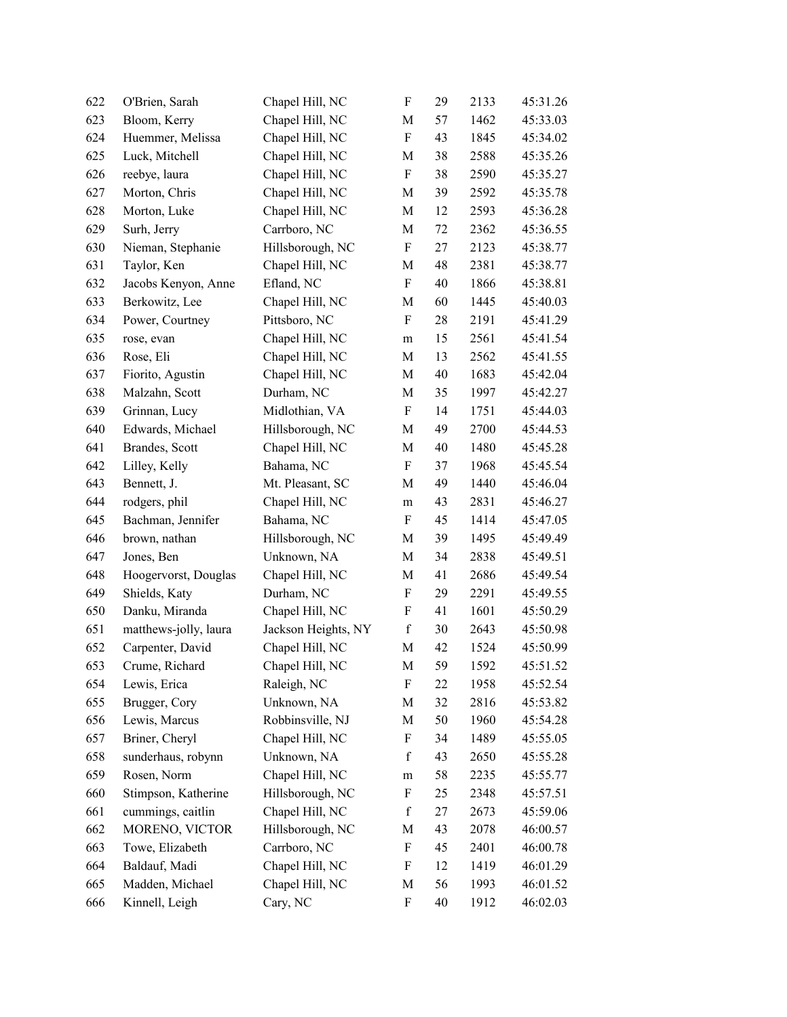| 622 | O'Brien, Sarah        | Chapel Hill, NC     | $\boldsymbol{\mathrm{F}}$ | 29 | 2133 | 45:31.26 |
|-----|-----------------------|---------------------|---------------------------|----|------|----------|
| 623 | Bloom, Kerry          | Chapel Hill, NC     | M                         | 57 | 1462 | 45:33.03 |
| 624 | Huemmer, Melissa      | Chapel Hill, NC     | ${\bf F}$                 | 43 | 1845 | 45:34.02 |
| 625 | Luck, Mitchell        | Chapel Hill, NC     | M                         | 38 | 2588 | 45:35.26 |
| 626 | reebye, laura         | Chapel Hill, NC     | $\boldsymbol{\mathrm{F}}$ | 38 | 2590 | 45:35.27 |
| 627 | Morton, Chris         | Chapel Hill, NC     | $\mathbf M$               | 39 | 2592 | 45:35.78 |
| 628 | Morton, Luke          | Chapel Hill, NC     | M                         | 12 | 2593 | 45:36.28 |
| 629 | Surh, Jerry           | Carrboro, NC        | $\mathbf M$               | 72 | 2362 | 45:36.55 |
| 630 | Nieman, Stephanie     | Hillsborough, NC    | ${\bf F}$                 | 27 | 2123 | 45:38.77 |
| 631 | Taylor, Ken           | Chapel Hill, NC     | M                         | 48 | 2381 | 45:38.77 |
| 632 | Jacobs Kenyon, Anne   | Efland, NC          | $\boldsymbol{\mathrm{F}}$ | 40 | 1866 | 45:38.81 |
| 633 | Berkowitz, Lee        | Chapel Hill, NC     | M                         | 60 | 1445 | 45:40.03 |
| 634 | Power, Courtney       | Pittsboro, NC       | $\rm F$                   | 28 | 2191 | 45:41.29 |
| 635 | rose, evan            | Chapel Hill, NC     | m                         | 15 | 2561 | 45:41.54 |
| 636 | Rose, Eli             | Chapel Hill, NC     | M                         | 13 | 2562 | 45:41.55 |
| 637 | Fiorito, Agustin      | Chapel Hill, NC     | M                         | 40 | 1683 | 45:42.04 |
| 638 | Malzahn, Scott        | Durham, NC          | $\mathbf M$               | 35 | 1997 | 45:42.27 |
| 639 | Grinnan, Lucy         | Midlothian, VA      | F                         | 14 | 1751 | 45:44.03 |
| 640 | Edwards, Michael      | Hillsborough, NC    | M                         | 49 | 2700 | 45:44.53 |
| 641 | Brandes, Scott        | Chapel Hill, NC     | $\mathbf M$               | 40 | 1480 | 45:45.28 |
| 642 | Lilley, Kelly         | Bahama, NC          | $\rm F$                   | 37 | 1968 | 45:45.54 |
| 643 | Bennett, J.           | Mt. Pleasant, SC    | M                         | 49 | 1440 | 45:46.04 |
| 644 | rodgers, phil         | Chapel Hill, NC     | ${\rm m}$                 | 43 | 2831 | 45:46.27 |
| 645 | Bachman, Jennifer     | Bahama, NC          | F                         | 45 | 1414 | 45:47.05 |
| 646 | brown, nathan         | Hillsborough, NC    | M                         | 39 | 1495 | 45:49.49 |
| 647 | Jones, Ben            | Unknown, NA         | M                         | 34 | 2838 | 45:49.51 |
| 648 | Hoogervorst, Douglas  | Chapel Hill, NC     | M                         | 41 | 2686 | 45:49.54 |
| 649 | Shields, Katy         | Durham, NC          | $\boldsymbol{\mathrm{F}}$ | 29 | 2291 | 45:49.55 |
| 650 | Danku, Miranda        | Chapel Hill, NC     | F                         | 41 | 1601 | 45:50.29 |
| 651 | matthews-jolly, laura | Jackson Heights, NY | $\mathbf f$               | 30 | 2643 | 45:50.98 |
| 652 | Carpenter, David      | Chapel Hill, NC     | $\mathbf M$               | 42 | 1524 | 45:50.99 |
| 653 | Crume, Richard        | Chapel Hill, NC     | M                         | 59 | 1592 | 45:51.52 |
| 654 | Lewis, Erica          | Raleigh, NC         | F                         | 22 | 1958 | 45:52.54 |
| 655 | Brugger, Cory         | Unknown, NA         | M                         | 32 | 2816 | 45:53.82 |
| 656 | Lewis, Marcus         | Robbinsville, NJ    | M                         | 50 | 1960 | 45:54.28 |
| 657 | Briner, Cheryl        | Chapel Hill, NC     | F                         | 34 | 1489 | 45:55.05 |
| 658 | sunderhaus, robynn    | Unknown, NA         | $\mathbf f$               | 43 | 2650 | 45:55.28 |
| 659 | Rosen, Norm           | Chapel Hill, NC     | m                         | 58 | 2235 | 45:55.77 |
| 660 | Stimpson, Katherine   | Hillsborough, NC    | F                         | 25 | 2348 | 45:57.51 |
| 661 | cummings, caitlin     | Chapel Hill, NC     | $\mathbf f$               | 27 | 2673 | 45:59.06 |
| 662 | MORENO, VICTOR        | Hillsborough, NC    | M                         | 43 | 2078 | 46:00.57 |
| 663 | Towe, Elizabeth       | Carrboro, NC        | F                         | 45 | 2401 | 46:00.78 |
| 664 | Baldauf, Madi         | Chapel Hill, NC     | F                         | 12 | 1419 | 46:01.29 |
| 665 | Madden, Michael       | Chapel Hill, NC     | M                         | 56 | 1993 | 46:01.52 |
| 666 | Kinnell, Leigh        | Cary, NC            | ${\bf F}$                 | 40 | 1912 | 46:02.03 |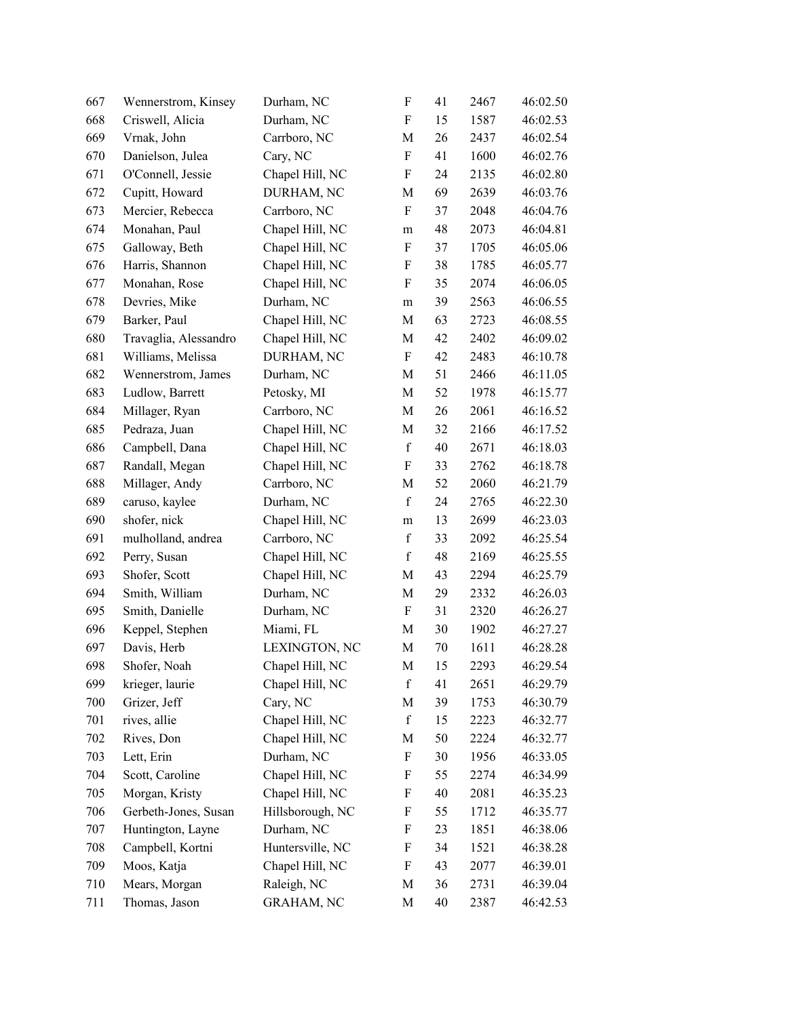| 667 | Wennerstrom, Kinsey   | Durham, NC        | $\boldsymbol{\mathrm{F}}$ | 41 | 2467 | 46:02.50 |
|-----|-----------------------|-------------------|---------------------------|----|------|----------|
| 668 | Criswell, Alicia      | Durham, NC        | $\boldsymbol{\mathrm{F}}$ | 15 | 1587 | 46:02.53 |
| 669 | Vrnak, John           | Carrboro, NC      | M                         | 26 | 2437 | 46:02.54 |
| 670 | Danielson, Julea      | Cary, NC          | $\boldsymbol{\mathrm{F}}$ | 41 | 1600 | 46:02.76 |
| 671 | O'Connell, Jessie     | Chapel Hill, NC   | $\boldsymbol{\mathrm{F}}$ | 24 | 2135 | 46:02.80 |
| 672 | Cupitt, Howard        | DURHAM, NC        | $\mathbf M$               | 69 | 2639 | 46:03.76 |
| 673 | Mercier, Rebecca      | Carrboro, NC      | F                         | 37 | 2048 | 46:04.76 |
| 674 | Monahan, Paul         | Chapel Hill, NC   | ${\rm m}$                 | 48 | 2073 | 46:04.81 |
| 675 | Galloway, Beth        | Chapel Hill, NC   | $\boldsymbol{\mathrm{F}}$ | 37 | 1705 | 46:05.06 |
| 676 | Harris, Shannon       | Chapel Hill, NC   | F                         | 38 | 1785 | 46:05.77 |
| 677 | Monahan, Rose         | Chapel Hill, NC   | F                         | 35 | 2074 | 46:06.05 |
| 678 | Devries, Mike         | Durham, NC        | m                         | 39 | 2563 | 46:06.55 |
| 679 | Barker, Paul          | Chapel Hill, NC   | M                         | 63 | 2723 | 46:08.55 |
| 680 | Travaglia, Alessandro | Chapel Hill, NC   | M                         | 42 | 2402 | 46:09.02 |
| 681 | Williams, Melissa     | DURHAM, NC        | $\boldsymbol{\mathrm{F}}$ | 42 | 2483 | 46:10.78 |
| 682 | Wennerstrom, James    | Durham, NC        | M                         | 51 | 2466 | 46:11.05 |
| 683 | Ludlow, Barrett       | Petosky, MI       | $\mathbf M$               | 52 | 1978 | 46:15.77 |
| 684 | Millager, Ryan        | Carrboro, NC      | M                         | 26 | 2061 | 46:16.52 |
| 685 | Pedraza, Juan         | Chapel Hill, NC   | M                         | 32 | 2166 | 46:17.52 |
| 686 | Campbell, Dana        | Chapel Hill, NC   | $\mathbf f$               | 40 | 2671 | 46:18.03 |
| 687 | Randall, Megan        | Chapel Hill, NC   | F                         | 33 | 2762 | 46:18.78 |
| 688 | Millager, Andy        | Carrboro, NC      | M                         | 52 | 2060 | 46:21.79 |
| 689 | caruso, kaylee        | Durham, NC        | $\mathbf f$               | 24 | 2765 | 46:22.30 |
| 690 | shofer, nick          | Chapel Hill, NC   | m                         | 13 | 2699 | 46:23.03 |
| 691 | mulholland, andrea    | Carrboro, NC      | $\mathbf f$               | 33 | 2092 | 46:25.54 |
| 692 | Perry, Susan          | Chapel Hill, NC   | $\mathbf f$               | 48 | 2169 | 46:25.55 |
| 693 | Shofer, Scott         | Chapel Hill, NC   | M                         | 43 | 2294 | 46:25.79 |
| 694 | Smith, William        | Durham, NC        | $\mathbf M$               | 29 | 2332 | 46:26.03 |
| 695 | Smith, Danielle       | Durham, NC        | F                         | 31 | 2320 | 46:26.27 |
| 696 | Keppel, Stephen       | Miami, FL         | M                         | 30 | 1902 | 46:27.27 |
| 697 | Davis, Herb           | LEXINGTON, NC     | $\mathbf M$               | 70 | 1611 | 46:28.28 |
| 698 | Shofer, Noah          | Chapel Hill, NC   | M                         | 15 | 2293 | 46:29.54 |
| 699 | krieger, laurie       | Chapel Hill, NC   | $\mathbf f$               | 41 | 2651 | 46:29.79 |
| 700 | Grizer, Jeff          | Cary, NC          | M                         | 39 | 1753 | 46:30.79 |
| 701 | rives, allie          | Chapel Hill, NC   | $\mathbf f$               | 15 | 2223 | 46:32.77 |
| 702 | Rives, Don            | Chapel Hill, NC   | M                         | 50 | 2224 | 46:32.77 |
| 703 | Lett, Erin            | Durham, NC        | $\boldsymbol{\mathrm{F}}$ | 30 | 1956 | 46:33.05 |
| 704 | Scott, Caroline       | Chapel Hill, NC   | F                         | 55 | 2274 | 46:34.99 |
| 705 | Morgan, Kristy        | Chapel Hill, NC   | F                         | 40 | 2081 | 46:35.23 |
| 706 | Gerbeth-Jones, Susan  | Hillsborough, NC  | F                         | 55 | 1712 | 46:35.77 |
| 707 | Huntington, Layne     | Durham, NC        | F                         | 23 | 1851 | 46:38.06 |
| 708 | Campbell, Kortni      | Huntersville, NC  | F                         | 34 | 1521 | 46:38.28 |
| 709 | Moos, Katja           | Chapel Hill, NC   | F                         | 43 | 2077 | 46:39.01 |
| 710 | Mears, Morgan         | Raleigh, NC       | M                         | 36 | 2731 | 46:39.04 |
| 711 | Thomas, Jason         | <b>GRAHAM, NC</b> | M                         | 40 | 2387 | 46:42.53 |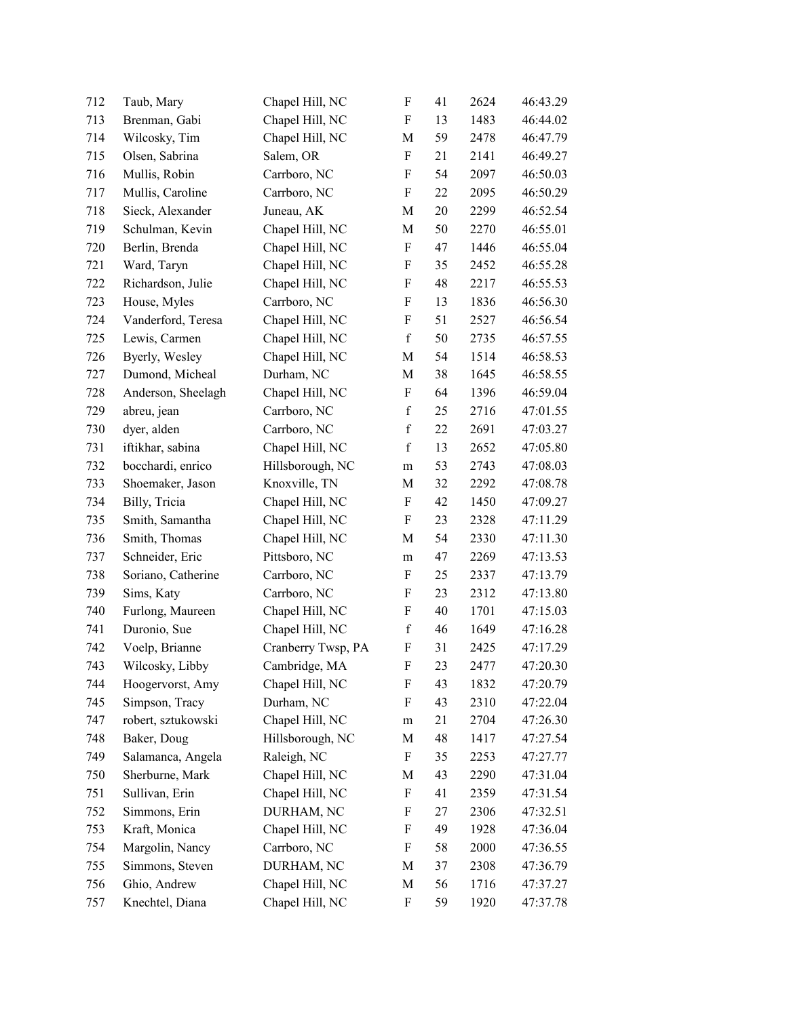| 712 | Taub, Mary         | Chapel Hill, NC    | $\rm F$                   | 41 | 2624 | 46:43.29 |
|-----|--------------------|--------------------|---------------------------|----|------|----------|
| 713 | Brenman, Gabi      | Chapel Hill, NC    | $\boldsymbol{\mathrm{F}}$ | 13 | 1483 | 46:44.02 |
| 714 | Wilcosky, Tim      | Chapel Hill, NC    | M                         | 59 | 2478 | 46:47.79 |
| 715 | Olsen, Sabrina     | Salem, OR          | $\boldsymbol{\mathrm{F}}$ | 21 | 2141 | 46:49.27 |
| 716 | Mullis, Robin      | Carrboro, NC       | $\boldsymbol{F}$          | 54 | 2097 | 46:50.03 |
| 717 | Mullis, Caroline   | Carrboro, NC       | $\mathbf F$               | 22 | 2095 | 46:50.29 |
| 718 | Sieck, Alexander   | Juneau, AK         | M                         | 20 | 2299 | 46:52.54 |
| 719 | Schulman, Kevin    | Chapel Hill, NC    | M                         | 50 | 2270 | 46:55.01 |
| 720 | Berlin, Brenda     | Chapel Hill, NC    | $\boldsymbol{\mathrm{F}}$ | 47 | 1446 | 46:55.04 |
| 721 | Ward, Taryn        | Chapel Hill, NC    | F                         | 35 | 2452 | 46:55.28 |
| 722 | Richardson, Julie  | Chapel Hill, NC    | F                         | 48 | 2217 | 46:55.53 |
| 723 | House, Myles       | Carrboro, NC       | F                         | 13 | 1836 | 46:56.30 |
| 724 | Vanderford, Teresa | Chapel Hill, NC    | F                         | 51 | 2527 | 46:56.54 |
| 725 | Lewis, Carmen      | Chapel Hill, NC    | $\mathbf f$               | 50 | 2735 | 46:57.55 |
| 726 | Byerly, Wesley     | Chapel Hill, NC    | M                         | 54 | 1514 | 46:58.53 |
| 727 | Dumond, Micheal    | Durham, NC         | M                         | 38 | 1645 | 46:58.55 |
| 728 | Anderson, Sheelagh | Chapel Hill, NC    | $\boldsymbol{\mathrm{F}}$ | 64 | 1396 | 46:59.04 |
| 729 | abreu, jean        | Carrboro, NC       | $\mathbf f$               | 25 | 2716 | 47:01.55 |
| 730 | dyer, alden        | Carrboro, NC       | $\mathbf f$               | 22 | 2691 | 47:03.27 |
| 731 | iftikhar, sabina   | Chapel Hill, NC    | $\mathbf f$               | 13 | 2652 | 47:05.80 |
| 732 | bocchardi, enrico  | Hillsborough, NC   | m                         | 53 | 2743 | 47:08.03 |
| 733 | Shoemaker, Jason   | Knoxville, TN      | M                         | 32 | 2292 | 47:08.78 |
| 734 | Billy, Tricia      | Chapel Hill, NC    | $\boldsymbol{\mathrm{F}}$ | 42 | 1450 | 47:09.27 |
| 735 | Smith, Samantha    | Chapel Hill, NC    | F                         | 23 | 2328 | 47:11.29 |
| 736 | Smith, Thomas      | Chapel Hill, NC    | M                         | 54 | 2330 | 47:11.30 |
| 737 | Schneider, Eric    | Pittsboro, NC      | ${\rm m}$                 | 47 | 2269 | 47:13.53 |
| 738 | Soriano, Catherine | Carrboro, NC       | F                         | 25 | 2337 | 47:13.79 |
| 739 | Sims, Katy         | Carrboro, NC       | $\boldsymbol{\mathrm{F}}$ | 23 | 2312 | 47:13.80 |
| 740 | Furlong, Maureen   | Chapel Hill, NC    | F                         | 40 | 1701 | 47:15.03 |
| 741 | Duronio, Sue       | Chapel Hill, NC    | $\mathbf f$               | 46 | 1649 | 47:16.28 |
| 742 | Voelp, Brianne     | Cranberry Twsp, PA | $\boldsymbol{\mathrm{F}}$ | 31 | 2425 | 47:17.29 |
| 743 | Wilcosky, Libby    | Cambridge, MA      | F                         | 23 | 2477 | 47:20.30 |
| 744 | Hoogervorst, Amy   | Chapel Hill, NC    | F                         | 43 | 1832 | 47:20.79 |
| 745 | Simpson, Tracy     | Durham, NC         | F                         | 43 | 2310 | 47:22.04 |
| 747 | robert, sztukowski | Chapel Hill, NC    | m                         | 21 | 2704 | 47:26.30 |
| 748 | Baker, Doug        | Hillsborough, NC   | M                         | 48 | 1417 | 47:27.54 |
| 749 | Salamanca, Angela  | Raleigh, NC        | F                         | 35 | 2253 | 47:27.77 |
| 750 | Sherburne, Mark    | Chapel Hill, NC    | M                         | 43 | 2290 | 47:31.04 |
| 751 | Sullivan, Erin     | Chapel Hill, NC    | $\boldsymbol{\mathrm{F}}$ | 41 | 2359 | 47:31.54 |
| 752 | Simmons, Erin      | DURHAM, NC         | F                         | 27 | 2306 | 47:32.51 |
| 753 | Kraft, Monica      | Chapel Hill, NC    | F                         | 49 | 1928 | 47:36.04 |
| 754 | Margolin, Nancy    | Carrboro, NC       | F                         | 58 | 2000 | 47:36.55 |
| 755 | Simmons, Steven    | DURHAM, NC         | M                         | 37 | 2308 | 47:36.79 |
| 756 | Ghio, Andrew       | Chapel Hill, NC    | M                         | 56 | 1716 | 47:37.27 |
| 757 | Knechtel, Diana    | Chapel Hill, NC    | $\boldsymbol{\mathrm{F}}$ | 59 | 1920 | 47:37.78 |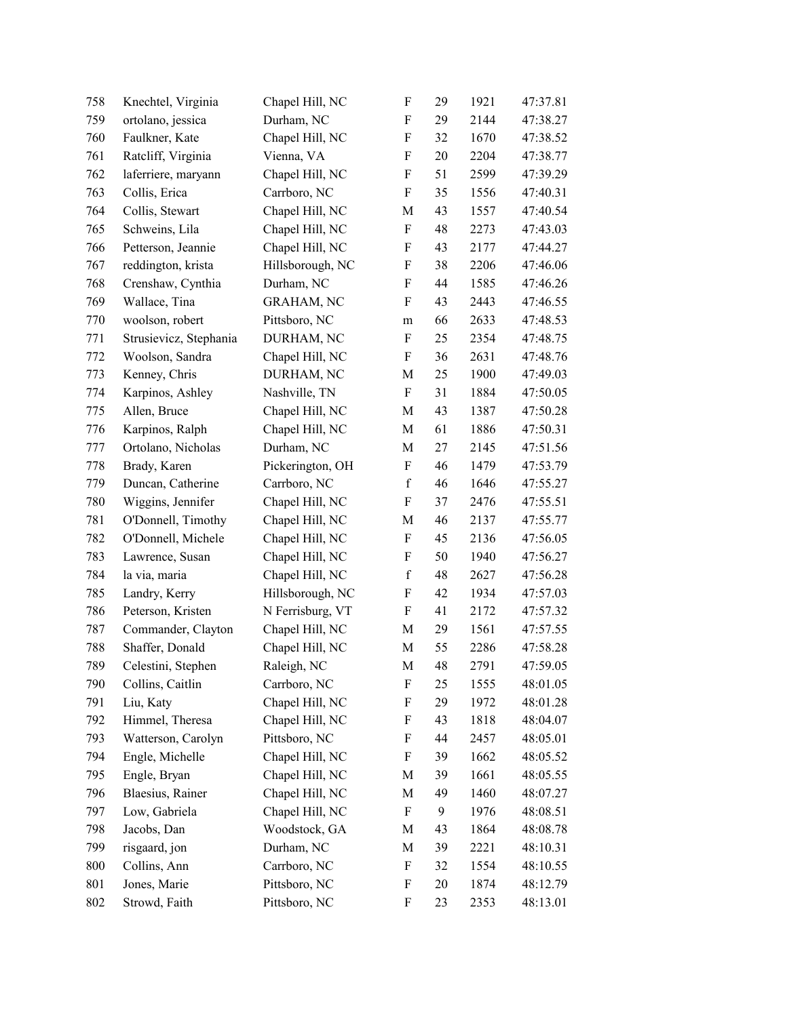| 758 | Knechtel, Virginia     | Chapel Hill, NC   | $\boldsymbol{\mathrm{F}}$ | 29 | 1921 | 47:37.81 |
|-----|------------------------|-------------------|---------------------------|----|------|----------|
| 759 | ortolano, jessica      | Durham, NC        | $\boldsymbol{F}$          | 29 | 2144 | 47:38.27 |
| 760 | Faulkner, Kate         | Chapel Hill, NC   | F                         | 32 | 1670 | 47:38.52 |
| 761 | Ratcliff, Virginia     | Vienna, VA        | F                         | 20 | 2204 | 47:38.77 |
| 762 | laferriere, maryann    | Chapel Hill, NC   | F                         | 51 | 2599 | 47:39.29 |
| 763 | Collis, Erica          | Carrboro, NC      | $\boldsymbol{F}$          | 35 | 1556 | 47:40.31 |
| 764 | Collis, Stewart        | Chapel Hill, NC   | M                         | 43 | 1557 | 47:40.54 |
| 765 | Schweins, Lila         | Chapel Hill, NC   | $\boldsymbol{\mathrm{F}}$ | 48 | 2273 | 47:43.03 |
| 766 | Petterson, Jeannie     | Chapel Hill, NC   | F                         | 43 | 2177 | 47:44.27 |
| 767 | reddington, krista     | Hillsborough, NC  | F                         | 38 | 2206 | 47:46.06 |
| 768 | Crenshaw, Cynthia      | Durham, NC        | F                         | 44 | 1585 | 47:46.26 |
| 769 | Wallace, Tina          | <b>GRAHAM, NC</b> | $\boldsymbol{F}$          | 43 | 2443 | 47:46.55 |
| 770 | woolson, robert        | Pittsboro, NC     | m                         | 66 | 2633 | 47:48.53 |
| 771 | Strusievicz, Stephania | DURHAM, NC        | $\boldsymbol{\mathrm{F}}$ | 25 | 2354 | 47:48.75 |
| 772 | Woolson, Sandra        | Chapel Hill, NC   | F                         | 36 | 2631 | 47:48.76 |
| 773 | Kenney, Chris          | DURHAM, NC        | M                         | 25 | 1900 | 47:49.03 |
| 774 | Karpinos, Ashley       | Nashville, TN     | $\boldsymbol{F}$          | 31 | 1884 | 47:50.05 |
| 775 | Allen, Bruce           | Chapel Hill, NC   | M                         | 43 | 1387 | 47:50.28 |
| 776 | Karpinos, Ralph        | Chapel Hill, NC   | M                         | 61 | 1886 | 47:50.31 |
| 777 | Ortolano, Nicholas     | Durham, NC        | M                         | 27 | 2145 | 47:51.56 |
| 778 | Brady, Karen           | Pickerington, OH  | F                         | 46 | 1479 | 47:53.79 |
| 779 | Duncan, Catherine      | Carrboro, NC      | $\mathbf f$               | 46 | 1646 | 47:55.27 |
| 780 | Wiggins, Jennifer      | Chapel Hill, NC   | $\boldsymbol{\mathrm{F}}$ | 37 | 2476 | 47:55.51 |
| 781 | O'Donnell, Timothy     | Chapel Hill, NC   | M                         | 46 | 2137 | 47:55.77 |
| 782 | O'Donnell, Michele     | Chapel Hill, NC   | $\boldsymbol{\mathrm{F}}$ | 45 | 2136 | 47:56.05 |
| 783 | Lawrence, Susan        | Chapel Hill, NC   | F                         | 50 | 1940 | 47:56.27 |
| 784 | la via, maria          | Chapel Hill, NC   | $\mathbf f$               | 48 | 2627 | 47:56.28 |
| 785 | Landry, Kerry          | Hillsborough, NC  | F                         | 42 | 1934 | 47:57.03 |
| 786 | Peterson, Kristen      | N Ferrisburg, VT  | $\boldsymbol{\mathrm{F}}$ | 41 | 2172 | 47:57.32 |
| 787 | Commander, Clayton     | Chapel Hill, NC   | M                         | 29 | 1561 | 47:57.55 |
| 788 | Shaffer, Donald        | Chapel Hill, NC   | M                         | 55 | 2286 | 47:58.28 |
| 789 | Celestini, Stephen     | Raleigh, NC       | M                         | 48 | 2791 | 47:59.05 |
| 790 | Collins, Caitlin       | Carrboro, NC      | F                         | 25 | 1555 | 48:01.05 |
| 791 | Liu, Katy              | Chapel Hill, NC   | F                         | 29 | 1972 | 48:01.28 |
| 792 | Himmel, Theresa        | Chapel Hill, NC   | F                         | 43 | 1818 | 48:04.07 |
| 793 | Watterson, Carolyn     | Pittsboro, NC     | F                         | 44 | 2457 | 48:05.01 |
| 794 | Engle, Michelle        | Chapel Hill, NC   | F                         | 39 | 1662 | 48:05.52 |
| 795 | Engle, Bryan           | Chapel Hill, NC   | M                         | 39 | 1661 | 48:05.55 |
| 796 | Blaesius, Rainer       | Chapel Hill, NC   | M                         | 49 | 1460 | 48:07.27 |
| 797 | Low, Gabriela          | Chapel Hill, NC   | F                         | 9  | 1976 | 48:08.51 |
| 798 | Jacobs, Dan            | Woodstock, GA     | M                         | 43 | 1864 | 48:08.78 |
| 799 | risgaard, jon          | Durham, NC        | M                         | 39 | 2221 | 48:10.31 |
| 800 | Collins, Ann           | Carrboro, NC      | F                         | 32 | 1554 | 48:10.55 |
| 801 | Jones, Marie           | Pittsboro, NC     | F                         | 20 | 1874 | 48:12.79 |
| 802 | Strowd, Faith          | Pittsboro, NC     | $\boldsymbol{\mathrm{F}}$ | 23 | 2353 | 48:13.01 |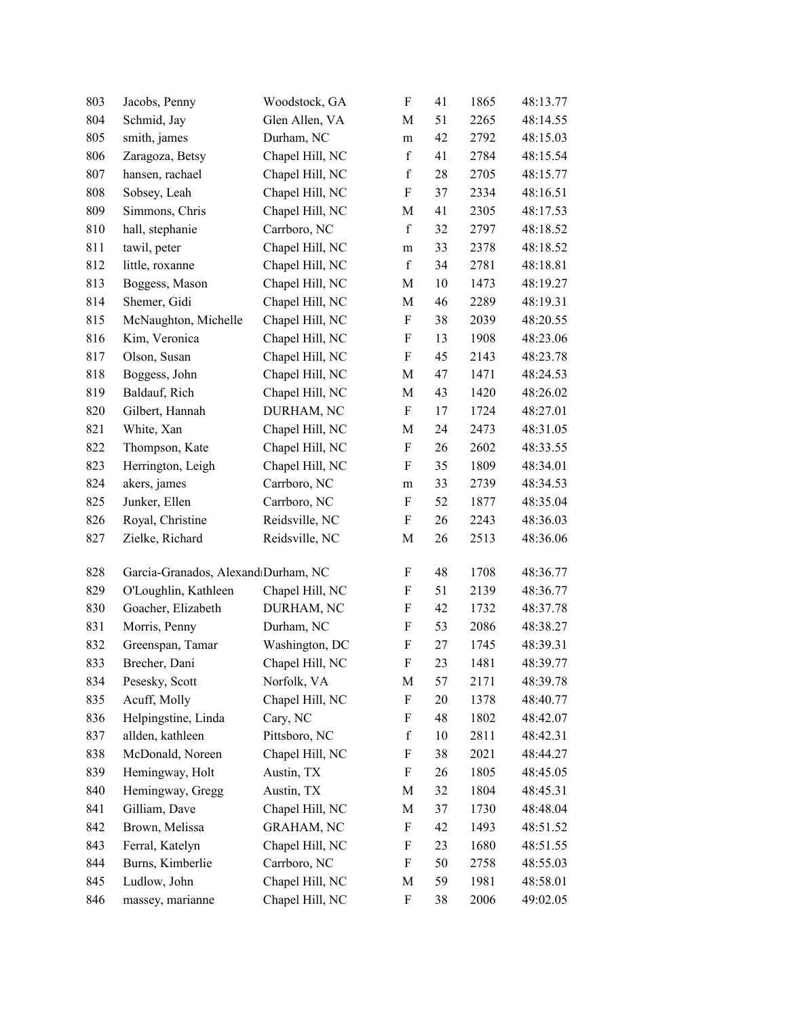| 803 | Jacobs, Penny                       | Woodstock, GA     | $\boldsymbol{\mathrm{F}}$ | 41 | 1865 | 48:13.77 |
|-----|-------------------------------------|-------------------|---------------------------|----|------|----------|
| 804 | Schmid, Jay                         | Glen Allen, VA    | M                         | 51 | 2265 | 48:14.55 |
| 805 | smith, james                        | Durham, NC        | m                         | 42 | 2792 | 48:15.03 |
| 806 | Zaragoza, Betsy                     | Chapel Hill, NC   | $\mathbf f$               | 41 | 2784 | 48:15.54 |
| 807 | hansen, rachael                     | Chapel Hill, NC   | $\mathbf f$               | 28 | 2705 | 48:15.77 |
| 808 | Sobsey, Leah                        | Chapel Hill, NC   | ${\bf F}$                 | 37 | 2334 | 48:16.51 |
| 809 | Simmons, Chris                      | Chapel Hill, NC   | M                         | 41 | 2305 | 48:17.53 |
| 810 | hall, stephanie                     | Carrboro, NC      | $\mathbf f$               | 32 | 2797 | 48:18.52 |
| 811 | tawil, peter                        | Chapel Hill, NC   | m                         | 33 | 2378 | 48:18.52 |
| 812 | little, roxanne                     | Chapel Hill, NC   | $\mathbf f$               | 34 | 2781 | 48:18.81 |
| 813 | Boggess, Mason                      | Chapel Hill, NC   | M                         | 10 | 1473 | 48:19.27 |
| 814 | Shemer, Gidi                        | Chapel Hill, NC   | M                         | 46 | 2289 | 48:19.31 |
| 815 | McNaughton, Michelle                | Chapel Hill, NC   | F                         | 38 | 2039 | 48:20.55 |
| 816 | Kim, Veronica                       | Chapel Hill, NC   | $\boldsymbol{\mathrm{F}}$ | 13 | 1908 | 48:23.06 |
| 817 | Olson, Susan                        | Chapel Hill, NC   | $\boldsymbol{\mathrm{F}}$ | 45 | 2143 | 48:23.78 |
| 818 | Boggess, John                       | Chapel Hill, NC   | M                         | 47 | 1471 | 48:24.53 |
| 819 | Baldauf, Rich                       | Chapel Hill, NC   | M                         | 43 | 1420 | 48:26.02 |
| 820 | Gilbert, Hannah                     | DURHAM, NC        | F                         | 17 | 1724 | 48:27.01 |
| 821 | White, Xan                          | Chapel Hill, NC   | M                         | 24 | 2473 | 48:31.05 |
| 822 | Thompson, Kate                      | Chapel Hill, NC   | ${\bf F}$                 | 26 | 2602 | 48:33.55 |
| 823 | Herrington, Leigh                   | Chapel Hill, NC   | F                         | 35 | 1809 | 48:34.01 |
| 824 | akers, james                        | Carrboro, NC      | ${\rm m}$                 | 33 | 2739 | 48:34.53 |
| 825 | Junker, Ellen                       | Carrboro, NC      | $\boldsymbol{\mathrm{F}}$ | 52 | 1877 | 48:35.04 |
| 826 | Royal, Christine                    | Reidsville, NC    | F                         | 26 | 2243 | 48:36.03 |
| 827 | Zielke, Richard                     | Reidsville, NC    | M                         | 26 | 2513 | 48:36.06 |
| 828 | Garcia-Granados, AlexandıDurham, NC |                   | $\boldsymbol{\mathrm{F}}$ | 48 | 1708 | 48:36.77 |
| 829 | O'Loughlin, Kathleen                | Chapel Hill, NC   | $\boldsymbol{\mathrm{F}}$ | 51 | 2139 | 48:36.77 |
| 830 | Goacher, Elizabeth                  | DURHAM, NC        | $\boldsymbol{\mathrm{F}}$ | 42 | 1732 | 48:37.78 |
| 831 | Morris, Penny                       | Durham, NC        | F                         | 53 | 2086 | 48:38.27 |
| 832 | Greenspan, Tamar                    | Washington, DC    | F                         | 27 | 1745 | 48:39.31 |
| 833 | Brecher, Dani                       | Chapel Hill, NC   | ${\bf F}$                 | 23 | 1481 | 48:39.77 |
| 834 | Pesesky, Scott                      | Norfolk, VA       | M                         | 57 | 2171 | 48:39.78 |
| 835 | Acuff, Molly                        | Chapel Hill, NC   | F                         | 20 | 1378 | 48:40.77 |
| 836 | Helpingstine, Linda                 | Cary, NC          | $\boldsymbol{\mathrm{F}}$ | 48 | 1802 | 48:42.07 |
| 837 | allden, kathleen                    | Pittsboro, NC     | $\mathbf f$               | 10 | 2811 | 48:42.31 |
| 838 | McDonald, Noreen                    | Chapel Hill, NC   | $\boldsymbol{\mathrm{F}}$ | 38 | 2021 | 48:44.27 |
| 839 | Hemingway, Holt                     | Austin, TX        | $\boldsymbol{\mathrm{F}}$ | 26 | 1805 | 48:45.05 |
| 840 | Hemingway, Gregg                    | Austin, TX        | M                         | 32 | 1804 | 48:45.31 |
| 841 | Gilliam, Dave                       | Chapel Hill, NC   | M                         | 37 | 1730 | 48:48.04 |
| 842 | Brown, Melissa                      | <b>GRAHAM, NC</b> | F                         | 42 | 1493 | 48:51.52 |
| 843 | Ferral, Katelyn                     | Chapel Hill, NC   | F                         | 23 | 1680 | 48:51.55 |
| 844 | Burns, Kimberlie                    | Carrboro, NC      | $\boldsymbol{\mathrm{F}}$ | 50 | 2758 | 48:55.03 |
| 845 | Ludlow, John                        | Chapel Hill, NC   | M                         | 59 | 1981 | 48:58.01 |
| 846 | massey, marianne                    | Chapel Hill, NC   | F                         | 38 | 2006 | 49:02.05 |
|     |                                     |                   |                           |    |      |          |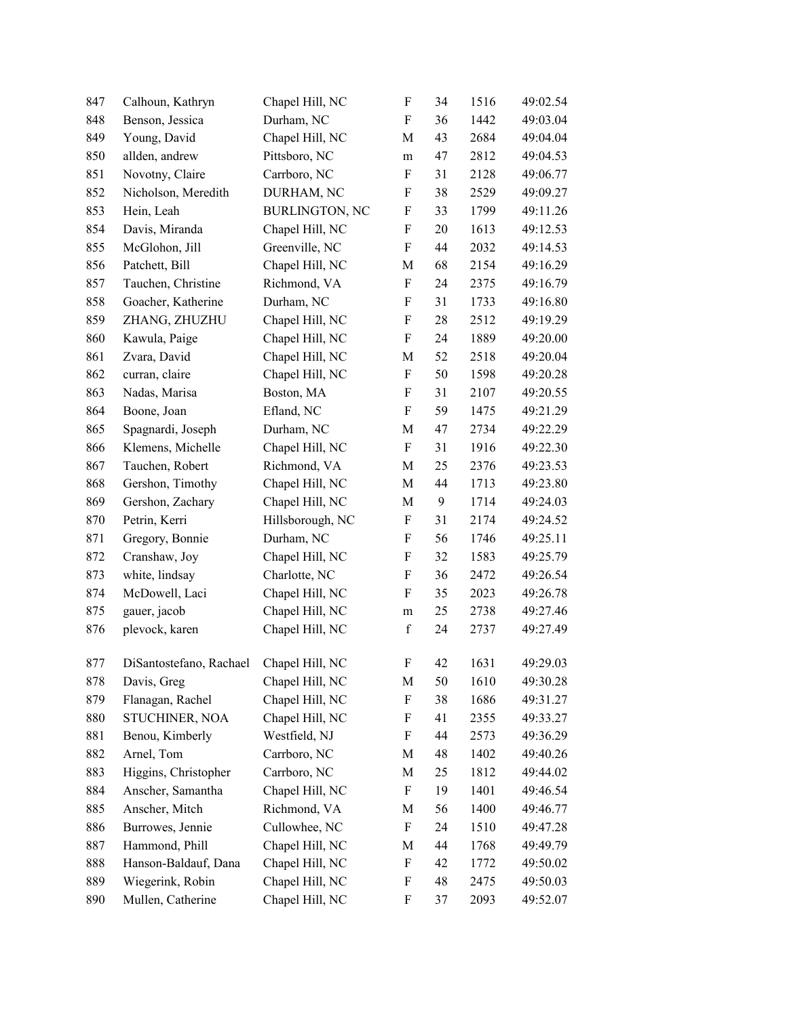| 847 | Calhoun, Kathryn        | Chapel Hill, NC       | F                         | 34 | 1516 | 49:02.54 |
|-----|-------------------------|-----------------------|---------------------------|----|------|----------|
| 848 | Benson, Jessica         | Durham, NC            | $\boldsymbol{\mathrm{F}}$ | 36 | 1442 | 49:03.04 |
| 849 | Young, David            | Chapel Hill, NC       | M                         | 43 | 2684 | 49:04.04 |
| 850 | allden, andrew          | Pittsboro, NC         | ${\rm m}$                 | 47 | 2812 | 49:04.53 |
| 851 | Novotny, Claire         | Carrboro, NC          | $\boldsymbol{\mathrm{F}}$ | 31 | 2128 | 49:06.77 |
| 852 | Nicholson, Meredith     | DURHAM, NC            | F                         | 38 | 2529 | 49:09.27 |
| 853 | Hein, Leah              | <b>BURLINGTON, NC</b> | F                         | 33 | 1799 | 49:11.26 |
| 854 | Davis, Miranda          | Chapel Hill, NC       | $\boldsymbol{\mathrm{F}}$ | 20 | 1613 | 49:12.53 |
| 855 | McGlohon, Jill          | Greenville, NC        | $\boldsymbol{\mathrm{F}}$ | 44 | 2032 | 49:14.53 |
| 856 | Patchett, Bill          | Chapel Hill, NC       | M                         | 68 | 2154 | 49:16.29 |
| 857 | Tauchen, Christine      | Richmond, VA          | $\boldsymbol{\mathrm{F}}$ | 24 | 2375 | 49:16.79 |
| 858 | Goacher, Katherine      | Durham, NC            | F                         | 31 | 1733 | 49:16.80 |
| 859 | ZHANG, ZHUZHU           | Chapel Hill, NC       | F                         | 28 | 2512 | 49:19.29 |
| 860 | Kawula, Paige           | Chapel Hill, NC       | $\boldsymbol{\mathrm{F}}$ | 24 | 1889 | 49:20.00 |
| 861 | Zvara, David            | Chapel Hill, NC       | M                         | 52 | 2518 | 49:20.04 |
| 862 | curran, claire          | Chapel Hill, NC       | $\boldsymbol{\mathrm{F}}$ | 50 | 1598 | 49:20.28 |
| 863 | Nadas, Marisa           | Boston, MA            | $\boldsymbol{\mathrm{F}}$ | 31 | 2107 | 49:20.55 |
| 864 | Boone, Joan             | Efland, NC            | $\boldsymbol{\mathrm{F}}$ | 59 | 1475 | 49:21.29 |
| 865 | Spagnardi, Joseph       | Durham, NC            | M                         | 47 | 2734 | 49:22.29 |
| 866 | Klemens, Michelle       | Chapel Hill, NC       | ${\bf F}$                 | 31 | 1916 | 49:22.30 |
| 867 | Tauchen, Robert         | Richmond, VA          | M                         | 25 | 2376 | 49:23.53 |
| 868 | Gershon, Timothy        | Chapel Hill, NC       | $\mathbf M$               | 44 | 1713 | 49:23.80 |
| 869 | Gershon, Zachary        | Chapel Hill, NC       | M                         | 9  | 1714 | 49:24.03 |
| 870 | Petrin, Kerri           | Hillsborough, NC      | F                         | 31 | 2174 | 49:24.52 |
| 871 | Gregory, Bonnie         | Durham, NC            | F                         | 56 | 1746 | 49:25.11 |
| 872 | Cranshaw, Joy           | Chapel Hill, NC       | $\boldsymbol{\mathrm{F}}$ | 32 | 1583 | 49:25.79 |
| 873 | white, lindsay          | Charlotte, NC         | $\boldsymbol{\mathrm{F}}$ | 36 | 2472 | 49:26.54 |
| 874 | McDowell, Laci          | Chapel Hill, NC       | $\boldsymbol{\mathrm{F}}$ | 35 | 2023 | 49:26.78 |
| 875 | gauer, jacob            | Chapel Hill, NC       | ${\rm m}$                 | 25 | 2738 | 49:27.46 |
| 876 | plevock, karen          | Chapel Hill, NC       | $\mathbf f$               | 24 | 2737 | 49:27.49 |
| 877 | DiSantostefano, Rachael | Chapel Hill, NC       | F                         | 42 | 1631 | 49:29.03 |
| 878 | Davis, Greg             | Chapel Hill, NC       | M                         | 50 | 1610 | 49:30.28 |
| 879 | Flanagan, Rachel        | Chapel Hill, NC       | F                         | 38 | 1686 | 49:31.27 |
| 880 | STUCHINER, NOA          | Chapel Hill, NC       | F                         | 41 | 2355 | 49:33.27 |
| 881 | Benou, Kimberly         | Westfield, NJ         | F                         | 44 | 2573 | 49:36.29 |
| 882 | Arnel, Tom              | Carrboro, NC          | M                         | 48 | 1402 | 49:40.26 |
| 883 | Higgins, Christopher    | Carrboro, NC          | M                         | 25 | 1812 | 49:44.02 |
| 884 | Anscher, Samantha       | Chapel Hill, NC       | F                         | 19 | 1401 | 49:46.54 |
| 885 | Anscher, Mitch          | Richmond, VA          | M                         | 56 | 1400 | 49:46.77 |
| 886 | Burrowes, Jennie        | Cullowhee, NC         | F                         | 24 | 1510 | 49:47.28 |
| 887 | Hammond, Phill          | Chapel Hill, NC       | M                         | 44 | 1768 | 49:49.79 |
| 888 | Hanson-Baldauf, Dana    | Chapel Hill, NC       | F                         | 42 | 1772 | 49:50.02 |
| 889 | Wiegerink, Robin        | Chapel Hill, NC       | F                         | 48 | 2475 | 49:50.03 |
| 890 | Mullen, Catherine       | Chapel Hill, NC       | F                         | 37 | 2093 | 49:52.07 |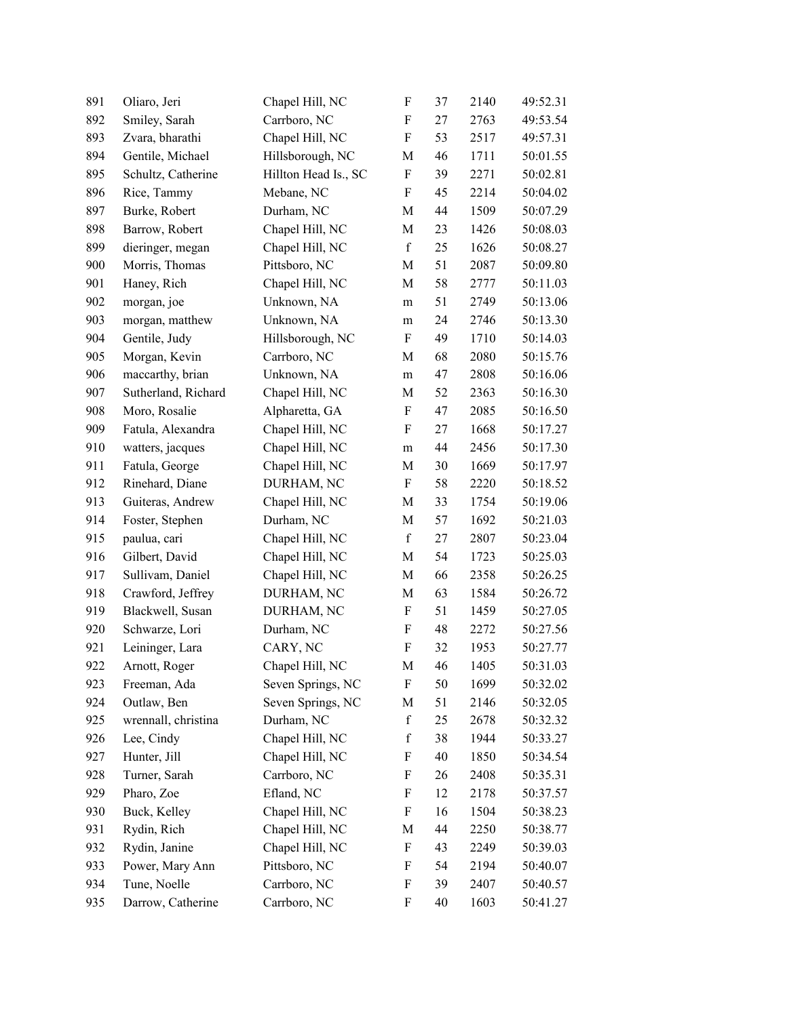| 891 | Oliaro, Jeri        | Chapel Hill, NC      | $\boldsymbol{\mathrm{F}}$ | 37 | 2140 | 49:52.31 |
|-----|---------------------|----------------------|---------------------------|----|------|----------|
| 892 | Smiley, Sarah       | Carrboro, NC         | F                         | 27 | 2763 | 49:53.54 |
| 893 | Zvara, bharathi     | Chapel Hill, NC      | $\boldsymbol{\mathrm{F}}$ | 53 | 2517 | 49:57.31 |
| 894 | Gentile, Michael    | Hillsborough, NC     | M                         | 46 | 1711 | 50:01.55 |
| 895 | Schultz, Catherine  | Hillton Head Is., SC | $\boldsymbol{F}$          | 39 | 2271 | 50:02.81 |
| 896 | Rice, Tammy         | Mebane, NC           | $\boldsymbol{F}$          | 45 | 2214 | 50:04.02 |
| 897 | Burke, Robert       | Durham, NC           | M                         | 44 | 1509 | 50:07.29 |
| 898 | Barrow, Robert      | Chapel Hill, NC      | M                         | 23 | 1426 | 50:08.03 |
| 899 | dieringer, megan    | Chapel Hill, NC      | $\mathbf f$               | 25 | 1626 | 50:08.27 |
| 900 | Morris, Thomas      | Pittsboro, NC        | M                         | 51 | 2087 | 50:09.80 |
| 901 | Haney, Rich         | Chapel Hill, NC      | M                         | 58 | 2777 | 50:11.03 |
| 902 | morgan, joe         | Unknown, NA          | m                         | 51 | 2749 | 50:13.06 |
| 903 | morgan, matthew     | Unknown, NA          | m                         | 24 | 2746 | 50:13.30 |
| 904 | Gentile, Judy       | Hillsborough, NC     | $\boldsymbol{\mathrm{F}}$ | 49 | 1710 | 50:14.03 |
| 905 | Morgan, Kevin       | Carrboro, NC         | M                         | 68 | 2080 | 50:15.76 |
| 906 | maccarthy, brian    | Unknown, NA          | m                         | 47 | 2808 | 50:16.06 |
| 907 | Sutherland, Richard | Chapel Hill, NC      | M                         | 52 | 2363 | 50:16.30 |
| 908 | Moro, Rosalie       | Alpharetta, GA       | $\boldsymbol{\mathrm{F}}$ | 47 | 2085 | 50:16.50 |
| 909 | Fatula, Alexandra   | Chapel Hill, NC      | $\boldsymbol{F}$          | 27 | 1668 | 50:17.27 |
| 910 | watters, jacques    | Chapel Hill, NC      | m                         | 44 | 2456 | 50:17.30 |
| 911 | Fatula, George      | Chapel Hill, NC      | M                         | 30 | 1669 | 50:17.97 |
| 912 | Rinehard, Diane     | DURHAM, NC           | $\boldsymbol{\mathrm{F}}$ | 58 | 2220 | 50:18.52 |
| 913 | Guiteras, Andrew    | Chapel Hill, NC      | M                         | 33 | 1754 | 50:19.06 |
| 914 | Foster, Stephen     | Durham, NC           | M                         | 57 | 1692 | 50:21.03 |
| 915 | paulua, cari        | Chapel Hill, NC      | $\mathbf f$               | 27 | 2807 | 50:23.04 |
| 916 | Gilbert, David      | Chapel Hill, NC      | M                         | 54 | 1723 | 50:25.03 |
| 917 | Sullivam, Daniel    | Chapel Hill, NC      | M                         | 66 | 2358 | 50:26.25 |
| 918 | Crawford, Jeffrey   | DURHAM, NC           | M                         | 63 | 1584 | 50:26.72 |
| 919 | Blackwell, Susan    | DURHAM, NC           | $\boldsymbol{\mathrm{F}}$ | 51 | 1459 | 50:27.05 |
| 920 | Schwarze, Lori      | Durham, NC           | F                         | 48 | 2272 | 50:27.56 |
| 921 | Leininger, Lara     | CARY, NC             | ${\bf F}$                 | 32 | 1953 | 50:27.77 |
| 922 | Arnott, Roger       | Chapel Hill, NC      | M                         | 46 | 1405 | 50:31.03 |
| 923 | Freeman, Ada        | Seven Springs, NC    | F                         | 50 | 1699 | 50:32.02 |
| 924 | Outlaw, Ben         | Seven Springs, NC    | М                         | 51 | 2146 | 50:32.05 |
| 925 | wrennall, christina | Durham, NC           | $\mathbf f$               | 25 | 2678 | 50:32.32 |
| 926 | Lee, Cindy          | Chapel Hill, NC      | $\mathbf f$               | 38 | 1944 | 50:33.27 |
| 927 | Hunter, Jill        | Chapel Hill, NC      | F                         | 40 | 1850 | 50:34.54 |
| 928 | Turner, Sarah       | Carrboro, NC         | F                         | 26 | 2408 | 50:35.31 |
| 929 | Pharo, Zoe          | Efland, NC           | F                         | 12 | 2178 | 50:37.57 |
| 930 | Buck, Kelley        | Chapel Hill, NC      | F                         | 16 | 1504 | 50:38.23 |
| 931 | Rydin, Rich         | Chapel Hill, NC      | M                         | 44 | 2250 | 50:38.77 |
| 932 | Rydin, Janine       | Chapel Hill, NC      | F                         | 43 | 2249 | 50:39.03 |
| 933 | Power, Mary Ann     | Pittsboro, NC        | F                         | 54 | 2194 | 50:40.07 |
| 934 | Tune, Noelle        | Carrboro, NC         | F                         | 39 | 2407 | 50:40.57 |
| 935 | Darrow, Catherine   | Carrboro, NC         | $\boldsymbol{\mathrm{F}}$ | 40 | 1603 | 50:41.27 |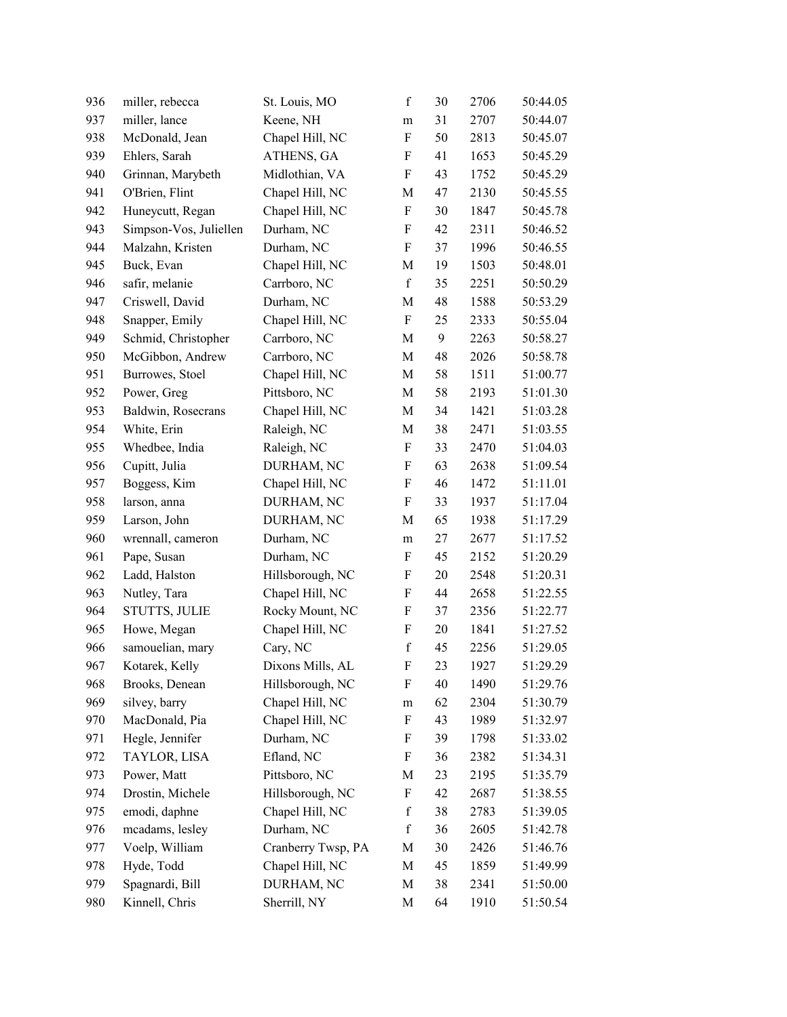| 936 | miller, rebecca        | St. Louis, MO      | $\mathbf f$               | 30 | 2706 | 50:44.05 |
|-----|------------------------|--------------------|---------------------------|----|------|----------|
| 937 | miller, lance          | Keene, NH          | ${\rm m}$                 | 31 | 2707 | 50:44.07 |
| 938 | McDonald, Jean         | Chapel Hill, NC    | $\boldsymbol{\mathrm{F}}$ | 50 | 2813 | 50:45.07 |
| 939 | Ehlers, Sarah          | ATHENS, GA         | F                         | 41 | 1653 | 50:45.29 |
| 940 | Grinnan, Marybeth      | Midlothian, VA     | $\boldsymbol{\mathrm{F}}$ | 43 | 1752 | 50:45.29 |
| 941 | O'Brien, Flint         | Chapel Hill, NC    | M                         | 47 | 2130 | 50:45.55 |
| 942 | Huneycutt, Regan       | Chapel Hill, NC    | $\boldsymbol{\mathrm{F}}$ | 30 | 1847 | 50:45.78 |
| 943 | Simpson-Vos, Juliellen | Durham, NC         | F                         | 42 | 2311 | 50:46.52 |
| 944 | Malzahn, Kristen       | Durham, NC         | $\boldsymbol{F}$          | 37 | 1996 | 50:46.55 |
| 945 | Buck, Evan             | Chapel Hill, NC    | M                         | 19 | 1503 | 50:48.01 |
| 946 | safir, melanie         | Carrboro, NC       | $\mathbf f$               | 35 | 2251 | 50:50.29 |
| 947 | Criswell, David        | Durham, NC         | M                         | 48 | 1588 | 50:53.29 |
| 948 | Snapper, Emily         | Chapel Hill, NC    | F                         | 25 | 2333 | 50:55.04 |
| 949 | Schmid, Christopher    | Carrboro, NC       | M                         | 9  | 2263 | 50:58.27 |
| 950 | McGibbon, Andrew       | Carrboro, NC       | M                         | 48 | 2026 | 50:58.78 |
| 951 | Burrowes, Stoel        | Chapel Hill, NC    | M                         | 58 | 1511 | 51:00.77 |
| 952 | Power, Greg            | Pittsboro, NC      | $\mathbf M$               | 58 | 2193 | 51:01.30 |
| 953 | Baldwin, Rosecrans     | Chapel Hill, NC    | M                         | 34 | 1421 | 51:03.28 |
| 954 | White, Erin            | Raleigh, NC        | M                         | 38 | 2471 | 51:03.55 |
| 955 | Whedbee, India         | Raleigh, NC        | $\boldsymbol{\mathrm{F}}$ | 33 | 2470 | 51:04.03 |
| 956 | Cupitt, Julia          | DURHAM, NC         | F                         | 63 | 2638 | 51:09.54 |
| 957 | Boggess, Kim           | Chapel Hill, NC    | F                         | 46 | 1472 | 51:11.01 |
| 958 | larson, anna           | DURHAM, NC         | $\boldsymbol{\mathrm{F}}$ | 33 | 1937 | 51:17.04 |
| 959 | Larson, John           | DURHAM, NC         | M                         | 65 | 1938 | 51:17.29 |
| 960 | wrennall, cameron      | Durham, NC         | m                         | 27 | 2677 | 51:17.52 |
| 961 | Pape, Susan            | Durham, NC         | $\boldsymbol{\mathrm{F}}$ | 45 | 2152 | 51:20.29 |
| 962 | Ladd, Halston          | Hillsborough, NC   | F                         | 20 | 2548 | 51:20.31 |
| 963 | Nutley, Tara           | Chapel Hill, NC    | $\boldsymbol{\mathrm{F}}$ | 44 | 2658 | 51:22.55 |
| 964 | <b>STUTTS, JULIE</b>   | Rocky Mount, NC    | F                         | 37 | 2356 | 51:22.77 |
| 965 | Howe, Megan            | Chapel Hill, NC    | F                         | 20 | 1841 | 51:27.52 |
| 966 | samouelian, mary       | Cary, NC           | $\mathbf f$               | 45 | 2256 | 51:29.05 |
| 967 | Kotarek, Kelly         | Dixons Mills, AL   | F                         | 23 | 1927 | 51:29.29 |
| 968 | Brooks, Denean         | Hillsborough, NC   | F                         | 40 | 1490 | 51:29.76 |
| 969 | silvey, barry          | Chapel Hill, NC    | m                         | 62 | 2304 | 51:30.79 |
| 970 | MacDonald, Pia         | Chapel Hill, NC    | F                         | 43 | 1989 | 51:32.97 |
| 971 | Hegle, Jennifer        | Durham, NC         | F                         | 39 | 1798 | 51:33.02 |
| 972 | TAYLOR, LISA           | Efland, NC         | F                         | 36 | 2382 | 51:34.31 |
| 973 | Power, Matt            | Pittsboro, NC      | M                         | 23 | 2195 | 51:35.79 |
| 974 | Drostin, Michele       | Hillsborough, NC   | F                         | 42 | 2687 | 51:38.55 |
| 975 | emodi, daphne          | Chapel Hill, NC    | $\mathbf f$               | 38 | 2783 | 51:39.05 |
| 976 | mcadams, lesley        | Durham, NC         | $\mathbf f$               | 36 | 2605 | 51:42.78 |
| 977 | Voelp, William         | Cranberry Twsp, PA | M                         | 30 | 2426 | 51:46.76 |
| 978 | Hyde, Todd             | Chapel Hill, NC    | M                         | 45 | 1859 | 51:49.99 |
| 979 | Spagnardi, Bill        | DURHAM, NC         | M                         | 38 | 2341 | 51:50.00 |
| 980 | Kinnell, Chris         | Sherrill, NY       | $\mathbf M$               | 64 | 1910 | 51:50.54 |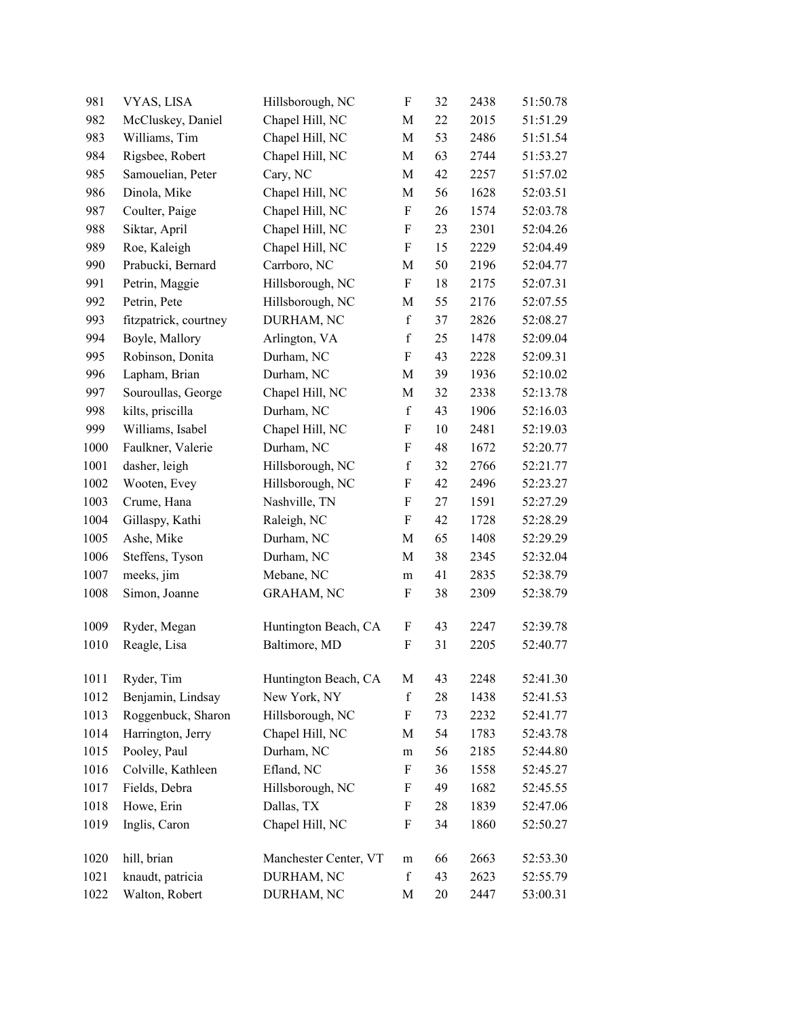| 981  | VYAS, LISA            | Hillsborough, NC      | $\boldsymbol{\mathrm{F}}$ | 32 | 2438 | 51:50.78 |
|------|-----------------------|-----------------------|---------------------------|----|------|----------|
| 982  | McCluskey, Daniel     | Chapel Hill, NC       | M                         | 22 | 2015 | 51:51.29 |
| 983  | Williams, Tim         | Chapel Hill, NC       | M                         | 53 | 2486 | 51:51.54 |
| 984  | Rigsbee, Robert       | Chapel Hill, NC       | M                         | 63 | 2744 | 51:53.27 |
| 985  | Samouelian, Peter     | Cary, NC              | M                         | 42 | 2257 | 51:57.02 |
| 986  | Dinola, Mike          | Chapel Hill, NC       | M                         | 56 | 1628 | 52:03.51 |
| 987  | Coulter, Paige        | Chapel Hill, NC       | F                         | 26 | 1574 | 52:03.78 |
| 988  | Siktar, April         | Chapel Hill, NC       | F                         | 23 | 2301 | 52:04.26 |
| 989  | Roe, Kaleigh          | Chapel Hill, NC       | $\boldsymbol{\mathrm{F}}$ | 15 | 2229 | 52:04.49 |
| 990  | Prabucki, Bernard     | Carrboro, NC          | M                         | 50 | 2196 | 52:04.77 |
| 991  | Petrin, Maggie        | Hillsborough, NC      | $\boldsymbol{\mathrm{F}}$ | 18 | 2175 | 52:07.31 |
| 992  | Petrin, Pete          | Hillsborough, NC      | M                         | 55 | 2176 | 52:07.55 |
| 993  | fitzpatrick, courtney | DURHAM, NC            | $\mathbf f$               | 37 | 2826 | 52:08.27 |
| 994  | Boyle, Mallory        | Arlington, VA         | $\mathbf f$               | 25 | 1478 | 52:09.04 |
| 995  | Robinson, Donita      | Durham, NC            | $\boldsymbol{\mathrm{F}}$ | 43 | 2228 | 52:09.31 |
| 996  | Lapham, Brian         | Durham, NC            | M                         | 39 | 1936 | 52:10.02 |
| 997  | Souroullas, George    | Chapel Hill, NC       | M                         | 32 | 2338 | 52:13.78 |
| 998  | kilts, priscilla      | Durham, NC            | $\mathbf f$               | 43 | 1906 | 52:16.03 |
| 999  | Williams, Isabel      | Chapel Hill, NC       | F                         | 10 | 2481 | 52:19.03 |
| 1000 | Faulkner, Valerie     | Durham, NC            | $\boldsymbol{\mathrm{F}}$ | 48 | 1672 | 52:20.77 |
| 1001 | dasher, leigh         | Hillsborough, NC      | $\mathbf f$               | 32 | 2766 | 52:21.77 |
| 1002 | Wooten, Evey          | Hillsborough, NC      | $\boldsymbol{\mathrm{F}}$ | 42 | 2496 | 52:23.27 |
| 1003 | Crume, Hana           | Nashville, TN         | $\boldsymbol{\mathrm{F}}$ | 27 | 1591 | 52:27.29 |
| 1004 | Gillaspy, Kathi       | Raleigh, NC           | F                         | 42 | 1728 | 52:28.29 |
| 1005 | Ashe, Mike            | Durham, NC            | M                         | 65 | 1408 | 52:29.29 |
| 1006 | Steffens, Tyson       | Durham, NC            | M                         | 38 | 2345 | 52:32.04 |
| 1007 | meeks, jim            | Mebane, NC            | m                         | 41 | 2835 | 52:38.79 |
| 1008 | Simon, Joanne         | <b>GRAHAM, NC</b>     | F                         | 38 | 2309 | 52:38.79 |
| 1009 | Ryder, Megan          | Huntington Beach, CA  | F                         | 43 | 2247 | 52:39.78 |
| 1010 | Reagle, Lisa          | Baltimore, MD         | F                         | 31 | 2205 | 52:40.77 |
| 1011 | Ryder, Tim            | Huntington Beach, CA  | M                         | 43 | 2248 | 52:41.30 |
| 1012 | Benjamin, Lindsay     | New York, NY          | $\mathbf f$               | 28 | 1438 | 52:41.53 |
| 1013 | Roggenbuck, Sharon    | Hillsborough, NC      | F                         | 73 | 2232 | 52:41.77 |
| 1014 | Harrington, Jerry     | Chapel Hill, NC       | M                         | 54 | 1783 | 52:43.78 |
| 1015 | Pooley, Paul          | Durham, NC            | m                         | 56 | 2185 | 52:44.80 |
| 1016 | Colville, Kathleen    | Efland, NC            | $\boldsymbol{\mathrm{F}}$ | 36 | 1558 | 52:45.27 |
| 1017 | Fields, Debra         | Hillsborough, NC      | F                         | 49 | 1682 | 52:45.55 |
| 1018 | Howe, Erin            | Dallas, TX            | F                         | 28 | 1839 | 52:47.06 |
| 1019 | Inglis, Caron         | Chapel Hill, NC       | F                         | 34 | 1860 | 52:50.27 |
| 1020 | hill, brian           | Manchester Center, VT | m                         | 66 | 2663 | 52:53.30 |
| 1021 | knaudt, patricia      | DURHAM, NC            | $\mathbf f$               | 43 | 2623 | 52:55.79 |
| 1022 | Walton, Robert        | DURHAM, NC            | M                         | 20 | 2447 | 53:00.31 |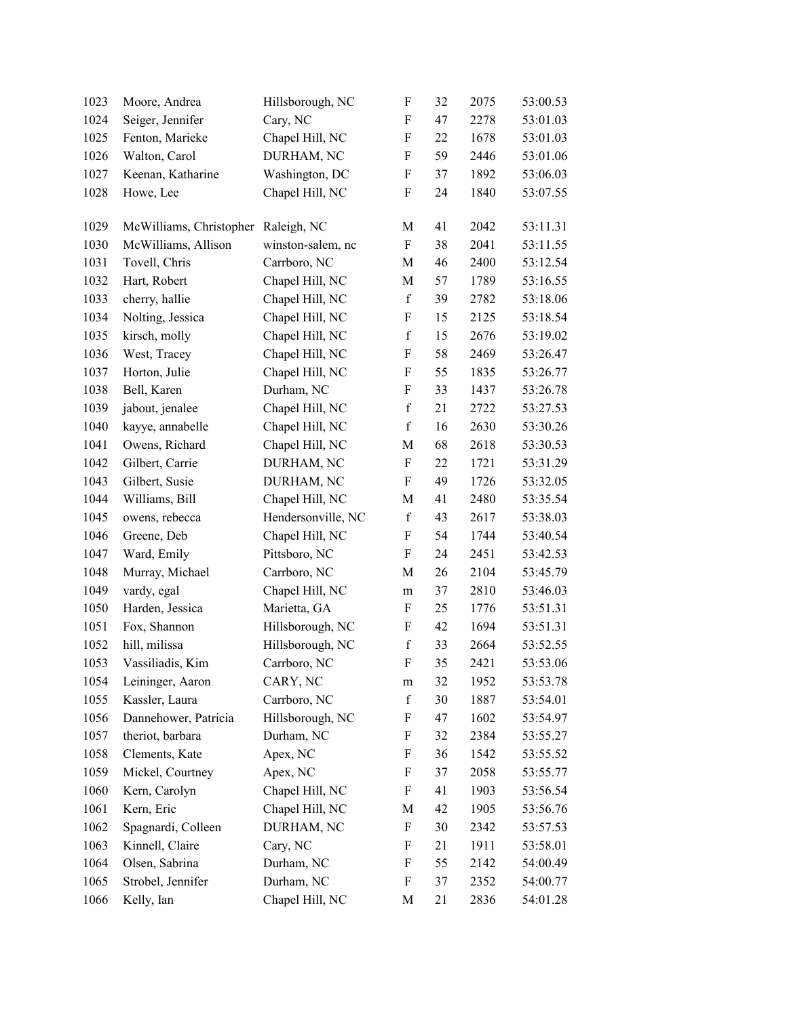| 1023 | Moore, Andrea           | Hillsborough, NC   | F                         | 32 | 2075 | 53:00.53 |
|------|-------------------------|--------------------|---------------------------|----|------|----------|
| 1024 | Seiger, Jennifer        | Cary, NC           | $\boldsymbol{F}$          | 47 | 2278 | 53:01.03 |
| 1025 | Fenton, Marieke         | Chapel Hill, NC    | F                         | 22 | 1678 | 53:01.03 |
| 1026 | Walton, Carol           | DURHAM, NC         | F                         | 59 | 2446 | 53:01.06 |
| 1027 | Keenan, Katharine       | Washington, DC     | F                         | 37 | 1892 | 53:06.03 |
| 1028 | Howe, Lee               | Chapel Hill, NC    | F                         | 24 | 1840 | 53:07.55 |
| 1029 | McWilliams, Christopher | Raleigh, NC        | M                         | 41 | 2042 | 53:11.31 |
| 1030 | McWilliams, Allison     | winston-salem, nc  | F                         | 38 | 2041 | 53:11.55 |
| 1031 | Tovell, Chris           | Carrboro, NC       | M                         | 46 | 2400 | 53:12.54 |
| 1032 | Hart, Robert            | Chapel Hill, NC    | M                         | 57 | 1789 | 53:16.55 |
| 1033 | cherry, hallie          | Chapel Hill, NC    | $\mathbf f$               | 39 | 2782 | 53:18.06 |
| 1034 | Nolting, Jessica        | Chapel Hill, NC    | F                         | 15 | 2125 | 53:18.54 |
| 1035 | kirsch, molly           | Chapel Hill, NC    | $\mathbf f$               | 15 | 2676 | 53:19.02 |
| 1036 | West, Tracey            | Chapel Hill, NC    | F                         | 58 | 2469 | 53:26.47 |
| 1037 | Horton, Julie           | Chapel Hill, NC    | F                         | 55 | 1835 | 53:26.77 |
| 1038 | Bell, Karen             | Durham, NC         | $\boldsymbol{F}$          | 33 | 1437 | 53:26.78 |
| 1039 | jabout, jenalee         | Chapel Hill, NC    | $\mathbf f$               | 21 | 2722 | 53:27.53 |
| 1040 | kayye, annabelle        | Chapel Hill, NC    | $\mathbf f$               | 16 | 2630 | 53:30.26 |
| 1041 | Owens, Richard          | Chapel Hill, NC    | M                         | 68 | 2618 | 53:30.53 |
| 1042 | Gilbert, Carrie         | DURHAM, NC         | F                         | 22 | 1721 | 53:31.29 |
| 1043 | Gilbert, Susie          | DURHAM, NC         | $\boldsymbol{F}$          | 49 | 1726 | 53:32.05 |
| 1044 | Williams, Bill          | Chapel Hill, NC    | M                         | 41 | 2480 | 53:35.54 |
| 1045 | owens, rebecca          | Hendersonville, NC | $\mathbf f$               | 43 | 2617 | 53:38.03 |
| 1046 | Greene, Deb             | Chapel Hill, NC    | F                         | 54 | 1744 | 53:40.54 |
| 1047 | Ward, Emily             | Pittsboro, NC      | $\boldsymbol{\mathrm{F}}$ | 24 | 2451 | 53:42.53 |
| 1048 | Murray, Michael         | Carrboro, NC       | M                         | 26 | 2104 | 53:45.79 |
| 1049 | vardy, egal             | Chapel Hill, NC    | m                         | 37 | 2810 | 53:46.03 |
| 1050 | Harden, Jessica         | Marietta, GA       | $\boldsymbol{\mathrm{F}}$ | 25 | 1776 | 53:51.31 |
| 1051 | Fox, Shannon            | Hillsborough, NC   | F                         | 42 | 1694 | 53:51.31 |
| 1052 | hill, milissa           | Hillsborough, NC   | $\mathbf f$               | 33 | 2664 | 53:52.55 |
| 1053 | Vassiliadis, Kim        | Carrboro, NC       | $\mathbf F$               | 35 | 2421 | 53:53.06 |
| 1054 | Leininger, Aaron        | CARY, NC           | m                         | 32 | 1952 | 53:53.78 |
| 1055 | Kassler, Laura          | Carrboro, NC       | $\mathbf f$               | 30 | 1887 | 53:54.01 |
| 1056 | Dannehower, Patricia    | Hillsborough, NC   | F                         | 47 | 1602 | 53:54.97 |
| 1057 | theriot, barbara        | Durham, NC         | F                         | 32 | 2384 | 53:55.27 |
| 1058 | Clements, Kate          | Apex, NC           | F                         | 36 | 1542 | 53:55.52 |
| 1059 | Mickel, Courtney        | Apex, NC           | F                         | 37 | 2058 | 53:55.77 |
| 1060 | Kern, Carolyn           | Chapel Hill, NC    | $\boldsymbol{F}$          | 41 | 1903 | 53:56.54 |
| 1061 | Kern, Eric              | Chapel Hill, NC    | M                         | 42 | 1905 | 53:56.76 |
| 1062 | Spagnardi, Colleen      | DURHAM, NC         | F                         | 30 | 2342 | 53:57.53 |
| 1063 | Kinnell, Claire         | Cary, NC           | F                         | 21 | 1911 | 53:58.01 |
| 1064 | Olsen, Sabrina          | Durham, NC         | F                         | 55 | 2142 | 54:00.49 |
| 1065 | Strobel, Jennifer       | Durham, NC         | F                         | 37 | 2352 | 54:00.77 |
| 1066 | Kelly, Ian              | Chapel Hill, NC    | M                         | 21 | 2836 | 54:01.28 |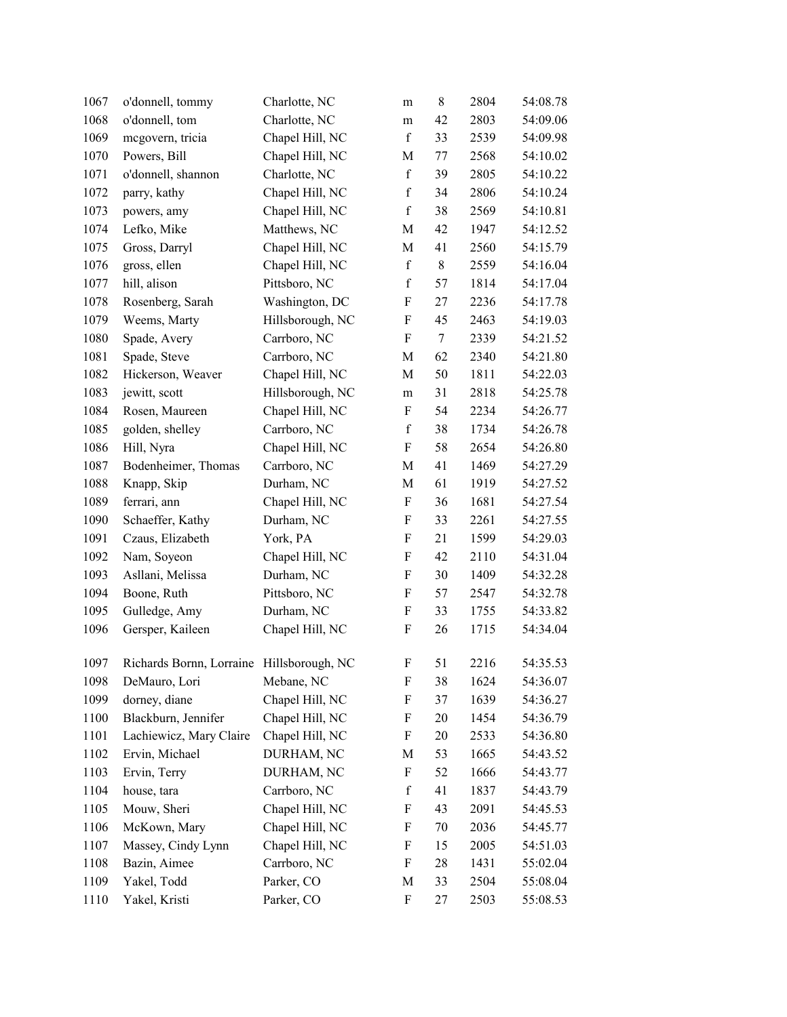| 1067 | o'donnell, tommy                          | Charlotte, NC    | m           | 8      | 2804 | 54:08.78 |
|------|-------------------------------------------|------------------|-------------|--------|------|----------|
| 1068 | o'donnell, tom                            | Charlotte, NC    | m           | 42     | 2803 | 54:09.06 |
| 1069 | megovern, tricia                          | Chapel Hill, NC  | $\mathbf f$ | 33     | 2539 | 54:09.98 |
| 1070 | Powers, Bill                              | Chapel Hill, NC  | M           | 77     | 2568 | 54:10.02 |
| 1071 | o'donnell, shannon                        | Charlotte, NC    | $\mathbf f$ | 39     | 2805 | 54:10.22 |
| 1072 | parry, kathy                              | Chapel Hill, NC  | $\mathbf f$ | 34     | 2806 | 54:10.24 |
| 1073 | powers, amy                               | Chapel Hill, NC  | $\mathbf f$ | 38     | 2569 | 54:10.81 |
| 1074 | Lefko, Mike                               | Matthews, NC     | M           | 42     | 1947 | 54:12.52 |
| 1075 | Gross, Darryl                             | Chapel Hill, NC  | $\mathbf M$ | 41     | 2560 | 54:15.79 |
| 1076 | gross, ellen                              | Chapel Hill, NC  | $\mathbf f$ | 8      | 2559 | 54:16.04 |
| 1077 | hill, alison                              | Pittsboro, NC    | $\mathbf f$ | 57     | 1814 | 54:17.04 |
| 1078 | Rosenberg, Sarah                          | Washington, DC   | F           | 27     | 2236 | 54:17.78 |
| 1079 | Weems, Marty                              | Hillsborough, NC | F           | 45     | 2463 | 54:19.03 |
| 1080 | Spade, Avery                              | Carrboro, NC     | F           | $\tau$ | 2339 | 54:21.52 |
| 1081 | Spade, Steve                              | Carrboro, NC     | M           | 62     | 2340 | 54:21.80 |
| 1082 | Hickerson, Weaver                         | Chapel Hill, NC  | M           | 50     | 1811 | 54:22.03 |
| 1083 | jewitt, scott                             | Hillsborough, NC | ${\bf m}$   | 31     | 2818 | 54:25.78 |
| 1084 | Rosen, Maureen                            | Chapel Hill, NC  | F           | 54     | 2234 | 54:26.77 |
| 1085 | golden, shelley                           | Carrboro, NC     | $\mathbf f$ | 38     | 1734 | 54:26.78 |
| 1086 | Hill, Nyra                                | Chapel Hill, NC  | F           | 58     | 2654 | 54:26.80 |
| 1087 | Bodenheimer, Thomas                       | Carrboro, NC     | M           | 41     | 1469 | 54:27.29 |
| 1088 | Knapp, Skip                               | Durham, NC       | $\mathbf M$ | 61     | 1919 | 54:27.52 |
| 1089 | ferrari, ann                              | Chapel Hill, NC  | F           | 36     | 1681 | 54:27.54 |
| 1090 | Schaeffer, Kathy                          | Durham, NC       | F           | 33     | 2261 | 54:27.55 |
| 1091 | Czaus, Elizabeth                          | York, PA         | F           | 21     | 1599 | 54:29.03 |
| 1092 | Nam, Soyeon                               | Chapel Hill, NC  | F           | 42     | 2110 | 54:31.04 |
| 1093 | Asllani, Melissa                          | Durham, NC       | F           | 30     | 1409 | 54:32.28 |
| 1094 | Boone, Ruth                               | Pittsboro, NC    | F           | 57     | 2547 | 54:32.78 |
| 1095 | Gulledge, Amy                             | Durham, NC       | F           | 33     | 1755 | 54:33.82 |
| 1096 | Gersper, Kaileen                          | Chapel Hill, NC  | F           | 26     | 1715 | 54:34.04 |
| 1097 | Richards Bornn, Lorraine Hillsborough, NC |                  | F           | 51     | 2216 | 54:35.53 |
| 1098 | DeMauro, Lori                             | Mebane, NC       | F           | 38     | 1624 | 54:36.07 |
| 1099 | dorney, diane                             | Chapel Hill, NC  | F           | 37     | 1639 | 54:36.27 |
| 1100 | Blackburn, Jennifer                       | Chapel Hill, NC  | F           | 20     | 1454 | 54:36.79 |
| 1101 | Lachiewicz, Mary Claire                   | Chapel Hill, NC  | F           | 20     | 2533 | 54:36.80 |
| 1102 | Ervin, Michael                            | DURHAM, NC       | M           | 53     | 1665 | 54:43.52 |
| 1103 | Ervin, Terry                              | DURHAM, NC       | F           | 52     | 1666 | 54:43.77 |
| 1104 | house, tara                               | Carrboro, NC     | $\mathbf f$ | 41     | 1837 | 54:43.79 |
| 1105 | Mouw, Sheri                               | Chapel Hill, NC  | F           | 43     | 2091 | 54:45.53 |
| 1106 | McKown, Mary                              | Chapel Hill, NC  | F           | 70     | 2036 | 54:45.77 |
| 1107 | Massey, Cindy Lynn                        | Chapel Hill, NC  | F           | 15     | 2005 | 54:51.03 |
| 1108 | Bazin, Aimee                              | Carrboro, NC     | F           | 28     | 1431 | 55:02.04 |
| 1109 | Yakel, Todd                               | Parker, CO       | M           | 33     | 2504 | 55:08.04 |
| 1110 | Yakel, Kristi                             | Parker, CO       | F           | 27     | 2503 | 55:08.53 |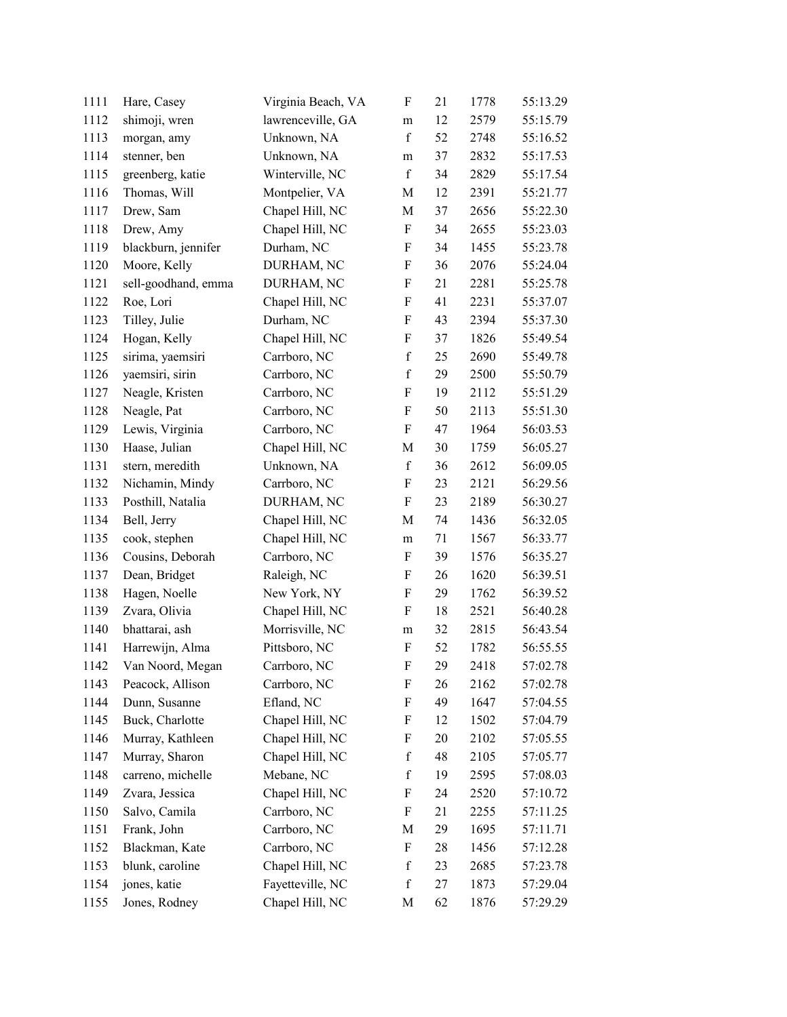| 1111 | Hare, Casey         | Virginia Beach, VA | $\boldsymbol{\mathrm{F}}$ | 21 | 1778 | 55:13.29 |
|------|---------------------|--------------------|---------------------------|----|------|----------|
| 1112 | shimoji, wren       | lawrenceville, GA  | m                         | 12 | 2579 | 55:15.79 |
| 1113 | morgan, amy         | Unknown, NA        | $\mathbf f$               | 52 | 2748 | 55:16.52 |
| 1114 | stenner, ben        | Unknown, NA        | ${\rm m}$                 | 37 | 2832 | 55:17.53 |
| 1115 | greenberg, katie    | Winterville, NC    | $\mathbf f$               | 34 | 2829 | 55:17.54 |
| 1116 | Thomas, Will        | Montpelier, VA     | $\mathbf M$               | 12 | 2391 | 55:21.77 |
| 1117 | Drew, Sam           | Chapel Hill, NC    | M                         | 37 | 2656 | 55:22.30 |
| 1118 | Drew, Amy           | Chapel Hill, NC    | F                         | 34 | 2655 | 55:23.03 |
| 1119 | blackburn, jennifer | Durham, NC         | F                         | 34 | 1455 | 55:23.78 |
| 1120 | Moore, Kelly        | DURHAM, NC         | F                         | 36 | 2076 | 55:24.04 |
| 1121 | sell-goodhand, emma | DURHAM, NC         | F                         | 21 | 2281 | 55:25.78 |
| 1122 | Roe, Lori           | Chapel Hill, NC    | $\boldsymbol{\mathrm{F}}$ | 41 | 2231 | 55:37.07 |
| 1123 | Tilley, Julie       | Durham, NC         | F                         | 43 | 2394 | 55:37.30 |
| 1124 | Hogan, Kelly        | Chapel Hill, NC    | F                         | 37 | 1826 | 55:49.54 |
| 1125 | sirima, yaemsiri    | Carrboro, NC       | $\mathbf f$               | 25 | 2690 | 55:49.78 |
| 1126 | yaemsiri, sirin     | Carrboro, NC       | $\mathbf f$               | 29 | 2500 | 55:50.79 |
| 1127 | Neagle, Kristen     | Carrboro, NC       | F                         | 19 | 2112 | 55:51.29 |
| 1128 | Neagle, Pat         | Carrboro, NC       | $\boldsymbol{\mathrm{F}}$ | 50 | 2113 | 55:51.30 |
| 1129 | Lewis, Virginia     | Carrboro, NC       | F                         | 47 | 1964 | 56:03.53 |
| 1130 | Haase, Julian       | Chapel Hill, NC    | M                         | 30 | 1759 | 56:05.27 |
| 1131 | stern, meredith     | Unknown, NA        | $\mathbf f$               | 36 | 2612 | 56:09.05 |
| 1132 | Nichamin, Mindy     | Carrboro, NC       | $\boldsymbol{\mathrm{F}}$ | 23 | 2121 | 56:29.56 |
| 1133 | Posthill, Natalia   | DURHAM, NC         | $\boldsymbol{\mathrm{F}}$ | 23 | 2189 | 56:30.27 |
| 1134 | Bell, Jerry         | Chapel Hill, NC    | M                         | 74 | 1436 | 56:32.05 |
| 1135 | cook, stephen       | Chapel Hill, NC    | m                         | 71 | 1567 | 56:33.77 |
| 1136 | Cousins, Deborah    | Carrboro, NC       | F                         | 39 | 1576 | 56:35.27 |
| 1137 | Dean, Bridget       | Raleigh, NC        | F                         | 26 | 1620 | 56:39.51 |
| 1138 | Hagen, Noelle       | New York, NY       | F                         | 29 | 1762 | 56:39.52 |
| 1139 | Zvara, Olivia       | Chapel Hill, NC    | $\boldsymbol{\mathrm{F}}$ | 18 | 2521 | 56:40.28 |
| 1140 | bhattarai, ash      | Morrisville, NC    | m                         | 32 | 2815 | 56:43.54 |
| 1141 | Harrewijn, Alma     | Pittsboro, NC      | $\boldsymbol{\mathrm{F}}$ | 52 | 1782 | 56:55.55 |
| 1142 | Van Noord, Megan    | Carrboro, NC       | F                         | 29 | 2418 | 57:02.78 |
| 1143 | Peacock, Allison    | Carrboro, NC       | F                         | 26 | 2162 | 57:02.78 |
| 1144 | Dunn, Susanne       | Efland, NC         | F                         | 49 | 1647 | 57:04.55 |
| 1145 | Buck, Charlotte     | Chapel Hill, NC    | F                         | 12 | 1502 | 57:04.79 |
| 1146 | Murray, Kathleen    | Chapel Hill, NC    | F                         | 20 | 2102 | 57:05.55 |
| 1147 | Murray, Sharon      | Chapel Hill, NC    | $\mathbf f$               | 48 | 2105 | 57:05.77 |
| 1148 | carreno, michelle   | Mebane, NC         | $\mathbf f$               | 19 | 2595 | 57:08.03 |
| 1149 | Zvara, Jessica      | Chapel Hill, NC    | F                         | 24 | 2520 | 57:10.72 |
| 1150 | Salvo, Camila       | Carrboro, NC       | F                         | 21 | 2255 | 57:11.25 |
| 1151 | Frank, John         | Carrboro, NC       | M                         | 29 | 1695 | 57:11.71 |
| 1152 | Blackman, Kate      | Carrboro, NC       | F                         | 28 | 1456 | 57:12.28 |
| 1153 | blunk, caroline     | Chapel Hill, NC    | $\mathbf f$               | 23 | 2685 | 57:23.78 |
| 1154 | jones, katie        | Fayetteville, NC   | $\mathbf f$               | 27 | 1873 | 57:29.04 |
| 1155 | Jones, Rodney       | Chapel Hill, NC    | M                         | 62 | 1876 | 57:29.29 |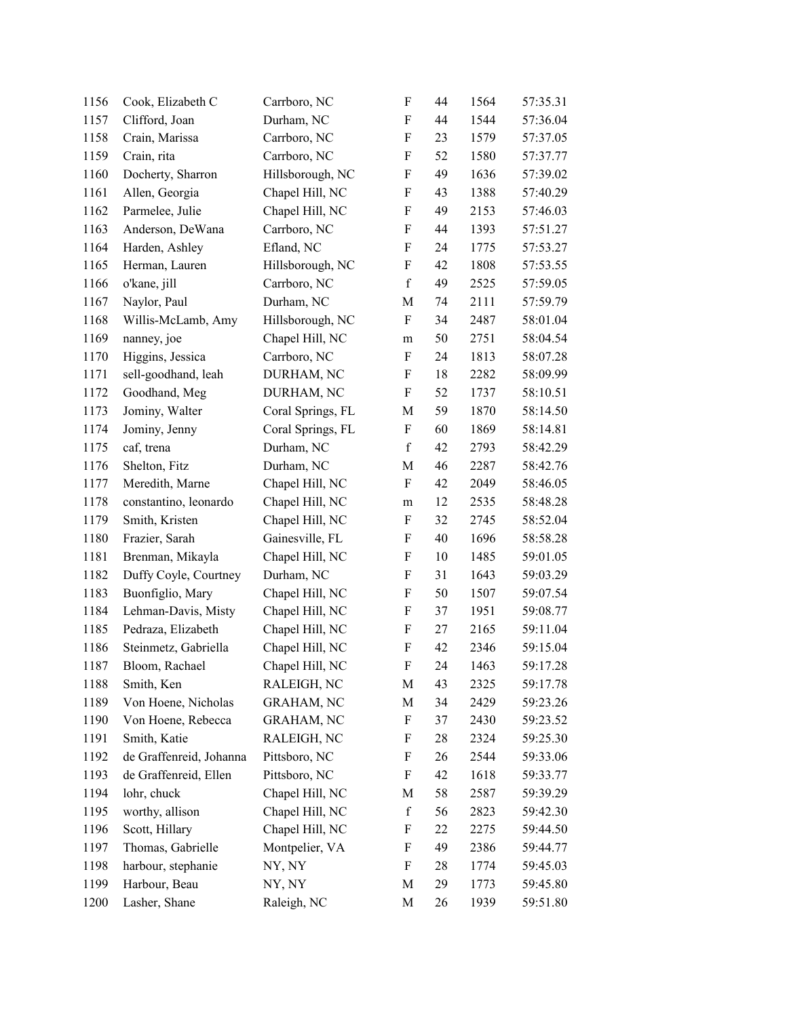| 1156 | Cook, Elizabeth C       | Carrboro, NC      | $\boldsymbol{\mathrm{F}}$ | 44 | 1564 | 57:35.31 |
|------|-------------------------|-------------------|---------------------------|----|------|----------|
| 1157 | Clifford, Joan          | Durham, NC        | F                         | 44 | 1544 | 57:36.04 |
| 1158 | Crain, Marissa          | Carrboro, NC      | F                         | 23 | 1579 | 57:37.05 |
| 1159 | Crain, rita             | Carrboro, NC      | $\boldsymbol{F}$          | 52 | 1580 | 57:37.77 |
| 1160 | Docherty, Sharron       | Hillsborough, NC  | F                         | 49 | 1636 | 57:39.02 |
| 1161 | Allen, Georgia          | Chapel Hill, NC   | $\boldsymbol{F}$          | 43 | 1388 | 57:40.29 |
| 1162 | Parmelee, Julie         | Chapel Hill, NC   | F                         | 49 | 2153 | 57:46.03 |
| 1163 | Anderson, DeWana        | Carrboro, NC      | F                         | 44 | 1393 | 57:51.27 |
| 1164 | Harden, Ashley          | Efland, NC        | F                         | 24 | 1775 | 57:53.27 |
| 1165 | Herman, Lauren          | Hillsborough, NC  | F                         | 42 | 1808 | 57:53.55 |
| 1166 | o'kane, jill            | Carrboro, NC      | $\mathbf f$               | 49 | 2525 | 57:59.05 |
| 1167 | Naylor, Paul            | Durham, NC        | M                         | 74 | 2111 | 57:59.79 |
| 1168 | Willis-McLamb, Amy      | Hillsborough, NC  | F                         | 34 | 2487 | 58:01.04 |
| 1169 | nanney, joe             | Chapel Hill, NC   | m                         | 50 | 2751 | 58:04.54 |
| 1170 | Higgins, Jessica        | Carrboro, NC      | $\boldsymbol{\mathrm{F}}$ | 24 | 1813 | 58:07.28 |
| 1171 | sell-goodhand, leah     | DURHAM, NC        | F                         | 18 | 2282 | 58:09.99 |
| 1172 | Goodhand, Meg           | DURHAM, NC        | $\boldsymbol{F}$          | 52 | 1737 | 58:10.51 |
| 1173 | Jominy, Walter          | Coral Springs, FL | M                         | 59 | 1870 | 58:14.50 |
| 1174 | Jominy, Jenny           | Coral Springs, FL | F                         | 60 | 1869 | 58:14.81 |
| 1175 | caf, trena              | Durham, NC        | $\mathbf f$               | 42 | 2793 | 58:42.29 |
| 1176 | Shelton, Fitz           | Durham, NC        | M                         | 46 | 2287 | 58:42.76 |
| 1177 | Meredith, Marne         | Chapel Hill, NC   | F                         | 42 | 2049 | 58:46.05 |
| 1178 | constantino, leonardo   | Chapel Hill, NC   | m                         | 12 | 2535 | 58:48.28 |
| 1179 | Smith, Kristen          | Chapel Hill, NC   | F                         | 32 | 2745 | 58:52.04 |
| 1180 | Frazier, Sarah          | Gainesville, FL   | F                         | 40 | 1696 | 58:58.28 |
| 1181 | Brenman, Mikayla        | Chapel Hill, NC   | F                         | 10 | 1485 | 59:01.05 |
| 1182 | Duffy Coyle, Courtney   | Durham, NC        | F                         | 31 | 1643 | 59:03.29 |
| 1183 | Buonfiglio, Mary        | Chapel Hill, NC   | $\boldsymbol{F}$          | 50 | 1507 | 59:07.54 |
| 1184 | Lehman-Davis, Misty     | Chapel Hill, NC   | F                         | 37 | 1951 | 59:08.77 |
| 1185 | Pedraza, Elizabeth      | Chapel Hill, NC   | F                         | 27 | 2165 | 59:11.04 |
| 1186 | Steinmetz, Gabriella    | Chapel Hill, NC   | $\boldsymbol{F}$          | 42 | 2346 | 59:15.04 |
| 1187 | Bloom, Rachael          | Chapel Hill, NC   | F                         | 24 | 1463 | 59:17.28 |
| 1188 | Smith, Ken              | RALEIGH, NC       | M                         | 43 | 2325 | 59:17.78 |
| 1189 | Von Hoene, Nicholas     | <b>GRAHAM, NC</b> | M                         | 34 | 2429 | 59:23.26 |
| 1190 | Von Hoene, Rebecca      | <b>GRAHAM, NC</b> | F                         | 37 | 2430 | 59:23.52 |
| 1191 | Smith, Katie            | RALEIGH, NC       | F                         | 28 | 2324 | 59:25.30 |
| 1192 | de Graffenreid, Johanna | Pittsboro, NC     | F                         | 26 | 2544 | 59:33.06 |
| 1193 | de Graffenreid, Ellen   | Pittsboro, NC     | F                         | 42 | 1618 | 59:33.77 |
| 1194 | lohr, chuck             | Chapel Hill, NC   | M                         | 58 | 2587 | 59:39.29 |
| 1195 | worthy, allison         | Chapel Hill, NC   | $\mathbf f$               | 56 | 2823 | 59:42.30 |
| 1196 | Scott, Hillary          | Chapel Hill, NC   | F                         | 22 | 2275 | 59:44.50 |
| 1197 | Thomas, Gabrielle       | Montpelier, VA    | F                         | 49 | 2386 | 59:44.77 |
| 1198 | harbour, stephanie      | NY, NY            | F                         | 28 | 1774 | 59:45.03 |
| 1199 | Harbour, Beau           | NY, NY            | M                         | 29 | 1773 | 59:45.80 |
| 1200 | Lasher, Shane           | Raleigh, NC       | $\mathbf M$               | 26 | 1939 | 59:51.80 |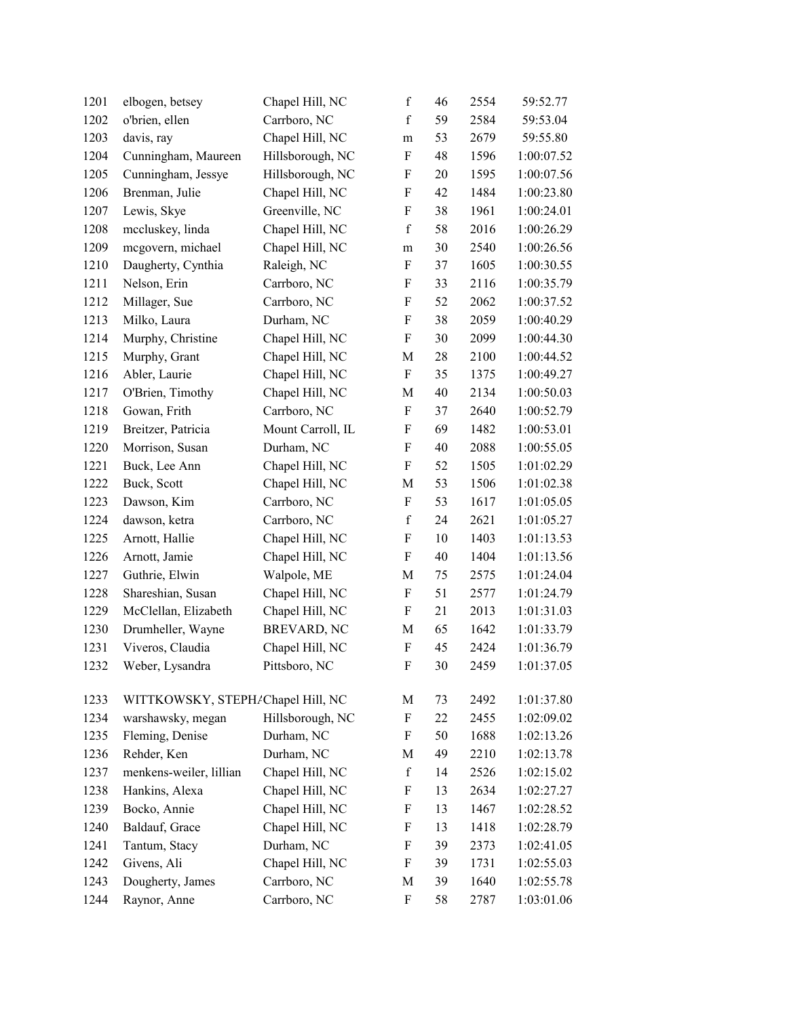| 1201 | elbogen, betsey                   | Chapel Hill, NC   | $\mathbf f$               | 46 | 2554 | 59:52.77   |  |
|------|-----------------------------------|-------------------|---------------------------|----|------|------------|--|
| 1202 | o'brien, ellen                    | Carrboro, NC      | $\mathbf f$               | 59 | 2584 | 59:53.04   |  |
| 1203 | davis, ray                        | Chapel Hill, NC   | m                         | 53 | 2679 | 59:55.80   |  |
| 1204 | Cunningham, Maureen               | Hillsborough, NC  | $\boldsymbol{\mathrm{F}}$ | 48 | 1596 | 1:00:07.52 |  |
| 1205 | Cunningham, Jessye                | Hillsborough, NC  | $\boldsymbol{\mathrm{F}}$ | 20 | 1595 | 1:00:07.56 |  |
| 1206 | Brenman, Julie                    | Chapel Hill, NC   | ${\bf F}$                 | 42 | 1484 | 1:00:23.80 |  |
| 1207 | Lewis, Skye                       | Greenville, NC    | $\boldsymbol{\mathrm{F}}$ | 38 | 1961 | 1:00:24.01 |  |
| 1208 | mccluskey, linda                  | Chapel Hill, NC   | $\mathbf f$               | 58 | 2016 | 1:00:26.29 |  |
| 1209 | mcgovern, michael                 | Chapel Hill, NC   | ${\rm m}$                 | 30 | 2540 | 1:00:26.56 |  |
| 1210 | Daugherty, Cynthia                | Raleigh, NC       | $\boldsymbol{\mathrm{F}}$ | 37 | 1605 | 1:00:30.55 |  |
| 1211 | Nelson, Erin                      | Carrboro, NC      | $\boldsymbol{\mathrm{F}}$ | 33 | 2116 | 1:00:35.79 |  |
| 1212 | Millager, Sue                     | Carrboro, NC      | $\boldsymbol{\mathrm{F}}$ | 52 | 2062 | 1:00:37.52 |  |
| 1213 | Milko, Laura                      | Durham, NC        | $\boldsymbol{\mathrm{F}}$ | 38 | 2059 | 1:00:40.29 |  |
| 1214 | Murphy, Christine                 | Chapel Hill, NC   | $\boldsymbol{\mathrm{F}}$ | 30 | 2099 | 1:00:44.30 |  |
| 1215 | Murphy, Grant                     | Chapel Hill, NC   | M                         | 28 | 2100 | 1:00:44.52 |  |
| 1216 | Abler, Laurie                     | Chapel Hill, NC   | $\boldsymbol{\mathrm{F}}$ | 35 | 1375 | 1:00:49.27 |  |
| 1217 | O'Brien, Timothy                  | Chapel Hill, NC   | $\mathbf M$               | 40 | 2134 | 1:00:50.03 |  |
| 1218 | Gowan, Frith                      | Carrboro, NC      | $\boldsymbol{\mathrm{F}}$ | 37 | 2640 | 1:00:52.79 |  |
| 1219 | Breitzer, Patricia                | Mount Carroll, IL | F                         | 69 | 1482 | 1:00:53.01 |  |
| 1220 | Morrison, Susan                   | Durham, NC        | $\boldsymbol{\mathrm{F}}$ | 40 | 2088 | 1:00:55.05 |  |
| 1221 | Buck, Lee Ann                     | Chapel Hill, NC   | $\boldsymbol{F}$          | 52 | 1505 | 1:01:02.29 |  |
| 1222 | Buck, Scott                       | Chapel Hill, NC   | $\mathbf M$               | 53 | 1506 | 1:01:02.38 |  |
| 1223 | Dawson, Kim                       | Carrboro, NC      | $\boldsymbol{\mathrm{F}}$ | 53 | 1617 | 1:01:05.05 |  |
| 1224 | dawson, ketra                     | Carrboro, NC      | $\mathbf f$               | 24 | 2621 | 1:01:05.27 |  |
| 1225 | Arnott, Hallie                    | Chapel Hill, NC   | $\boldsymbol{\mathrm{F}}$ | 10 | 1403 | 1:01:13.53 |  |
| 1226 | Arnott, Jamie                     | Chapel Hill, NC   | $\boldsymbol{\mathrm{F}}$ | 40 | 1404 | 1:01:13.56 |  |
| 1227 | Guthrie, Elwin                    | Walpole, ME       | M                         | 75 | 2575 | 1:01:24.04 |  |
| 1228 | Shareshian, Susan                 | Chapel Hill, NC   | ${\bf F}$                 | 51 | 2577 | 1:01:24.79 |  |
| 1229 | McClellan, Elizabeth              | Chapel Hill, NC   | $\boldsymbol{\mathrm{F}}$ | 21 | 2013 | 1:01:31.03 |  |
| 1230 | Drumheller, Wayne                 | BREVARD, NC       | M                         | 65 | 1642 | 1:01:33.79 |  |
| 1231 | Viveros, Claudia                  | Chapel Hill, NC   | ${\bf F}$                 | 45 | 2424 | 1:01:36.79 |  |
| 1232 | Weber, Lysandra                   | Pittsboro, NC     | F                         | 30 | 2459 | 1:01:37.05 |  |
| 1233 | WITTKOWSKY, STEPH/Chapel Hill, NC |                   | M                         | 73 | 2492 | 1:01:37.80 |  |
| 1234 | warshawsky, megan                 | Hillsborough, NC  | $\boldsymbol{\mathrm{F}}$ | 22 | 2455 | 1:02:09.02 |  |
| 1235 | Fleming, Denise                   | Durham, NC        | F                         | 50 | 1688 | 1:02:13.26 |  |
| 1236 | Rehder, Ken                       | Durham, NC        | M                         | 49 | 2210 | 1:02:13.78 |  |
| 1237 | menkens-weiler, lillian           | Chapel Hill, NC   | $\mathbf f$               | 14 | 2526 | 1:02:15.02 |  |
| 1238 | Hankins, Alexa                    | Chapel Hill, NC   | F                         | 13 | 2634 | 1:02:27.27 |  |
| 1239 | Bocko, Annie                      | Chapel Hill, NC   | $\boldsymbol{\mathrm{F}}$ | 13 | 1467 | 1:02:28.52 |  |
| 1240 | Baldauf, Grace                    | Chapel Hill, NC   | $\boldsymbol{\mathrm{F}}$ | 13 | 1418 | 1:02:28.79 |  |
| 1241 | Tantum, Stacy                     | Durham, NC        | F                         | 39 | 2373 | 1:02:41.05 |  |
| 1242 | Givens, Ali                       | Chapel Hill, NC   | $\boldsymbol{\mathrm{F}}$ | 39 | 1731 | 1:02:55.03 |  |
| 1243 | Dougherty, James                  | Carrboro, NC      | M                         | 39 | 1640 | 1:02:55.78 |  |
| 1244 | Raynor, Anne                      | Carrboro, NC      | ${\bf F}$                 | 58 | 2787 | 1:03:01.06 |  |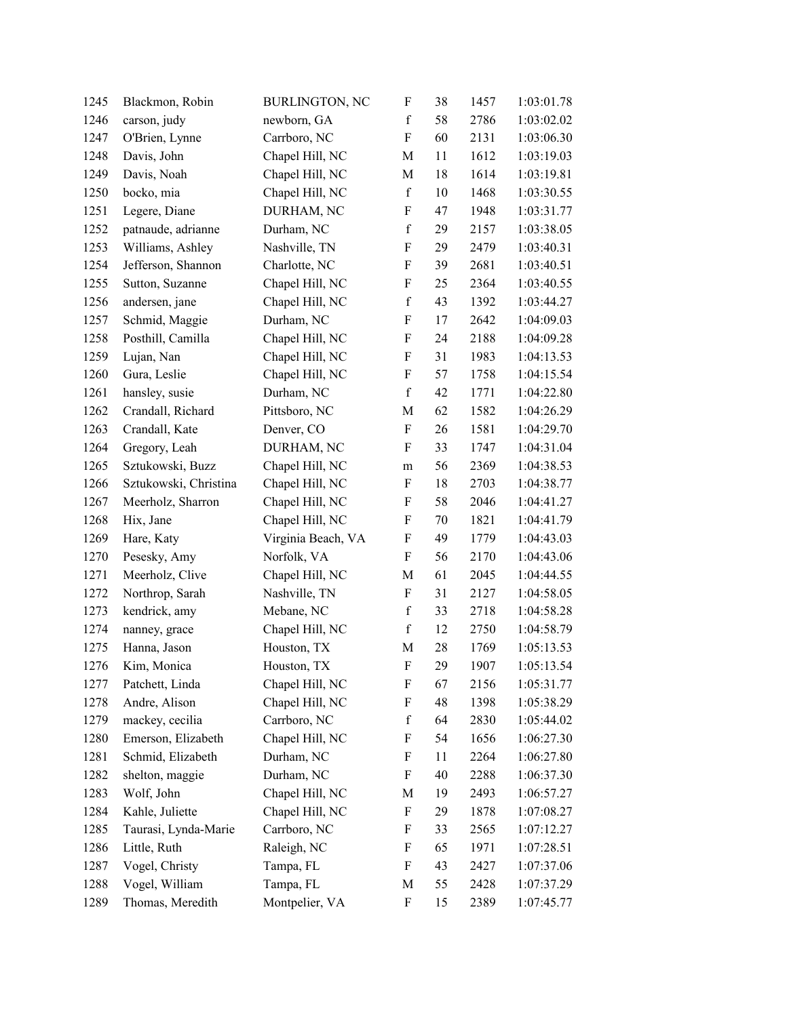| 1245 | Blackmon, Robin       | <b>BURLINGTON, NC</b> | F                         | 38 | 1457 | 1:03:01.78 |
|------|-----------------------|-----------------------|---------------------------|----|------|------------|
| 1246 | carson, judy          | newborn, GA           | $\mathbf f$               | 58 | 2786 | 1:03:02.02 |
| 1247 | O'Brien, Lynne        | Carrboro, NC          | F                         | 60 | 2131 | 1:03:06.30 |
| 1248 | Davis, John           | Chapel Hill, NC       | M                         | 11 | 1612 | 1:03:19.03 |
| 1249 | Davis, Noah           | Chapel Hill, NC       | M                         | 18 | 1614 | 1:03:19.81 |
| 1250 | bocko, mia            | Chapel Hill, NC       | $\mathbf f$               | 10 | 1468 | 1:03:30.55 |
| 1251 | Legere, Diane         | DURHAM, NC            | $\boldsymbol{\mathrm{F}}$ | 47 | 1948 | 1:03:31.77 |
| 1252 | patnaude, adrianne    | Durham, NC            | $\mathbf f$               | 29 | 2157 | 1:03:38.05 |
| 1253 | Williams, Ashley      | Nashville, TN         | $\boldsymbol{\mathrm{F}}$ | 29 | 2479 | 1:03:40.31 |
| 1254 | Jefferson, Shannon    | Charlotte, NC         | $\boldsymbol{\mathrm{F}}$ | 39 | 2681 | 1:03:40.51 |
| 1255 | Sutton, Suzanne       | Chapel Hill, NC       | $\boldsymbol{\mathrm{F}}$ | 25 | 2364 | 1:03:40.55 |
| 1256 | andersen, jane        | Chapel Hill, NC       | $\mathbf f$               | 43 | 1392 | 1:03:44.27 |
| 1257 | Schmid, Maggie        | Durham, NC            | $\boldsymbol{\mathrm{F}}$ | 17 | 2642 | 1:04:09.03 |
| 1258 | Posthill, Camilla     | Chapel Hill, NC       | $\boldsymbol{\mathrm{F}}$ | 24 | 2188 | 1:04:09.28 |
| 1259 | Lujan, Nan            | Chapel Hill, NC       | F                         | 31 | 1983 | 1:04:13.53 |
| 1260 | Gura, Leslie          | Chapel Hill, NC       | $\boldsymbol{\mathrm{F}}$ | 57 | 1758 | 1:04:15.54 |
| 1261 | hansley, susie        | Durham, NC            | $\mathbf f$               | 42 | 1771 | 1:04:22.80 |
| 1262 | Crandall, Richard     | Pittsboro, NC         | M                         | 62 | 1582 | 1:04:26.29 |
| 1263 | Crandall, Kate        | Denver, CO            | $\boldsymbol{\mathrm{F}}$ | 26 | 1581 | 1:04:29.70 |
| 1264 | Gregory, Leah         | DURHAM, NC            | $\boldsymbol{\mathrm{F}}$ | 33 | 1747 | 1:04:31.04 |
| 1265 | Sztukowski, Buzz      | Chapel Hill, NC       | ${\rm m}$                 | 56 | 2369 | 1:04:38.53 |
| 1266 | Sztukowski, Christina | Chapel Hill, NC       | $\boldsymbol{\mathrm{F}}$ | 18 | 2703 | 1:04:38.77 |
| 1267 | Meerholz, Sharron     | Chapel Hill, NC       | F                         | 58 | 2046 | 1:04:41.27 |
| 1268 | Hix, Jane             | Chapel Hill, NC       | F                         | 70 | 1821 | 1:04:41.79 |
| 1269 | Hare, Katy            | Virginia Beach, VA    | $\boldsymbol{\mathrm{F}}$ | 49 | 1779 | 1:04:43.03 |
| 1270 | Pesesky, Amy          | Norfolk, VA           | $\boldsymbol{\mathrm{F}}$ | 56 | 2170 | 1:04:43.06 |
| 1271 | Meerholz, Clive       | Chapel Hill, NC       | M                         | 61 | 2045 | 1:04:44.55 |
| 1272 | Northrop, Sarah       | Nashville, TN         | ${\bf F}$                 | 31 | 2127 | 1:04:58.05 |
| 1273 | kendrick, amy         | Mebane, NC            | $\mathbf f$               | 33 | 2718 | 1:04:58.28 |
| 1274 | nanney, grace         | Chapel Hill, NC       | $\mathbf f$               | 12 | 2750 | 1:04:58.79 |
| 1275 | Hanna, Jason          | Houston, TX           | M                         | 28 | 1769 | 1:05:13.53 |
| 1276 | Kim, Monica           | Houston, TX           | F                         | 29 | 1907 | 1:05:13.54 |
| 1277 | Patchett, Linda       | Chapel Hill, NC       | F                         | 67 | 2156 | 1:05:31.77 |
| 1278 | Andre, Alison         | Chapel Hill, NC       | $\boldsymbol{\mathrm{F}}$ | 48 | 1398 | 1:05:38.29 |
| 1279 | mackey, cecilia       | Carrboro, NC          | $\mathbf f$               | 64 | 2830 | 1:05:44.02 |
| 1280 | Emerson, Elizabeth    | Chapel Hill, NC       | $\boldsymbol{\mathrm{F}}$ | 54 | 1656 | 1:06:27.30 |
| 1281 | Schmid, Elizabeth     | Durham, NC            | F                         | 11 | 2264 | 1:06:27.80 |
| 1282 | shelton, maggie       | Durham, NC            | F                         | 40 | 2288 | 1:06:37.30 |
| 1283 | Wolf, John            | Chapel Hill, NC       | M                         | 19 | 2493 | 1:06:57.27 |
| 1284 | Kahle, Juliette       | Chapel Hill, NC       | F                         | 29 | 1878 | 1:07:08.27 |
| 1285 | Taurasi, Lynda-Marie  | Carrboro, NC          | F                         | 33 | 2565 | 1:07:12.27 |
| 1286 | Little, Ruth          | Raleigh, NC           | F                         | 65 | 1971 | 1:07:28.51 |
| 1287 | Vogel, Christy        | Tampa, FL             | F                         | 43 | 2427 | 1:07:37.06 |
| 1288 | Vogel, William        | Tampa, FL             | M                         | 55 | 2428 | 1:07:37.29 |
| 1289 | Thomas, Meredith      | Montpelier, VA        | $\boldsymbol{\mathrm{F}}$ | 15 | 2389 | 1:07:45.77 |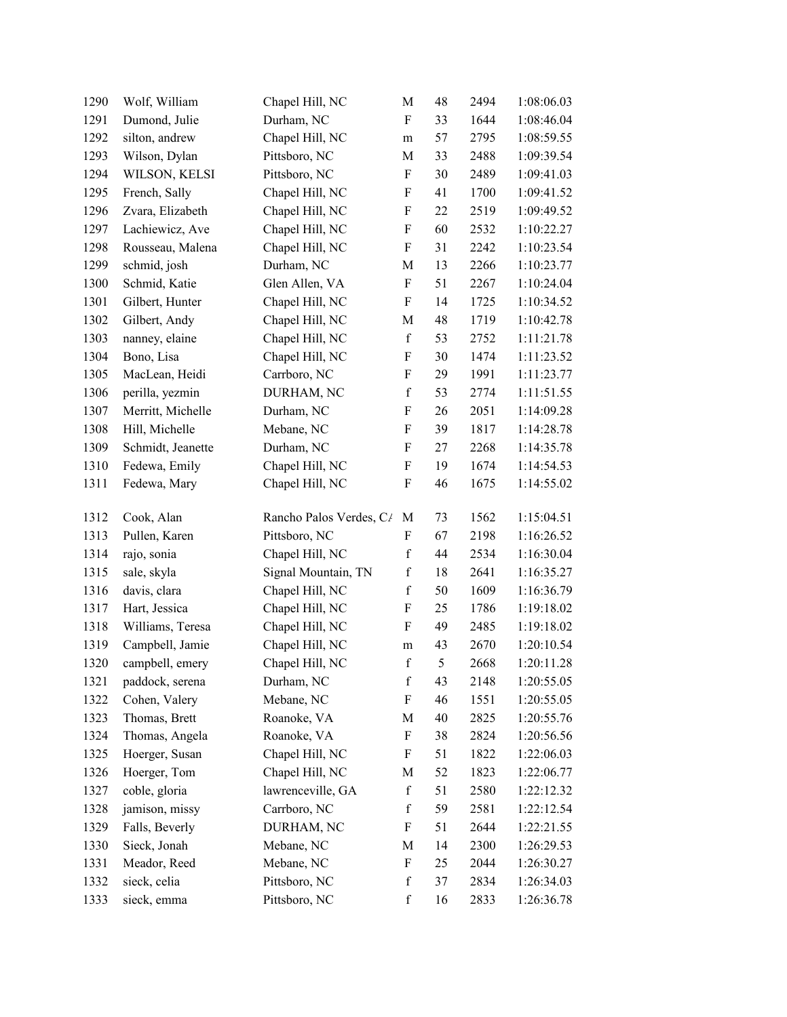| 1290 | Wolf, William     | Chapel Hill, NC         | M                         | 48 | 2494 | 1:08:06.03 |
|------|-------------------|-------------------------|---------------------------|----|------|------------|
| 1291 | Dumond, Julie     | Durham, NC              | $\boldsymbol{\mathrm{F}}$ | 33 | 1644 | 1:08:46.04 |
| 1292 | silton, andrew    | Chapel Hill, NC         | m                         | 57 | 2795 | 1:08:59.55 |
| 1293 | Wilson, Dylan     | Pittsboro, NC           | M                         | 33 | 2488 | 1:09:39.54 |
| 1294 | WILSON, KELSI     | Pittsboro, NC           | $\boldsymbol{\mathrm{F}}$ | 30 | 2489 | 1:09:41.03 |
| 1295 | French, Sally     | Chapel Hill, NC         | $\boldsymbol{\mathrm{F}}$ | 41 | 1700 | 1:09:41.52 |
| 1296 | Zvara, Elizabeth  | Chapel Hill, NC         | $\boldsymbol{\mathrm{F}}$ | 22 | 2519 | 1:09:49.52 |
| 1297 | Lachiewicz, Ave   | Chapel Hill, NC         | $\boldsymbol{\mathrm{F}}$ | 60 | 2532 | 1:10:22.27 |
| 1298 | Rousseau, Malena  | Chapel Hill, NC         | ${\bf F}$                 | 31 | 2242 | 1:10:23.54 |
| 1299 | schmid, josh      | Durham, NC              | M                         | 13 | 2266 | 1:10:23.77 |
| 1300 | Schmid, Katie     | Glen Allen, VA          | F                         | 51 | 2267 | 1:10:24.04 |
| 1301 | Gilbert, Hunter   | Chapel Hill, NC         | $\boldsymbol{\mathrm{F}}$ | 14 | 1725 | 1:10:34.52 |
| 1302 | Gilbert, Andy     | Chapel Hill, NC         | M                         | 48 | 1719 | 1:10:42.78 |
| 1303 | nanney, elaine    | Chapel Hill, NC         | $\mathbf f$               | 53 | 2752 | 1:11:21.78 |
| 1304 | Bono, Lisa        | Chapel Hill, NC         | F                         | 30 | 1474 | 1:11:23.52 |
| 1305 | MacLean, Heidi    | Carrboro, NC            | $\boldsymbol{\mathrm{F}}$ | 29 | 1991 | 1:11:23.77 |
| 1306 | perilla, yezmin   | DURHAM, NC              | $\mathbf f$               | 53 | 2774 | 1:11:51.55 |
| 1307 | Merritt, Michelle | Durham, NC              | $\boldsymbol{\mathrm{F}}$ | 26 | 2051 | 1:14:09.28 |
| 1308 | Hill, Michelle    | Mebane, NC              | $\boldsymbol{\mathrm{F}}$ | 39 | 1817 | 1:14:28.78 |
| 1309 | Schmidt, Jeanette | Durham, NC              | $\boldsymbol{\mathrm{F}}$ | 27 | 2268 | 1:14:35.78 |
| 1310 | Fedewa, Emily     | Chapel Hill, NC         | $\boldsymbol{\mathrm{F}}$ | 19 | 1674 | 1:14:54.53 |
| 1311 | Fedewa, Mary      | Chapel Hill, NC         | $\boldsymbol{\mathrm{F}}$ | 46 | 1675 | 1:14:55.02 |
| 1312 | Cook, Alan        | Rancho Palos Verdes, C/ | M                         | 73 | 1562 | 1:15:04.51 |
| 1313 | Pullen, Karen     | Pittsboro, NC           | F                         | 67 | 2198 | 1:16:26.52 |
| 1314 | rajo, sonia       | Chapel Hill, NC         | $\mathbf f$               | 44 | 2534 | 1:16:30.04 |
| 1315 | sale, skyla       | Signal Mountain, TN     | $\mathbf f$               | 18 | 2641 | 1:16:35.27 |
| 1316 | davis, clara      | Chapel Hill, NC         | $\mathbf f$               | 50 | 1609 | 1:16:36.79 |
| 1317 | Hart, Jessica     | Chapel Hill, NC         | $\boldsymbol{\mathrm{F}}$ | 25 | 1786 | 1:19:18.02 |
| 1318 | Williams, Teresa  | Chapel Hill, NC         | $\boldsymbol{\mathrm{F}}$ | 49 | 2485 | 1:19:18.02 |
| 1319 | Campbell, Jamie   | Chapel Hill, NC         | ${\rm m}$                 | 43 | 2670 | 1:20:10.54 |
| 1320 | campbell, emery   | Chapel Hill, NC         | $\mathbf f$               | 5  | 2668 | 1:20:11.28 |
| 1321 | paddock, serena   | Durham, NC              | $\mathbf f$               | 43 | 2148 | 1:20:55.05 |
| 1322 | Cohen, Valery     | Mebane, NC              | F                         | 46 | 1551 | 1:20:55.05 |
| 1323 | Thomas, Brett     | Roanoke, VA             | M                         | 40 | 2825 | 1:20:55.76 |
| 1324 | Thomas, Angela    | Roanoke, VA             | F                         | 38 | 2824 | 1:20:56.56 |
| 1325 | Hoerger, Susan    | Chapel Hill, NC         | F                         | 51 | 1822 | 1:22:06.03 |
| 1326 | Hoerger, Tom      | Chapel Hill, NC         | M                         | 52 | 1823 | 1:22:06.77 |
| 1327 | coble, gloria     | lawrenceville, GA       | $\mathbf f$               | 51 | 2580 | 1:22:12.32 |
| 1328 | jamison, missy    | Carrboro, NC            | $\mathbf f$               | 59 | 2581 | 1:22:12.54 |
| 1329 | Falls, Beverly    | DURHAM, NC              | F                         | 51 | 2644 | 1:22:21.55 |
| 1330 | Sieck, Jonah      | Mebane, NC              | M                         | 14 | 2300 | 1:26:29.53 |
| 1331 | Meador, Reed      | Mebane, NC              | $\boldsymbol{\mathrm{F}}$ | 25 | 2044 | 1:26:30.27 |
| 1332 | sieck, celia      | Pittsboro, NC           | $\mathbf f$               | 37 | 2834 | 1:26:34.03 |
| 1333 | sieck, emma       | Pittsboro, NC           | $\mathbf f$               | 16 | 2833 | 1:26:36.78 |